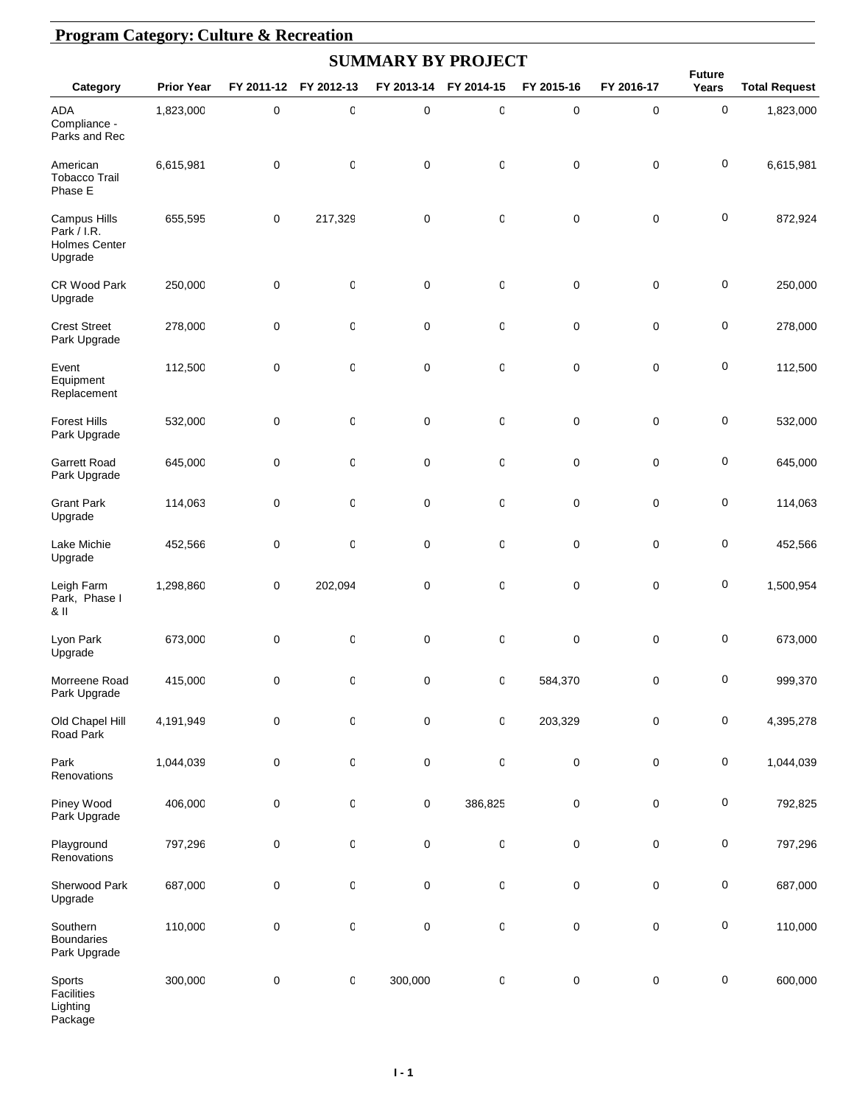|                                                                |                   |             |              |             | <b>SUMMARY BY PROJECT</b> |             |             |                        |                      |
|----------------------------------------------------------------|-------------------|-------------|--------------|-------------|---------------------------|-------------|-------------|------------------------|----------------------|
| Category                                                       | <b>Prior Year</b> | FY 2011-12  | FY 2012-13   | FY 2013-14  | FY 2014-15                | FY 2015-16  | FY 2016-17  | <b>Future</b><br>Years | <b>Total Request</b> |
| <b>ADA</b><br>Compliance -<br>Parks and Rec                    | 1,823,000         | $\pmb{0}$   | $\mathbb{C}$ | $\mathbf 0$ | $\mathbf 0$               | $\mathbf 0$ | $\mathbf 0$ | 0                      | 1,823,000            |
| American<br><b>Tobacco Trail</b><br>Phase E                    | 6,615,981         | $\mathbf 0$ | 0            | $\mathbf 0$ | 0                         | 0           | $\pmb{0}$   | 0                      | 6,615,981            |
| Campus Hills<br>Park / I.R.<br><b>Holmes Center</b><br>Upgrade | 655,595           | 0           | 217,329      | $\mathbf 0$ | 0                         | $\pmb{0}$   | $\pmb{0}$   | 0                      | 872,924              |
| CR Wood Park<br>Upgrade                                        | 250,000           | 0           | $\mathbb{C}$ | $\mathbf 0$ | 0                         | $\pmb{0}$   | $\pmb{0}$   | 0                      | 250,000              |
| <b>Crest Street</b><br>Park Upgrade                            | 278,000           | 0           | 0            | $\pmb{0}$   | 0                         | 0           | 0           | 0                      | 278,000              |
| Event<br>Equipment<br>Replacement                              | 112,500           | $\mathbf 0$ | O            | $\mathbf 0$ | 0                         | 0           | $\pmb{0}$   | 0                      | 112,500              |
| <b>Forest Hills</b><br>Park Upgrade                            | 532,000           | 0           | O            | $\mathbf 0$ | 0                         | 0           | $\pmb{0}$   | 0                      | 532,000              |
| <b>Garrett Road</b><br>Park Upgrade                            | 645,000           | 0           | $\mathsf 0$  | $\pmb{0}$   | 0                         | 0           | $\pmb{0}$   | 0                      | 645,000              |
| <b>Grant Park</b><br>Upgrade                                   | 114,063           | $\pmb{0}$   | 0            | $\mathbf 0$ | 0                         | 0           | $\pmb{0}$   | 0                      | 114,063              |
| Lake Michie<br>Upgrade                                         | 452,566           | 0           | O            | $\pmb{0}$   | 0                         | 0           | $\pmb{0}$   | 0                      | 452,566              |
| Leigh Farm<br>Park, Phase I<br>& II                            | 1,298,860         | 0           | 202,094      | $\mathbf 0$ | 0                         | 0           | 0           | 0                      | 1,500,954            |
| Lyon Park<br>Upgrade                                           | 673,000           | 0           | O            | $\mathbf 0$ | 0                         | 0           | 0           | 0                      | 673,000              |
| Morreene Road<br>Park Upgrade                                  | 415,000           | 0           | $\mathsf{C}$ | $\pmb{0}$   | 0                         | 584,370     | $\pmb{0}$   | 0                      | 999,370              |
| Old Chapel Hill<br>Road Park                                   | 4,191,949         | 0           | $\mathsf{C}$ | $\pmb{0}$   | 0                         | 203,329     | $\pmb{0}$   | 0                      | 4,395,278            |
| Park<br>Renovations                                            | 1,044,039         | $\pmb{0}$   | 0            | $\pmb{0}$   | $\,0\,$                   | 0           | $\pmb{0}$   | 0                      | 1,044,039            |
| Piney Wood<br>Park Upgrade                                     | 406,000           | 0           | $\mathsf{C}$ | $\pmb{0}$   | 386,825                   | $\pmb{0}$   | $\pmb{0}$   | 0                      | 792,825              |
| Playground<br>Renovations                                      | 797,296           | 0           | $\mathsf{C}$ | $\pmb{0}$   | $\mathsf 0$               | $\pmb{0}$   | $\pmb{0}$   | 0                      | 797,296              |
| Sherwood Park<br>Upgrade                                       | 687,000           | 0           | $\mathbb{C}$ | $\pmb{0}$   | $\mathsf 0$               | $\pmb{0}$   | $\pmb{0}$   | 0                      | 687,000              |
| Southern<br><b>Boundaries</b><br>Park Upgrade                  | 110,000           | 0           | $\mathsf{C}$ | $\pmb{0}$   | $\mathsf 0$               | $\pmb{0}$   | $\pmb{0}$   | 0                      | 110,000              |
| Sports<br>Facilities<br>Lighting<br>Package                    | 300,000           | 0           | $\mathsf{C}$ | 300,000     | $\mathsf 0$               | $\pmb{0}$   | $\pmb{0}$   | $\pmb{0}$              | 600,000              |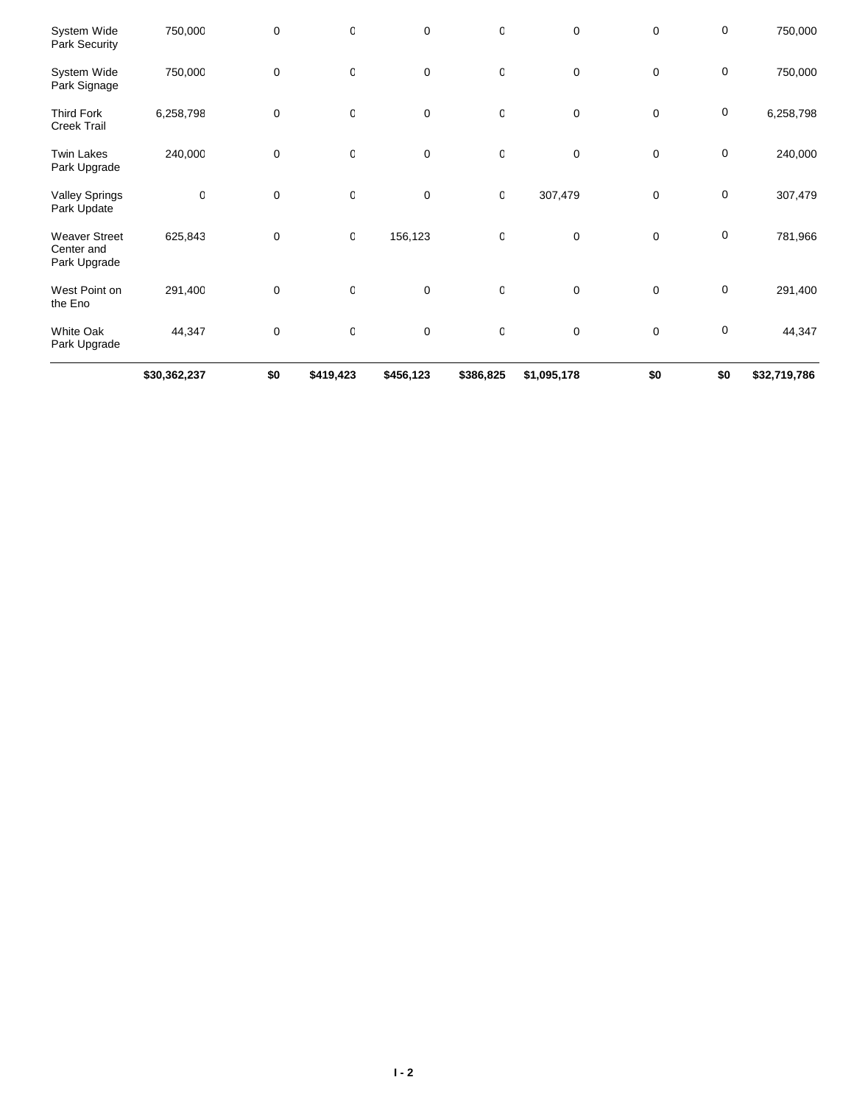|                                                    | \$30,362,237 | \$0         | \$419,423 | \$456,123   | \$386,825        | \$1,095,178 | \$0         | \$0         | \$32,719,786 |
|----------------------------------------------------|--------------|-------------|-----------|-------------|------------------|-------------|-------------|-------------|--------------|
| <b>White Oak</b><br>Park Upgrade                   | 44,347       | $\mathbf 0$ | 0         | $\mathbf 0$ | 0                | 0           | $\mathbf 0$ | $\pmb{0}$   | 44,347       |
| West Point on<br>the Eno                           | 291,400      | $\mathbf 0$ | 0         | $\pmb{0}$   | 0                | 0           | $\mathbf 0$ | $\mathbf 0$ | 291,400      |
| <b>Weaver Street</b><br>Center and<br>Park Upgrade | 625,843      | 0           | 0         | 156,123     | 0                | 0           | $\mathbf 0$ | $\mathbf 0$ | 781,966      |
| <b>Valley Springs</b><br>Park Update               | $\mathsf 0$  | $\mathbf 0$ | 0         | $\mathbf 0$ | $\mathbf 0$      | 307,479     | $\mathbf 0$ | $\pmb{0}$   | 307,479      |
| <b>Twin Lakes</b><br>Park Upgrade                  | 240,000      | $\mathbf 0$ | 0         | $\pmb{0}$   | $\boldsymbol{0}$ | 0           | $\mathbf 0$ | $\mathbf 0$ | 240,000      |
| <b>Third Fork</b><br><b>Creek Trail</b>            | 6,258,798    | $\mathbf 0$ | 0         | $\mathbf 0$ | $\mathbf 0$      | 0           | $\mathbf 0$ | $\pmb{0}$   | 6,258,798    |
| System Wide<br>Park Signage                        | 750,000      | $\mathbf 0$ | 0         | $\pmb{0}$   | 0                | 0           | $\mathbf 0$ | $\pmb{0}$   | 750,000      |
| System Wide<br>Park Security                       | 750,000      | $\mathbf 0$ | 0         | $\mathbf 0$ | 0                | 0           | $\mathbf 0$ | $\pmb{0}$   | 750,000      |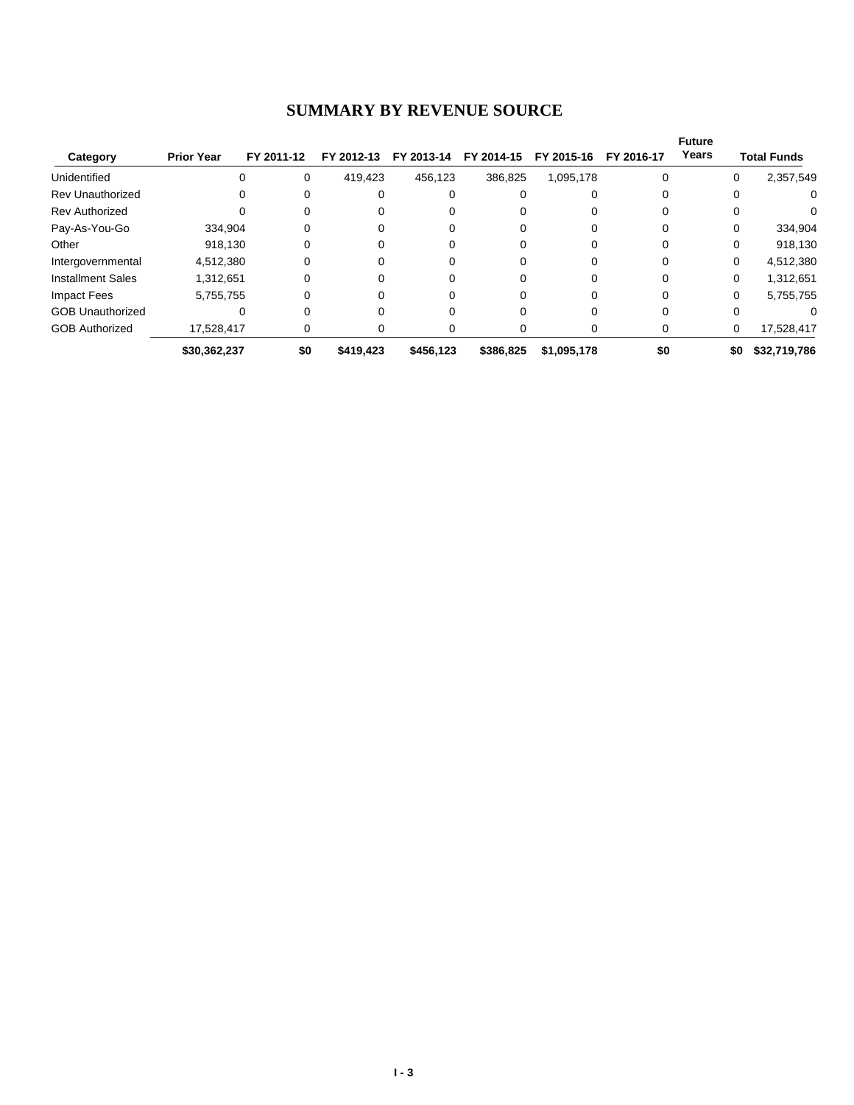#### **SUMMARY BY REVENUE SOURCE**

| Category                 | <b>Prior Year</b> | FY 2011-12 | FY 2012-13 | FY 2013-14 | FY 2014-15 | FY 2015-16  | FY 2016-17 | <b>Future</b><br>Years |          | <b>Total Funds</b> |
|--------------------------|-------------------|------------|------------|------------|------------|-------------|------------|------------------------|----------|--------------------|
| Unidentified             |                   | 0          | 419,423    | 456,123    | 386,825    | 1,095,178   |            |                        | 0        | 2,357,549          |
| <b>Rev Unauthorized</b>  |                   | 0          | 0          |            |            |             |            |                        | 0        | 0                  |
| <b>Rev Authorized</b>    |                   | 0          | 0          |            |            |             |            |                        | 0        | 0                  |
| Pay-As-You-Go            | 334,904           |            |            |            |            |             |            |                        | 0        | 334,904            |
| Other                    | 918.130           |            |            |            |            |             |            |                        | 0        | 918,130            |
| Intergovernmental        | 4,512,380         |            | 0          |            |            |             |            |                        | $\Omega$ | 4,512,380          |
| <b>Installment Sales</b> | 1,312,651         | 0          | 0          |            | 0          |             |            |                        | $\Omega$ | 1,312,651          |
| <b>Impact Fees</b>       | 5,755,755         | 0          | 0          |            | 0          |             |            |                        | $\Omega$ | 5,755,755          |
| <b>GOB Unauthorized</b>  |                   |            |            |            |            |             |            |                        | 0        |                    |
| <b>GOB Authorized</b>    | 17,528,417        | 0          | 0          |            | O          |             | O          |                        | 0        | 17,528,417         |
|                          | \$30,362,237      | \$0        | \$419.423  | \$456,123  | \$386,825  | \$1,095,178 | \$0        |                        | \$0      | \$32,719,786       |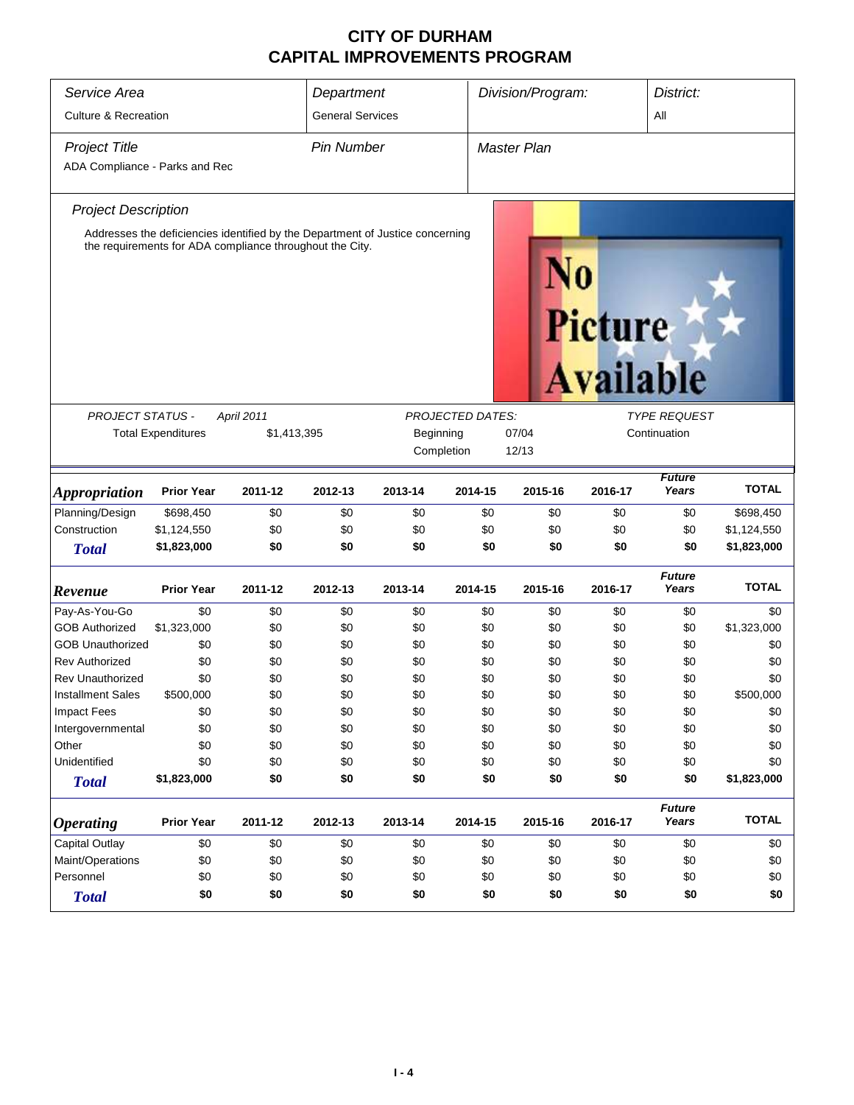| Service Area                                           |                                                                                                                                                           |                                                                                                                                           | Department              |         |         | Division/Program:  |                             | District:              |              |  |
|--------------------------------------------------------|-----------------------------------------------------------------------------------------------------------------------------------------------------------|-------------------------------------------------------------------------------------------------------------------------------------------|-------------------------|---------|---------|--------------------|-----------------------------|------------------------|--------------|--|
| <b>Culture &amp; Recreation</b>                        |                                                                                                                                                           |                                                                                                                                           | <b>General Services</b> |         |         |                    |                             | All                    |              |  |
| <b>Project Title</b><br>ADA Compliance - Parks and Rec |                                                                                                                                                           |                                                                                                                                           | <b>Pin Number</b>       |         |         | <b>Master Plan</b> |                             |                        |              |  |
| <b>Project Description</b>                             |                                                                                                                                                           |                                                                                                                                           |                         |         |         |                    |                             |                        |              |  |
|                                                        |                                                                                                                                                           | Addresses the deficiencies identified by the Department of Justice concerning<br>the requirements for ADA compliance throughout the City. |                         |         |         |                    | Picture<br><b>Available</b> |                        |              |  |
|                                                        |                                                                                                                                                           |                                                                                                                                           |                         |         |         |                    |                             | <b>TYPE REQUEST</b>    |              |  |
|                                                        | <b>PROJECT STATUS -</b><br><b>PROJECTED DATES:</b><br>April 2011<br><b>Total Expenditures</b><br>\$1,413,395<br>Beginning<br>07/04<br>Completion<br>12/13 |                                                                                                                                           |                         |         |         |                    | Continuation                |                        |              |  |
| <b>Appropriation</b>                                   | <b>Prior Year</b>                                                                                                                                         | 2011-12                                                                                                                                   | 2012-13                 | 2013-14 | 2014-15 | 2015-16            | 2016-17                     | <b>Future</b><br>Years | <b>TOTAL</b> |  |
| Planning/Design                                        | \$698,450                                                                                                                                                 | \$0                                                                                                                                       | \$0                     | \$0     | \$0     | \$0                | \$0                         | \$0                    | \$698,450    |  |
| Construction                                           | \$1,124,550                                                                                                                                               | \$0                                                                                                                                       | \$0                     | \$0     | \$0     | \$0                | \$0                         | \$0                    | \$1,124,550  |  |
| <b>Total</b>                                           | \$1,823,000                                                                                                                                               | \$0                                                                                                                                       | \$0                     | \$0     | \$0     | \$0                | \$0                         | \$0                    | \$1,823,000  |  |
| Revenue                                                | <b>Prior Year</b>                                                                                                                                         | 2011-12                                                                                                                                   | 2012-13                 | 2013-14 | 2014-15 | 2015-16            | 2016-17                     | <b>Future</b><br>Years | <b>TOTAL</b> |  |
| Pay-As-You-Go                                          | \$0                                                                                                                                                       | \$0                                                                                                                                       | \$0                     | \$0     | \$0     | \$0                | \$0                         | \$0                    | \$0          |  |
| <b>GOB Authorized</b>                                  | \$1,323,000                                                                                                                                               | \$0                                                                                                                                       | \$0                     | \$0     | \$0     | \$0                | \$0                         | \$0                    | \$1,323,000  |  |
| <b>GOB Unauthorized</b>                                | \$0                                                                                                                                                       | \$0                                                                                                                                       | \$0                     | \$0     | \$0     | \$0                | \$0                         | \$0                    | \$0          |  |
| <b>Rev Authorized</b>                                  | \$0                                                                                                                                                       | \$0                                                                                                                                       | \$0                     | \$0     | \$0     | \$0                | \$0                         | \$0                    | \$0          |  |
| <b>Rev Unauthorized</b>                                | \$0                                                                                                                                                       | \$0                                                                                                                                       | \$0                     | \$0     | \$0     | \$0                | \$0                         | \$0                    | \$0          |  |
| <b>Installment Sales</b>                               | \$500,000                                                                                                                                                 | \$0                                                                                                                                       | \$0                     | \$0     | \$0     | \$0                | \$0                         | \$0                    | \$500,000    |  |
| Impact Fees                                            | \$0                                                                                                                                                       | \$0                                                                                                                                       | \$0                     | \$0     | \$0     | \$0                | \$0                         | \$0                    | \$0          |  |
| Intergovernmental                                      | \$0                                                                                                                                                       | \$0                                                                                                                                       | \$0                     | \$0     | \$0     | \$0                | \$0                         | \$0                    | \$0          |  |
| Other                                                  | \$0                                                                                                                                                       | \$0                                                                                                                                       | \$0                     | \$0     | \$0     | \$0                | \$0                         | \$0                    | \$0          |  |
| Unidentified                                           | \$0                                                                                                                                                       | \$0                                                                                                                                       | \$0                     | \$0     | \$0     | \$0                | \$0                         | \$0                    | \$0          |  |
| <b>Total</b>                                           | \$1,823,000                                                                                                                                               | \$0                                                                                                                                       | \$0                     | \$0     | \$0     | \$0                | \$0                         | \$0                    | \$1,823,000  |  |
| <b>Operating</b>                                       | <b>Prior Year</b>                                                                                                                                         | 2011-12                                                                                                                                   | 2012-13                 | 2013-14 | 2014-15 | 2015-16            | 2016-17                     | <b>Future</b><br>Years | <b>TOTAL</b> |  |
| <b>Capital Outlay</b>                                  | \$0                                                                                                                                                       | \$0                                                                                                                                       | \$0                     | \$0     | \$0     | \$0                | \$0                         | \$0                    | \$0          |  |
| Maint/Operations                                       | \$0                                                                                                                                                       | \$0                                                                                                                                       | \$0                     | \$0     | \$0     | \$0                | \$0                         | \$0                    | \$0          |  |
| Personnel                                              | \$0                                                                                                                                                       | \$0                                                                                                                                       | \$0                     | \$0     | \$0     | \$0                | \$0                         | \$0                    | \$0          |  |
| <b>Total</b>                                           | \$0<br>\$0<br>\$0<br>\$0<br>\$0<br>\$0<br>\$0<br>\$0<br>\$0                                                                                               |                                                                                                                                           |                         |         |         |                    |                             |                        |              |  |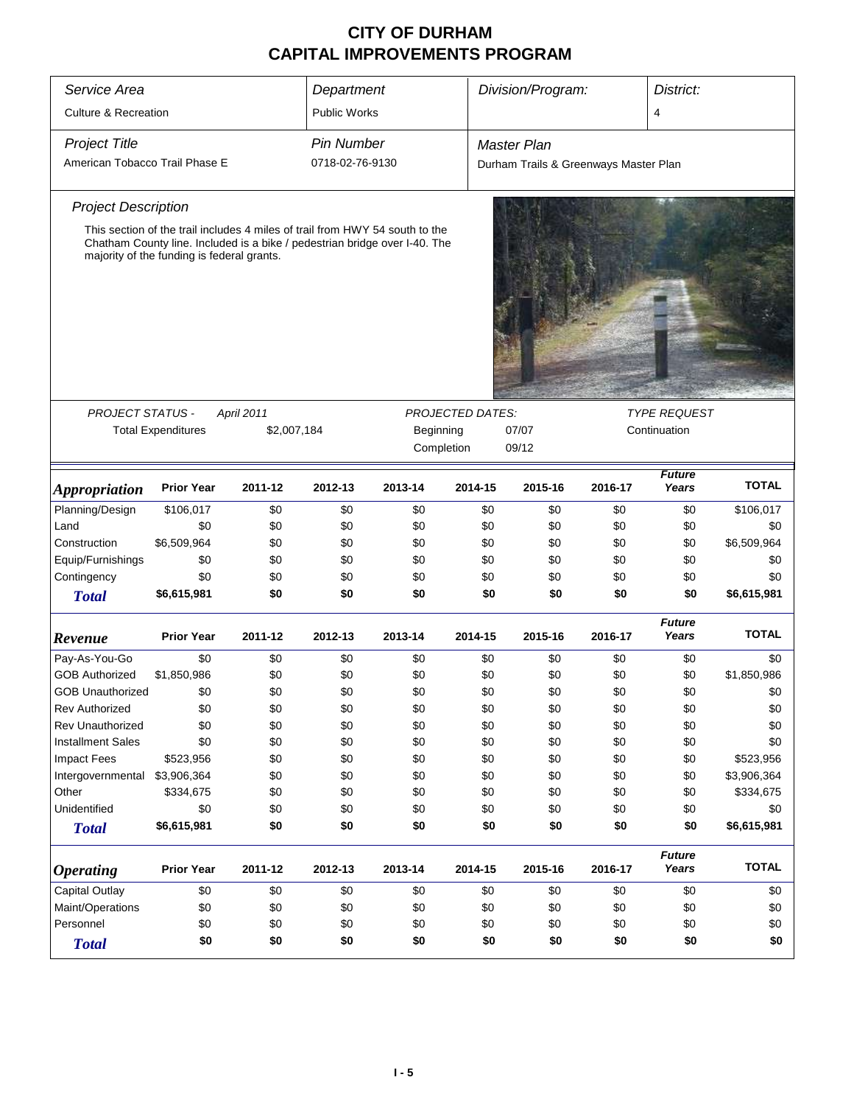| Service Area                    |                                                                                                                                                                                                          |             | Department          |           |                          | Division/Program:<br>District:        |              |                        |              |  |
|---------------------------------|----------------------------------------------------------------------------------------------------------------------------------------------------------------------------------------------------------|-------------|---------------------|-----------|--------------------------|---------------------------------------|--------------|------------------------|--------------|--|
| <b>Culture &amp; Recreation</b> |                                                                                                                                                                                                          |             | <b>Public Works</b> |           |                          |                                       |              | 4                      |              |  |
| <b>Project Title</b>            |                                                                                                                                                                                                          |             | <b>Pin Number</b>   |           |                          | <b>Master Plan</b>                    |              |                        |              |  |
| American Tobacco Trail Phase E  |                                                                                                                                                                                                          |             | 0718-02-76-9130     |           |                          | Durham Trails & Greenways Master Plan |              |                        |              |  |
| <b>Project Description</b>      |                                                                                                                                                                                                          |             |                     |           |                          |                                       |              |                        |              |  |
|                                 | This section of the trail includes 4 miles of trail from HWY 54 south to the<br>Chatham County line. Included is a bike / pedestrian bridge over I-40. The<br>majority of the funding is federal grants. |             |                     |           |                          |                                       |              |                        |              |  |
|                                 |                                                                                                                                                                                                          |             |                     |           |                          |                                       |              |                        |              |  |
| PROJECT STATUS -                |                                                                                                                                                                                                          | April 2011  |                     |           | <b>PROJECTED DATES:</b>  |                                       |              | <b>TYPE REQUEST</b>    |              |  |
|                                 | <b>Total Expenditures</b>                                                                                                                                                                                | \$2,007,184 |                     | Beginning |                          | 07/07                                 | Continuation |                        |              |  |
|                                 |                                                                                                                                                                                                          |             |                     |           | Completion               | 09/12                                 |              |                        |              |  |
| <i><b>Appropriation</b></i>     | <b>Prior Year</b>                                                                                                                                                                                        | 2011-12     | 2012-13             | 2013-14   | 2014-15                  | 2015-16                               | 2016-17      | <b>TOTAL</b>           |              |  |
| Planning/Design                 | \$106,017                                                                                                                                                                                                | \$0         | \$0                 | \$0       | \$0                      | \$0                                   | \$0          | \$0                    | \$106,017    |  |
| Land                            | \$0                                                                                                                                                                                                      | \$0         | \$0                 | \$0       | \$0                      | \$0                                   | \$0          | \$0                    | \$0          |  |
| Construction                    | \$6,509,964                                                                                                                                                                                              | \$0         | \$0                 | \$0       | \$0                      | \$0                                   | \$0          | \$0                    | \$6,509,964  |  |
| Equip/Furnishings               | \$0                                                                                                                                                                                                      | \$0         | \$0                 | \$0       | \$0                      | \$0                                   | \$0          | \$0                    | \$0          |  |
| Contingency                     | \$0                                                                                                                                                                                                      | \$0         | \$0                 | \$0       | \$0                      | \$0                                   | \$0          | \$0                    | \$0          |  |
| <b>Total</b>                    | \$6,615,981                                                                                                                                                                                              | \$0         | \$0                 | \$0       | \$0                      | \$0                                   | \$0          | \$0                    | \$6,615,981  |  |
| Revenue                         | <b>Prior Year</b>                                                                                                                                                                                        | 2011-12     | 2012-13             | 2013-14   | 2014-15                  | 2015-16                               | 2016-17      | <b>Future</b><br>Years | <b>TOTAL</b> |  |
| Pay-As-You-Go                   | \$0                                                                                                                                                                                                      | \$0         | \$0                 | \$0       | \$0                      | \$0                                   | \$0          | \$0                    | \$0          |  |
| <b>GOB Authorized</b>           | \$1,850,986                                                                                                                                                                                              | \$0         | \$0                 | \$0       | \$0                      | \$0                                   | \$0          | \$0                    | \$1,850,986  |  |
| <b>GOB Unauthorized</b>         | \$0                                                                                                                                                                                                      | \$0         | \$0                 | \$0       | \$0                      | \$0                                   | \$0          | \$0                    | \$0          |  |
| <b>Rev Authorized</b>           | \$0                                                                                                                                                                                                      | \$0         | \$0                 | \$0       | \$0                      | \$0                                   | \$0          | \$0                    | \$0          |  |
| <b>Rev Unauthorized</b>         | \$0                                                                                                                                                                                                      | \$0         | \$0                 | \$0       | \$0                      | \$0                                   | \$0          | \$0                    | \$0          |  |
| <b>Installment Sales</b>        | \$0                                                                                                                                                                                                      | \$0         | \$0                 | \$0       | \$0                      | \$0                                   | \$0          | \$0                    | \$0          |  |
| <b>Impact Fees</b>              | \$523,956                                                                                                                                                                                                | \$0         | \$0                 | \$0       | \$0                      | \$0                                   | \$0          | \$0                    | \$523,956    |  |
| Intergovernmental               | \$3,906,364                                                                                                                                                                                              | \$0         | \$0                 | \$0       | \$0                      | \$0                                   | \$0          | \$0                    | \$3,906,364  |  |
| Other                           | \$334,675                                                                                                                                                                                                | \$0         | \$0                 | \$0       | \$0                      | \$0                                   | \$0          | \$0                    | \$334,675    |  |
| Unidentified                    | \$0                                                                                                                                                                                                      | \$0         | \$0                 | \$0       | \$0                      | \$0                                   | \$0          | \$0                    | \$0          |  |
| <b>Total</b>                    | \$6,615,981                                                                                                                                                                                              | \$0         | \$0                 | \$0       | \$0                      | \$0                                   | \$0          | \$0                    | \$6,615,981  |  |
| <b>Operating</b>                | <b>Prior Year</b>                                                                                                                                                                                        | 2011-12     | 2012-13             | 2013-14   | 2014-15                  | 2015-16                               | 2016-17      | <b>Future</b><br>Years | <b>TOTAL</b> |  |
| Capital Outlay                  | \$0                                                                                                                                                                                                      | \$0         | \$0                 | \$0       | \$0                      | \$0                                   | \$0          | \$0                    | \$0          |  |
| Maint/Operations                | \$0                                                                                                                                                                                                      | \$0         | \$0                 | \$0       | \$0                      | \$0                                   | \$0          | \$0                    | \$0          |  |
| Personnel                       | \$0                                                                                                                                                                                                      | \$0         | \$0                 | \$0       | \$0                      | \$0                                   | \$0          | \$0                    | \$0          |  |
| <b>Total</b>                    | \$0                                                                                                                                                                                                      | \$0         | \$0                 | \$0       | \$0<br>\$0<br>\$0<br>\$0 |                                       |              |                        |              |  |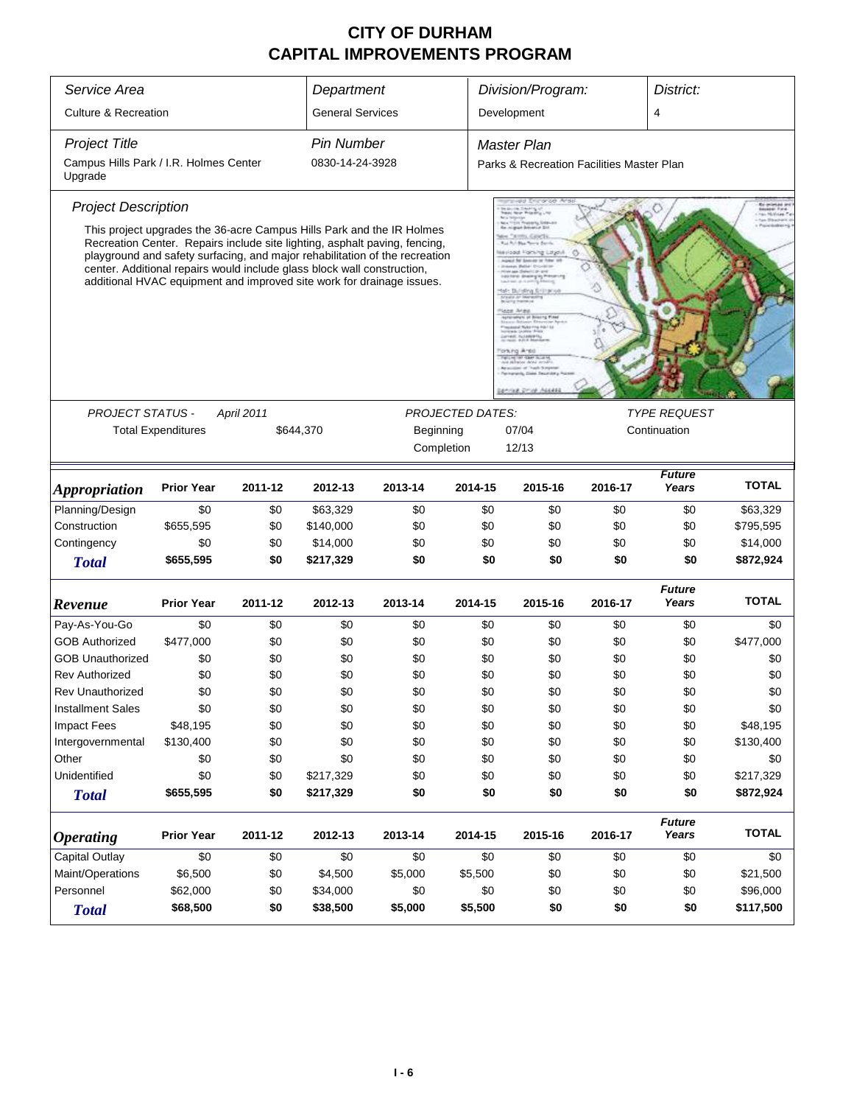| Service Area                                                            |                           |            | Department              |                                                                                                                                                                                                                                                                                                             |         | Division/Program:                         |         | District:              |              |
|-------------------------------------------------------------------------|---------------------------|------------|-------------------------|-------------------------------------------------------------------------------------------------------------------------------------------------------------------------------------------------------------------------------------------------------------------------------------------------------------|---------|-------------------------------------------|---------|------------------------|--------------|
| <b>Culture &amp; Recreation</b>                                         |                           |            | <b>General Services</b> |                                                                                                                                                                                                                                                                                                             |         | Development                               |         | $\overline{4}$         |              |
| <b>Project Title</b>                                                    |                           |            | <b>Pin Number</b>       |                                                                                                                                                                                                                                                                                                             |         | Master Plan                               |         |                        |              |
| Campus Hills Park / I.R. Holmes Center<br>Upgrade                       |                           |            | 0830-14-24-3928         |                                                                                                                                                                                                                                                                                                             |         | Parks & Recreation Facilities Master Plan |         |                        |              |
| <b>Project Description</b>                                              |                           |            |                         |                                                                                                                                                                                                                                                                                                             |         |                                           |         |                        |              |
| center. Additional repairs would include glass block wall construction, |                           |            |                         | This project upgrades the 36-acre Campus Hills Park and the IR Holmes<br>Recreation Center. Repairs include site lighting, asphalt paving, fencing,<br>playground and safety surfacing, and major rehabilitation of the recreation<br>additional HVAC equipment and improved site work for drainage issues. |         |                                           |         |                        |              |
|                                                                         |                           |            |                         |                                                                                                                                                                                                                                                                                                             |         |                                           |         |                        |              |
| PROJECT STATUS -                                                        |                           | April 2011 |                         | <b>PROJECTED DATES:</b>                                                                                                                                                                                                                                                                                     |         | <b>TYPE REQUEST</b>                       |         |                        |              |
|                                                                         | <b>Total Expenditures</b> |            | \$644,370               | Beginning                                                                                                                                                                                                                                                                                                   |         | 07/04<br>12/13                            |         | Continuation           |              |
|                                                                         |                           |            |                         | Completion                                                                                                                                                                                                                                                                                                  |         |                                           |         |                        |              |
| <i><b>Appropriation</b></i>                                             | <b>Prior Year</b>         | 2011-12    | 2012-13                 | 2013-14                                                                                                                                                                                                                                                                                                     | 2014-15 | 2015-16                                   | 2016-17 | <b>Future</b><br>Years | <b>TOTAL</b> |
| Planning/Design                                                         | \$0                       | \$0        | \$63,329                | \$0                                                                                                                                                                                                                                                                                                         | \$0     | \$0                                       | \$0     | \$0                    | \$63,329     |
| Construction                                                            | \$655,595                 | \$0        | \$140,000               | \$0                                                                                                                                                                                                                                                                                                         | \$0     | \$0                                       | \$0     | \$0                    | \$795,595    |
| Contingency                                                             | \$0                       | \$0        | \$14,000                | \$0                                                                                                                                                                                                                                                                                                         | \$0     | \$0                                       | \$0     | \$0                    | \$14,000     |
| <b>Total</b>                                                            | \$655,595                 | \$0        | \$217,329               | \$0                                                                                                                                                                                                                                                                                                         | \$0     | \$0                                       | \$0     | \$0                    | \$872,924    |
| Revenue                                                                 | <b>Prior Year</b>         | 2011-12    | 2012-13                 | 2013-14                                                                                                                                                                                                                                                                                                     | 2014-15 | 2015-16                                   | 2016-17 | <b>Future</b><br>Years | <b>TOTAL</b> |
| Pay-As-You-Go                                                           | \$0                       | \$0        | \$0                     | \$0                                                                                                                                                                                                                                                                                                         | \$0     | \$0                                       | \$0     | \$0                    | \$0          |
| <b>GOB Authorized</b>                                                   | \$477,000                 | \$0        | \$0                     | \$0                                                                                                                                                                                                                                                                                                         | \$0     | \$0                                       | \$0     | \$0                    | \$477,000    |
| <b>GOB Unauthorized</b>                                                 | \$0                       | \$0        | \$0                     | \$0                                                                                                                                                                                                                                                                                                         | \$0     | \$0                                       | \$0     | \$0                    | \$0          |
| <b>Rev Authorized</b>                                                   | \$0                       | \$0        | \$0                     | \$0                                                                                                                                                                                                                                                                                                         | \$0     | \$0                                       | \$0     | \$0                    | \$0          |
| <b>Rev Unauthorized</b>                                                 | \$0                       | \$0        | \$0                     | \$0                                                                                                                                                                                                                                                                                                         | \$0     | \$0                                       | \$0     | \$0                    | \$0          |
| <b>Installment Sales</b>                                                | \$0                       | \$0        | \$0                     | \$0                                                                                                                                                                                                                                                                                                         | \$0     | \$0                                       | \$0     | \$0                    | \$0          |
| <b>Impact Fees</b>                                                      | \$48,195                  | \$0        | \$0                     | \$0                                                                                                                                                                                                                                                                                                         | \$0     | \$0                                       | \$0     | \$0                    | \$48,195     |
| Intergovernmental                                                       | \$130,400                 | \$0        | \$0                     | \$0                                                                                                                                                                                                                                                                                                         | \$0     | \$0                                       | \$0     | \$0                    | \$130,400    |
| Other                                                                   | \$0                       | \$0        | \$0                     | \$0                                                                                                                                                                                                                                                                                                         | \$0     | \$0                                       | \$0     | \$0                    | \$0          |
| Unidentified                                                            | \$0                       | \$0        | \$217,329               | \$0                                                                                                                                                                                                                                                                                                         | \$0     | \$0                                       | \$0     | \$0                    | \$217,329    |
| <b>Total</b>                                                            | \$655,595                 | \$0        | \$217,329               | \$0                                                                                                                                                                                                                                                                                                         | \$0     | \$0                                       | \$0     | \$0                    | \$872,924    |
| <b>Operating</b>                                                        | <b>Prior Year</b>         | 2011-12    | 2012-13                 | 2013-14                                                                                                                                                                                                                                                                                                     | 2014-15 | 2015-16                                   | 2016-17 | <b>Future</b><br>Years | <b>TOTAL</b> |
| Capital Outlay                                                          | \$0                       | \$0        | \$0                     | \$0                                                                                                                                                                                                                                                                                                         | \$0     | \$0                                       | \$0     | \$0                    | \$0          |
| Maint/Operations                                                        | \$6,500                   | \$0        | \$4,500                 | \$5,000                                                                                                                                                                                                                                                                                                     | \$5,500 | \$0                                       | \$0     | \$0                    | \$21,500     |
| Personnel<br>\$62,000<br>\$34,000<br>\$0<br>\$0                         |                           |            |                         | \$0                                                                                                                                                                                                                                                                                                         | \$0     | \$0                                       | \$0     | \$96,000               |              |
| \$68,500<br>\$38,500<br>\$5,000<br>\$0<br><b>Total</b>                  |                           |            |                         |                                                                                                                                                                                                                                                                                                             | \$5,500 | \$0                                       | \$0     | \$0                    | \$117,500    |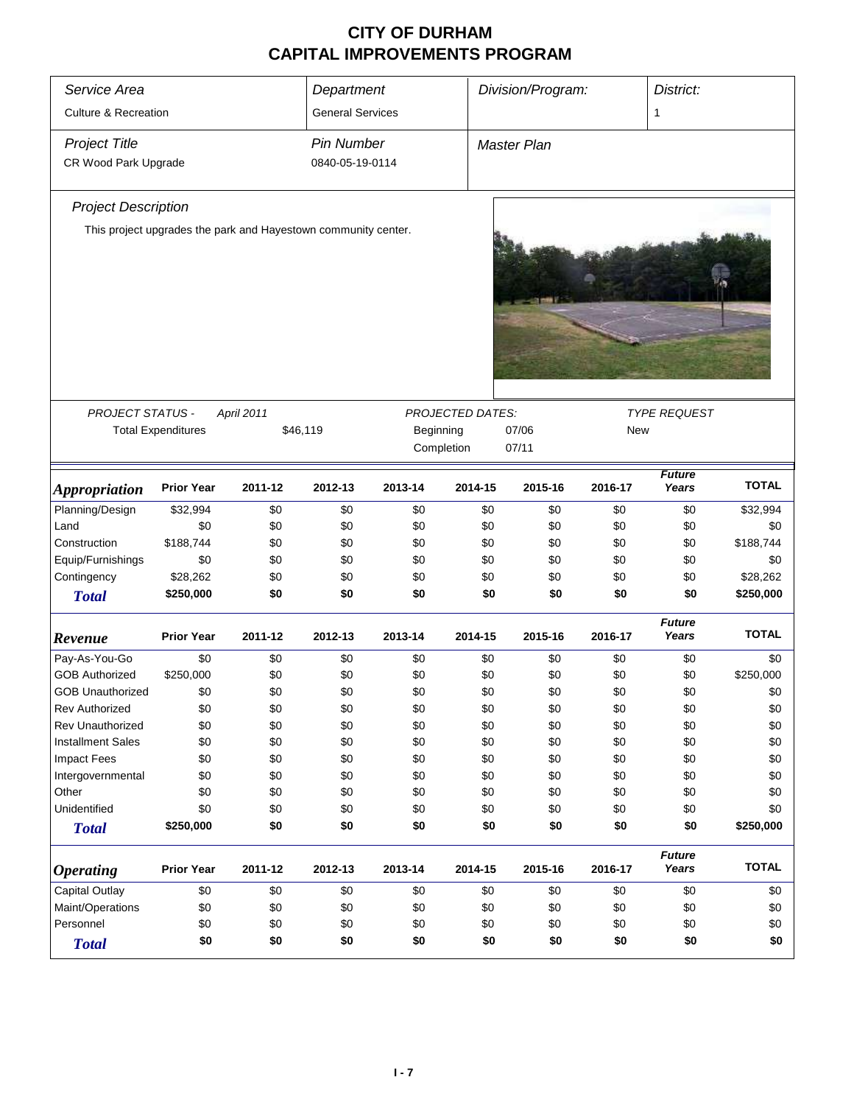| Service Area                    |                                                                |            | Department              |           |                  | Division/Program:  |            | District:              |              |
|---------------------------------|----------------------------------------------------------------|------------|-------------------------|-----------|------------------|--------------------|------------|------------------------|--------------|
| <b>Culture &amp; Recreation</b> |                                                                |            | <b>General Services</b> |           |                  |                    |            | 1                      |              |
| <b>Project Title</b>            |                                                                |            | <b>Pin Number</b>       |           |                  | <b>Master Plan</b> |            |                        |              |
| CR Wood Park Upgrade            |                                                                |            | 0840-05-19-0114         |           |                  |                    |            |                        |              |
| <b>Project Description</b>      |                                                                |            |                         |           |                  |                    |            |                        |              |
|                                 | This project upgrades the park and Hayestown community center. |            |                         |           |                  |                    |            |                        |              |
|                                 |                                                                |            |                         |           |                  |                    |            |                        |              |
| <b>PROJECT STATUS -</b>         |                                                                | April 2011 |                         |           | PROJECTED DATES: |                    |            | <b>TYPE REQUEST</b>    |              |
|                                 | <b>Total Expenditures</b>                                      |            | \$46,119                | Beginning |                  |                    |            |                        |              |
|                                 |                                                                |            |                         |           | Completion       | 07/06<br>07/11     | <b>New</b> |                        |              |
|                                 |                                                                |            |                         |           |                  |                    |            |                        |              |
| <b>Appropriation</b>            | <b>Prior Year</b>                                              | 2011-12    | 2012-13                 | 2013-14   | 2014-15          | 2015-16            | 2016-17    | <b>Future</b><br>Years | <b>TOTAL</b> |
| Planning/Design                 | \$32,994                                                       | \$0        | \$0                     | \$0       | \$0              | \$0                | \$0        | \$0                    | \$32,994     |
| Land                            | \$0                                                            | \$0        | \$0                     | \$0       | \$0              | \$0                | \$0        | \$0                    | \$0          |
| Construction                    | \$188,744                                                      | \$0        | \$0                     | \$0       | \$0              | \$0                | \$0        | \$0                    | \$188,744    |
| Equip/Furnishings               | \$0                                                            | \$0        | \$0                     | \$0       | \$0              | \$0                | \$0        | \$0                    | \$0          |
| Contingency                     | \$28,262                                                       | \$0        | \$0                     | \$0       | \$0              | \$0                | \$0        | \$0                    | \$28,262     |
| <b>Total</b>                    | \$250,000                                                      | \$0        | \$0                     | \$0       | \$0              | \$0                | \$0        | \$0                    | \$250,000    |
| Revenue                         | <b>Prior Year</b>                                              | 2011-12    | 2012-13                 | 2013-14   | 2014-15          | 2015-16            | 2016-17    | <b>Future</b><br>Years | <b>TOTAL</b> |
| Pay-As-You-Go                   | \$0                                                            | \$0        | \$0                     | \$0       | \$0              | \$0                | \$0        | \$0                    | \$0          |
| <b>GOB Authorized</b>           | \$250,000                                                      | \$0        | \$0                     | \$0       | \$0              | \$0                | \$0        | \$0                    | \$250,000    |
| <b>GOB Unauthorized</b>         | \$0                                                            | \$0        | \$0                     | \$0       | \$0              | \$0                | \$0        | \$0                    | \$0          |
| <b>Rev Authorized</b>           | \$0                                                            | \$0        | \$0                     | \$0       | \$0              | \$0                | \$0        | \$0                    | \$0          |
| Rev Unauthorized                | \$0                                                            | \$0        | \$0                     | \$0       | \$0              | \$0                | \$0        | \$0                    | \$0          |
| <b>Installment Sales</b>        | \$0                                                            | \$0        | \$0                     | \$0       | \$0              | \$0                | \$0        | \$0                    | \$0          |
| Impact Fees                     | \$0                                                            | \$0        | \$0                     | \$0       | \$0              | \$0                | \$0        | \$0                    | \$0          |
| Intergovernmental               | \$0                                                            | \$0        | \$0                     | \$0       | \$0              | \$0                | \$0        | \$0                    | \$0          |
| Other                           | \$0                                                            | \$0        | \$0                     | \$0       | \$0              | \$0                | \$0        | \$0                    | \$0          |
| Unidentified                    | \$0                                                            | \$0        | \$0                     | \$0       | \$0              | \$0                | \$0        | \$0                    | \$0          |
| <b>Total</b>                    | \$250,000                                                      | \$0        | \$0                     | \$0       | \$0              | \$0                | \$0        | \$0                    | \$250,000    |
| <b>Operating</b>                | <b>Prior Year</b>                                              | 2011-12    | 2012-13                 | 2013-14   | 2014-15          | 2015-16            | 2016-17    | <b>Future</b><br>Years | <b>TOTAL</b> |
| Capital Outlay                  | \$0                                                            | \$0        | \$0                     | \$0       | \$0              | \$0                | \$0        | \$0                    | \$0          |
| Maint/Operations                | \$0                                                            | \$0        | \$0                     | \$0       | \$0              | \$0                | \$0        | \$0                    | \$0          |
| Personnel                       | \$0                                                            | \$0        | \$0                     | \$0       | \$0              | \$0                | \$0        | \$0                    | \$0          |
| <b>Total</b>                    | \$0                                                            | \$0        | \$0                     | \$0       | \$0              | \$0                | \$0        | \$0                    | \$0          |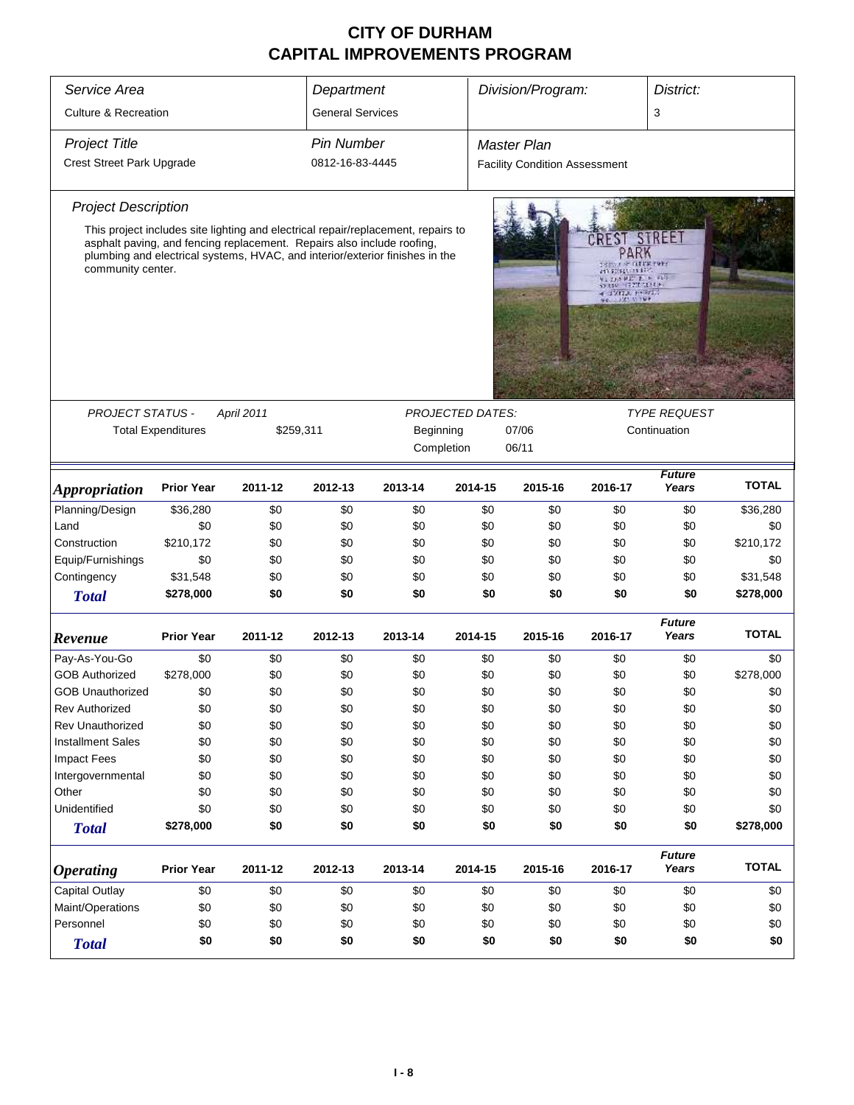| Service Area                    |                                                                        |                   | Department              |                                                                                   |                          | Division/Program:                    |                                                                                  | District:              |              |  |
|---------------------------------|------------------------------------------------------------------------|-------------------|-------------------------|-----------------------------------------------------------------------------------|--------------------------|--------------------------------------|----------------------------------------------------------------------------------|------------------------|--------------|--|
| <b>Culture &amp; Recreation</b> |                                                                        |                   | <b>General Services</b> |                                                                                   |                          |                                      |                                                                                  | 3                      |              |  |
|                                 |                                                                        |                   |                         |                                                                                   |                          |                                      |                                                                                  |                        |              |  |
| <b>Project Title</b>            |                                                                        |                   | <b>Pin Number</b>       |                                                                                   |                          | <b>Master Plan</b>                   |                                                                                  |                        |              |  |
| Crest Street Park Upgrade       |                                                                        |                   | 0812-16-83-4445         |                                                                                   |                          | <b>Facility Condition Assessment</b> |                                                                                  |                        |              |  |
| <b>Project Description</b>      |                                                                        |                   |                         |                                                                                   |                          |                                      |                                                                                  |                        |              |  |
|                                 |                                                                        |                   |                         | This project includes site lighting and electrical repair/replacement, repairs to |                          |                                      |                                                                                  |                        |              |  |
| community center.               | asphalt paving, and fencing replacement. Repairs also include roofing, |                   |                         | plumbing and electrical systems, HVAC, and interior/exterior finishes in the      |                          |                                      | CREST<br>PARK<br>an proprietary.<br>AT DEATH 2 P. LA<br>10222-0033<br>CONTACTORS | STREET                 |              |  |
|                                 |                                                                        |                   |                         |                                                                                   |                          |                                      |                                                                                  |                        |              |  |
| <b>PROJECT STATUS -</b>         |                                                                        | <b>April 2011</b> |                         |                                                                                   | <b>PROJECTED DATES:</b>  |                                      |                                                                                  | <b>TYPE REQUEST</b>    |              |  |
|                                 | <b>Total Expenditures</b>                                              | \$259,311         |                         | Beginning                                                                         |                          | 07/06                                |                                                                                  | Continuation           |              |  |
|                                 |                                                                        |                   |                         | Completion                                                                        |                          | 06/11                                |                                                                                  |                        |              |  |
| <b>Appropriation</b>            | <b>Prior Year</b>                                                      | 2011-12           | 2012-13                 | 2013-14                                                                           | 2014-15                  | 2015-16                              | 2016-17                                                                          | <b>Future</b><br>Years | <b>TOTAL</b> |  |
| Planning/Design                 | \$36,280                                                               | \$0               | \$0                     | \$0                                                                               | \$0                      | \$0                                  | \$0                                                                              | \$0                    | \$36,280     |  |
| Land                            | \$0                                                                    | \$0               | \$0                     | \$0                                                                               | \$0                      | \$0                                  | \$0                                                                              | \$0                    | \$0          |  |
| Construction                    | \$210,172                                                              | \$0               | \$0                     | \$0                                                                               | \$0                      | \$0                                  | \$0                                                                              | \$0                    | \$210,172    |  |
| Equip/Furnishings               | \$0                                                                    | \$0               | \$0                     | \$0                                                                               | \$0                      | \$0                                  | \$0                                                                              | \$0                    | \$0          |  |
| Contingency                     | \$31,548                                                               | \$0               | \$0                     | \$0                                                                               | \$0                      | \$0                                  | \$0                                                                              | \$0                    | \$31,548     |  |
| <b>Total</b>                    | \$278,000                                                              | \$0               | \$0                     | \$0                                                                               | \$0                      | \$0                                  | \$0                                                                              | \$0                    | \$278,000    |  |
| Revenue                         | <b>Prior Year</b>                                                      | 2011-12           | 2012-13                 | 2013-14                                                                           | 2014-15                  | 2015-16                              | 2016-17                                                                          | <b>Future</b><br>Years | <b>TOTAL</b> |  |
| Pay-As-You-Go                   | \$0                                                                    | \$0               | \$0                     | \$0                                                                               | \$0                      | \$0                                  | \$0                                                                              | \$0                    | \$0          |  |
| <b>GOB Authorized</b>           | \$278,000                                                              | \$0               | \$0                     | \$0                                                                               | \$0                      | \$0                                  | \$0                                                                              | \$0                    | \$278,000    |  |
| <b>GOB Unauthorized</b>         | \$0                                                                    | \$0               | \$0                     | \$0                                                                               | \$0                      | \$0                                  | \$0                                                                              | \$0                    | \$0          |  |
| <b>Rev Authorized</b>           | \$0                                                                    | \$0               | \$0                     | \$0                                                                               | \$0                      | \$0                                  | \$0                                                                              | \$0                    | \$0          |  |
| <b>Rev Unauthorized</b>         | \$0                                                                    | \$0               | \$0                     | \$0                                                                               | \$0                      | \$0                                  | \$0                                                                              | \$0                    | \$0          |  |
| <b>Installment Sales</b>        | \$0                                                                    | \$0               | \$0                     | \$0                                                                               | \$0                      | \$0                                  | \$0                                                                              | \$0                    | \$0          |  |
| <b>Impact Fees</b>              | \$0                                                                    | \$0               | \$0                     | \$0                                                                               | \$0                      | \$0                                  | \$0                                                                              | \$0                    | \$0          |  |
| Intergovernmental               | \$0                                                                    | \$0               | \$0                     | \$0                                                                               | \$0                      | \$0                                  | \$0                                                                              | \$0                    | \$0          |  |
| Other                           | \$0                                                                    | \$0               | \$0                     | \$0                                                                               | \$0                      | \$0                                  | \$0                                                                              | \$0                    | \$0          |  |
| Unidentified                    | \$0                                                                    | \$0               | \$0                     | \$0                                                                               | \$0                      | \$0                                  | \$0                                                                              | \$0                    | \$0          |  |
| <b>Total</b>                    | \$278,000                                                              | \$0               | \$0                     | \$0                                                                               | \$0                      | \$0                                  | \$0                                                                              | \$0                    | \$278,000    |  |
| <b>Operating</b>                | <b>Prior Year</b>                                                      | 2011-12           | 2012-13                 | 2013-14                                                                           | 2014-15                  | 2015-16                              | 2016-17                                                                          | <b>Future</b><br>Years | <b>TOTAL</b> |  |
| Capital Outlay                  | \$0                                                                    | \$0               | \$0                     | \$0                                                                               | \$0                      | \$0                                  | \$0                                                                              | \$0                    | \$0          |  |
| Maint/Operations                | \$0                                                                    | \$0               | \$0                     | \$0                                                                               | \$0                      | \$0                                  | \$0                                                                              | \$0                    | \$0          |  |
| Personnel                       | \$0                                                                    | \$0               | \$0                     | \$0                                                                               | \$0                      | \$0                                  | \$0                                                                              | \$0                    | \$0          |  |
| <b>Total</b>                    | \$0                                                                    | \$0               | \$0                     | \$0                                                                               | \$0<br>\$0<br>\$0<br>\$0 |                                      |                                                                                  |                        |              |  |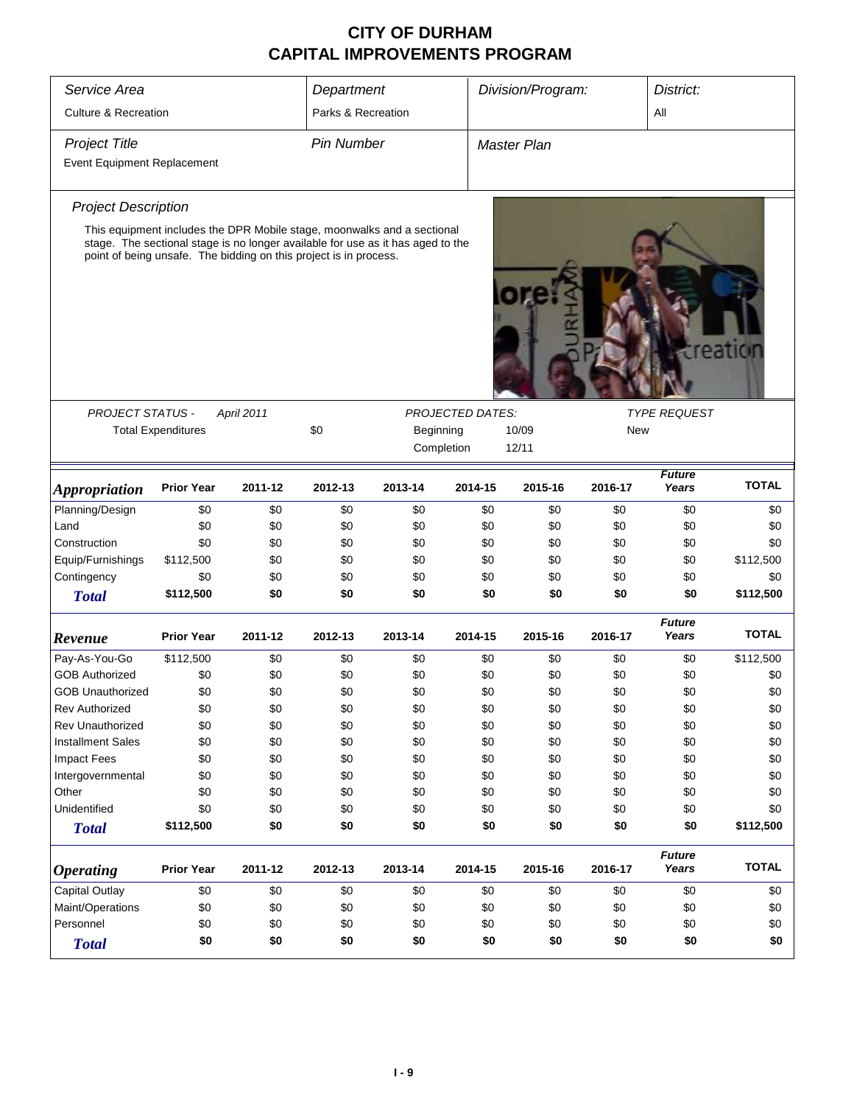| Service Area                                                         |                                                                   |            | Department         |                                                                                 |                         | Division/Program:  |         | District:              |              |  |
|----------------------------------------------------------------------|-------------------------------------------------------------------|------------|--------------------|---------------------------------------------------------------------------------|-------------------------|--------------------|---------|------------------------|--------------|--|
| <b>Culture &amp; Recreation</b>                                      |                                                                   |            | Parks & Recreation |                                                                                 |                         |                    |         | All                    |              |  |
| <b>Project Title</b>                                                 |                                                                   |            | <b>Pin Number</b>  |                                                                                 |                         | <b>Master Plan</b> |         |                        |              |  |
| <b>Event Equipment Replacement</b>                                   |                                                                   |            |                    |                                                                                 |                         |                    |         |                        |              |  |
| <b>Project Description</b>                                           |                                                                   |            |                    |                                                                                 |                         |                    |         |                        |              |  |
|                                                                      |                                                                   |            |                    | This equipment includes the DPR Mobile stage, moonwalks and a sectional         |                         |                    |         |                        |              |  |
|                                                                      | point of being unsafe. The bidding on this project is in process. |            |                    | stage. The sectional stage is no longer available for use as it has aged to the |                         |                    |         |                        | creatiol     |  |
| PROJECT STATUS -                                                     |                                                                   | April 2011 |                    |                                                                                 | <b>PROJECTED DATES:</b> |                    |         | <b>TYPE REQUEST</b>    |              |  |
|                                                                      | <b>Total Expenditures</b>                                         |            | \$0                | Beginning                                                                       |                         | 10/09              | New     |                        |              |  |
|                                                                      |                                                                   |            |                    | Completion                                                                      |                         | 12/11              |         |                        |              |  |
|                                                                      |                                                                   |            |                    |                                                                                 |                         |                    |         | <b>Future</b>          |              |  |
| <i><b>Appropriation</b></i>                                          | <b>Prior Year</b>                                                 | 2011-12    | 2012-13            | 2013-14                                                                         | 2014-15                 | 2015-16            | 2016-17 | Years                  | <b>TOTAL</b> |  |
| Planning/Design                                                      | \$0                                                               | \$0        | \$0                | \$0                                                                             | \$0                     | \$0                | \$0     | \$0                    | \$0          |  |
| Land                                                                 | \$0                                                               | \$0        | \$0                | \$0                                                                             | \$0                     | \$0                | \$0     | \$0                    | \$0          |  |
| Construction                                                         | \$0                                                               | \$0        | \$0                | \$0                                                                             | \$0                     | \$0                | \$0     | \$0                    | \$0          |  |
| Equip/Furnishings                                                    | \$112,500                                                         | \$0        | \$0                | \$0                                                                             | \$0                     | \$0                | \$0     | \$0                    | \$112,500    |  |
| Contingency                                                          | \$0                                                               | \$0        | \$0                | \$0                                                                             | \$0                     | \$0                | \$0     | \$0                    | \$0          |  |
| <b>Total</b>                                                         | \$112,500                                                         | \$0        | \$0                | \$0                                                                             | \$0                     | \$0                | \$0     | \$0                    | \$112,500    |  |
| Revenue                                                              | <b>Prior Year</b>                                                 | 2011-12    | 2012-13            | 2013-14                                                                         | 2014-15                 | 2015-16            | 2016-17 | <b>Future</b><br>Years | <b>TOTAL</b> |  |
| Pay-As-You-Go                                                        | \$112,500                                                         | \$0        | \$0                | \$0                                                                             | \$0                     | \$0                | \$0     | \$0                    | \$112,500    |  |
| <b>GOB Authorized</b>                                                | \$0                                                               | \$0        | \$0                | \$0                                                                             | \$0                     | \$0                | \$0     | \$0                    | \$0          |  |
| GOB Unauthorized                                                     | \$0                                                               | \$0        | \$0                | \$0                                                                             | \$0                     | \$0                | \$0     | \$0                    | \$0          |  |
| <b>Rev Authorized</b>                                                | \$0                                                               | \$0        | \$0                | \$0                                                                             | \$0                     | \$0                | \$0     | \$0                    | \$0          |  |
| Rev Unauthorized                                                     | \$0                                                               | \$0        | \$0                | \$0                                                                             | \$0                     | \$0                | \$0     | \$0                    | \$0          |  |
| <b>Installment Sales</b>                                             | \$0                                                               | \$0        | \$0                | \$0                                                                             | \$0                     | \$0                | \$0     | \$0                    | \$0          |  |
| <b>Impact Fees</b>                                                   | \$0                                                               | \$0        | \$0                | \$0                                                                             | \$0                     | \$0                | \$0     | \$0                    | \$0          |  |
| Intergovernmental                                                    | \$0                                                               | \$0        | \$0                | \$0                                                                             | \$0                     | \$0                | \$0     | \$0                    | \$0          |  |
| Other                                                                | \$0                                                               | \$0        | \$0                | \$0                                                                             | \$0                     | \$0                | \$0     | \$0                    | \$0          |  |
| Unidentified                                                         | \$0                                                               | \$0        | \$0                | \$0                                                                             | \$0                     | \$0                | \$0     | \$0                    | \$0          |  |
| <b>Total</b>                                                         | \$112,500                                                         | \$0        | \$0                | \$0                                                                             | \$0                     | \$0                | \$0     | \$0                    | \$112,500    |  |
| <b>Operating</b>                                                     | <b>Prior Year</b>                                                 | 2011-12    | 2012-13            | 2013-14                                                                         | 2014-15                 | 2015-16            | 2016-17 | <b>Future</b><br>Years | <b>TOTAL</b> |  |
| Capital Outlay                                                       | \$0                                                               | \$0        | \$0                | \$0                                                                             | \$0                     | \$0                | \$0     | \$0                    | \$0          |  |
| Maint/Operations                                                     | \$0                                                               | \$0        | \$0                | \$0                                                                             | \$0                     | \$0                | \$0     | \$0                    | \$0          |  |
| Personnel                                                            | \$0                                                               | \$0        | \$0                | \$0                                                                             | \$0                     | \$0                | \$0     | \$0                    | \$0          |  |
| \$0<br>\$0<br>\$0<br>\$0<br>\$0<br>\$0<br>\$0<br>\$0<br><b>Total</b> |                                                                   |            |                    |                                                                                 |                         |                    |         | \$0                    |              |  |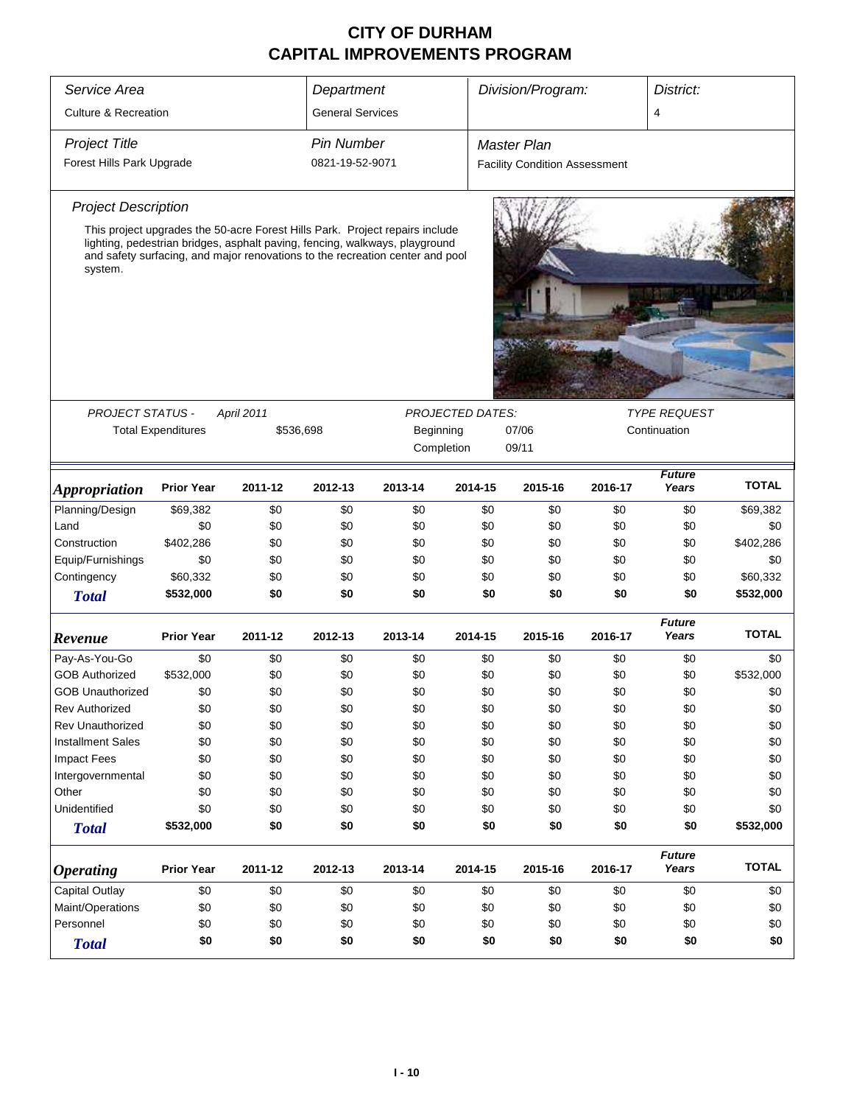| Service Area                                    |                           |            | Department              |                                                                                                                                                                                                                                              |                         | Division/Program:                    |         | District:              |              |  |
|-------------------------------------------------|---------------------------|------------|-------------------------|----------------------------------------------------------------------------------------------------------------------------------------------------------------------------------------------------------------------------------------------|-------------------------|--------------------------------------|---------|------------------------|--------------|--|
| <b>Culture &amp; Recreation</b>                 |                           |            | <b>General Services</b> |                                                                                                                                                                                                                                              |                         |                                      |         | 4                      |              |  |
| <b>Project Title</b>                            |                           |            | <b>Pin Number</b>       |                                                                                                                                                                                                                                              |                         | <b>Master Plan</b>                   |         |                        |              |  |
| Forest Hills Park Upgrade                       |                           |            | 0821-19-52-9071         |                                                                                                                                                                                                                                              |                         | <b>Facility Condition Assessment</b> |         |                        |              |  |
| <b>Project Description</b>                      |                           |            |                         |                                                                                                                                                                                                                                              |                         |                                      |         |                        |              |  |
| system.                                         |                           |            |                         | This project upgrades the 50-acre Forest Hills Park. Project repairs include<br>lighting, pedestrian bridges, asphalt paving, fencing, walkways, playground<br>and safety surfacing, and major renovations to the recreation center and pool |                         |                                      |         |                        |              |  |
|                                                 |                           |            |                         |                                                                                                                                                                                                                                              |                         |                                      |         |                        |              |  |
|                                                 |                           |            |                         |                                                                                                                                                                                                                                              |                         |                                      |         |                        |              |  |
| <b>PROJECT STATUS -</b>                         |                           | April 2011 |                         |                                                                                                                                                                                                                                              | <b>PROJECTED DATES:</b> |                                      |         | <b>TYPE REQUEST</b>    |              |  |
|                                                 | <b>Total Expenditures</b> | \$536,698  |                         | Beginning                                                                                                                                                                                                                                    |                         | Continuation                         |         |                        |              |  |
|                                                 |                           |            |                         |                                                                                                                                                                                                                                              | Completion              | 09/11                                |         |                        |              |  |
| <i><b>Appropriation</b></i>                     | <b>Prior Year</b>         | 2011-12    | 2012-13                 | 2013-14                                                                                                                                                                                                                                      | 2014-15                 | 2015-16                              | 2016-17 | <b>Future</b><br>Years | <b>TOTAL</b> |  |
| Planning/Design                                 | \$69,382                  | \$0        | \$0                     | \$0                                                                                                                                                                                                                                          | \$0                     | \$0                                  | \$0     | \$0                    | \$69,382     |  |
| Land                                            | \$0                       | \$0        | \$0                     | \$0                                                                                                                                                                                                                                          | \$0                     | \$0                                  | \$0     | \$0                    | \$0          |  |
| Construction                                    | \$402,286                 | \$0        | \$0                     | \$0                                                                                                                                                                                                                                          | \$0                     | \$0                                  | \$0     | \$0                    | \$402,286    |  |
| Equip/Furnishings                               | \$0                       | \$0        | \$0                     | \$0                                                                                                                                                                                                                                          | \$0                     | \$0                                  | \$0     | \$0                    | \$0          |  |
| Contingency                                     | \$60,332                  | \$0        | \$0                     | \$0                                                                                                                                                                                                                                          | \$0                     | \$0                                  | \$0     | \$0                    | \$60,332     |  |
| <b>Total</b>                                    | \$532,000                 | \$0        | \$0                     | \$0                                                                                                                                                                                                                                          | \$0                     | \$0                                  | \$0     | \$0                    | \$532,000    |  |
| Revenue                                         | <b>Prior Year</b>         | 2011-12    | 2012-13                 | 2013-14                                                                                                                                                                                                                                      | 2014-15                 | 2015-16                              | 2016-17 | <b>Future</b><br>Years | <b>TOTAL</b> |  |
| Pay-As-You-Go                                   | \$0                       | \$0        | \$0                     | \$0                                                                                                                                                                                                                                          | \$0                     | \$0                                  | \$0     | \$0                    | \$0          |  |
| <b>GOB Authorized</b>                           | \$532,000                 | \$0        | \$0                     | \$0                                                                                                                                                                                                                                          | \$0                     | \$0                                  | \$0     | \$0                    | \$532,000    |  |
| <b>GOB Unauthorized</b>                         | \$0                       | \$0        | \$0                     | \$0                                                                                                                                                                                                                                          | \$0                     | \$0                                  | \$0     | \$0                    | \$0          |  |
| <b>Rev Authorized</b>                           | \$0                       | \$0        | \$0                     | \$0                                                                                                                                                                                                                                          | \$0                     | \$0                                  | \$0     | \$0                    | \$0          |  |
| <b>Rev Unauthorized</b>                         | \$0                       | \$0        | \$0                     | \$0                                                                                                                                                                                                                                          | \$0                     | \$0                                  | \$0     | \$0                    | \$0          |  |
| <b>Installment Sales</b>                        | \$0                       | \$0        | \$0                     | \$0                                                                                                                                                                                                                                          | \$0                     | \$0                                  | \$0     | \$0                    | \$0          |  |
| <b>Impact Fees</b>                              | \$0                       | \$0        | \$0                     | \$0                                                                                                                                                                                                                                          | \$0                     | \$0                                  | \$0     | \$0                    | \$0          |  |
| Intergovernmental                               | \$0                       | \$0        | \$0                     | \$0                                                                                                                                                                                                                                          | \$0                     | \$0                                  | \$0     | \$0                    | \$0          |  |
| Other                                           | \$0                       | \$0        | \$0                     | \$0                                                                                                                                                                                                                                          | \$0                     | \$0                                  | \$0     | \$0                    | \$0          |  |
| Unidentified                                    | \$0                       | \$0        | \$0                     | \$0                                                                                                                                                                                                                                          | \$0                     | \$0                                  | \$0     | \$0                    | \$0          |  |
| <b>Total</b>                                    | \$532,000                 | \$0        | \$0                     | \$0                                                                                                                                                                                                                                          | \$0                     | \$0                                  | \$0     | \$0                    | \$532,000    |  |
| <b>Operating</b>                                | <b>Prior Year</b>         | 2011-12    | 2012-13                 | 2013-14                                                                                                                                                                                                                                      | 2014-15                 | 2015-16                              | 2016-17 | <b>Future</b><br>Years | <b>TOTAL</b> |  |
| Capital Outlay                                  | \$0                       | \$0        | \$0                     | \$0                                                                                                                                                                                                                                          | \$0                     | \$0                                  | \$0     | \$0                    | \$0          |  |
| Maint/Operations                                | \$0                       | \$0        | \$0                     | \$0                                                                                                                                                                                                                                          | \$0                     | \$0                                  | \$0     | \$0                    | \$0          |  |
| Personnel<br>\$0<br>\$0<br>\$0<br>\$0<br>\$0    |                           |            |                         |                                                                                                                                                                                                                                              | \$0                     | \$0                                  | \$0     | \$0                    |              |  |
| \$0<br>\$0<br>\$0<br>\$0<br>\$0<br><b>Total</b> |                           |            |                         |                                                                                                                                                                                                                                              |                         |                                      | \$0     | \$0                    | \$0          |  |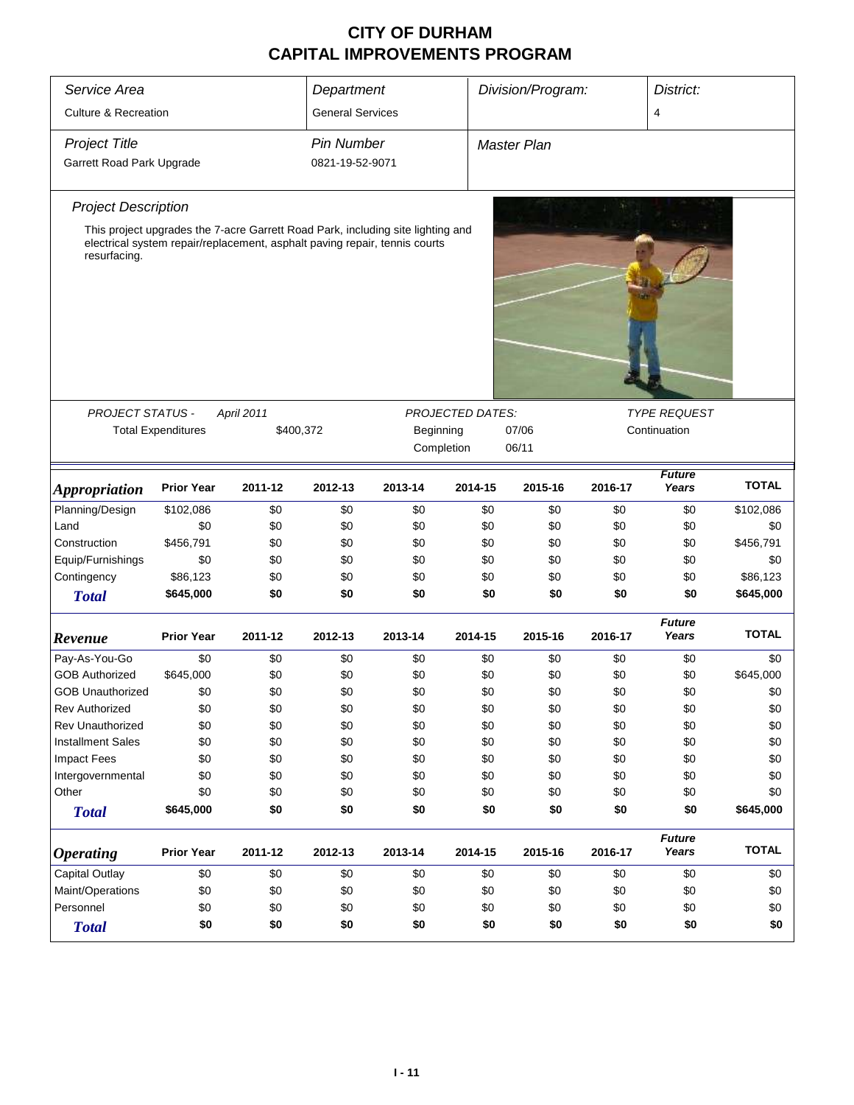| Service Area                    | Division/Program:<br>District:<br>Department |                                                                                 |                         |                         |                         |                    |         |                                     |              |
|---------------------------------|----------------------------------------------|---------------------------------------------------------------------------------|-------------------------|-------------------------|-------------------------|--------------------|---------|-------------------------------------|--------------|
| <b>Culture &amp; Recreation</b> |                                              |                                                                                 | <b>General Services</b> |                         |                         |                    |         | 4                                   |              |
| <b>Project Title</b>            |                                              |                                                                                 | <b>Pin Number</b>       |                         |                         | <b>Master Plan</b> |         |                                     |              |
| Garrett Road Park Upgrade       |                                              |                                                                                 | 0821-19-52-9071         |                         |                         |                    |         |                                     |              |
| <b>Project Description</b>      |                                              |                                                                                 |                         |                         |                         |                    |         |                                     |              |
|                                 |                                              | This project upgrades the 7-acre Garrett Road Park, including site lighting and |                         |                         |                         |                    |         |                                     |              |
| resurfacing.                    |                                              | electrical system repair/replacement, asphalt paving repair, tennis courts      |                         |                         |                         |                    |         |                                     |              |
|                                 |                                              |                                                                                 |                         |                         |                         |                    |         |                                     |              |
| <b>PROJECT STATUS -</b>         |                                              | April 2011                                                                      |                         |                         | <b>PROJECTED DATES:</b> |                    |         | <b>TYPE REQUEST</b><br>Continuation |              |
|                                 | <b>Total Expenditures</b>                    | \$400,372                                                                       |                         | Beginning<br>Completion |                         | 07/06<br>06/11     |         |                                     |              |
|                                 |                                              |                                                                                 |                         |                         |                         |                    |         |                                     |              |
| <i><b>Appropriation</b></i>     | <b>Prior Year</b>                            | 2011-12                                                                         | 2012-13                 | 2013-14                 | 2014-15                 | 2015-16            | 2016-17 | <b>Future</b><br>Years              | <b>TOTAL</b> |
| Planning/Design                 | \$102,086                                    | \$0                                                                             | \$0                     | \$0                     | \$0                     | \$0                | \$0     | \$0                                 | \$102,086    |
| Land                            | \$0                                          | \$0                                                                             | \$0                     | \$0                     | \$0                     | \$0                | \$0     | \$0                                 | \$0          |
| Construction                    | \$456,791                                    | \$0                                                                             | \$0                     | \$0                     | \$0                     | \$0                | \$0     | \$0                                 | \$456,791    |
| Equip/Furnishings               | \$0                                          | \$0                                                                             | \$0                     | \$0                     | \$0                     | \$0                | \$0     | \$0                                 | \$0          |
| Contingency                     | \$86,123                                     | \$0                                                                             | \$0                     | \$0                     | \$0                     | \$0                | \$0     | \$0                                 | \$86,123     |
| <b>Total</b>                    | \$645,000                                    | \$0                                                                             | \$0                     | \$0                     | \$0                     | \$0                | \$0     | \$0                                 | \$645,000    |
|                                 |                                              |                                                                                 |                         |                         |                         |                    |         | <b>Future</b>                       |              |
| Revenue                         | <b>Prior Year</b>                            | 2011-12                                                                         | 2012-13                 | 2013-14                 | 2014-15                 | 2015-16            | 2016-17 | Years                               | <b>TOTAL</b> |
| Pay-As-You-Go                   | \$0                                          | \$0                                                                             | \$0                     | \$0                     | \$0                     | \$0                | \$0     | \$0                                 | \$0          |
| <b>GOB Authorized</b>           | \$645,000                                    | \$0                                                                             | \$0                     | \$0                     | \$0                     | \$0                | \$0     | \$0                                 | \$645,000    |
| <b>GOB Unauthorized</b>         | \$0                                          | \$0                                                                             | \$0                     | \$0                     | \$0                     | \$0                | \$0     | \$0                                 | \$0          |
| Rev Authorized                  | \$0                                          | \$0                                                                             | \$0                     | \$0                     | \$0                     | \$0                | \$0     | \$0                                 | \$0          |
| Rev Unauthorized                | \$0                                          | \$0                                                                             | \$0                     | \$0                     | \$0                     | \$0                | \$0     | \$0                                 | \$0          |
| <b>Installment Sales</b>        | \$0                                          | \$0                                                                             | \$0                     | \$0                     | \$0                     | \$0                | \$0     | \$0                                 | \$0          |
| <b>Impact Fees</b>              | \$0                                          | \$0                                                                             | \$0                     | \$0                     | \$0                     | \$0                | \$0     | \$0                                 | \$0          |
| Intergovernmental               | \$0                                          | \$0                                                                             | \$0                     | \$0                     | \$0                     | \$0                | \$0     | \$0                                 | \$0          |
| Other                           | \$0                                          | \$0                                                                             | \$0                     | \$0                     | \$0                     | \$0                | \$0     | \$0                                 | \$0          |
| <b>Total</b>                    | \$645,000                                    | \$0                                                                             | \$0                     | \$0                     | \$0                     | \$0                | \$0     | \$0                                 | \$645,000    |
| <b>Operating</b>                | <b>Prior Year</b>                            | 2011-12                                                                         | 2012-13                 | 2013-14                 | 2014-15                 | 2015-16            | 2016-17 | <b>Future</b><br>Years              | <b>TOTAL</b> |
| Capital Outlay                  | \$0                                          | \$0                                                                             | \$0                     | \$0                     | \$0                     | \$0                | \$0     | \$0                                 | \$0          |
| Maint/Operations                | \$0                                          | \$0                                                                             | \$0                     | \$0                     | \$0                     | \$0                | \$0     | \$0                                 | \$0          |
| Personnel                       | \$0                                          | \$0                                                                             | \$0                     | \$0                     | \$0                     | \$0                | \$0     | \$0                                 | \$0          |
| <b>Total</b>                    | \$0                                          | \$0                                                                             | \$0                     | \$0                     | \$0                     | \$0                | \$0     | \$0                                 | \$0          |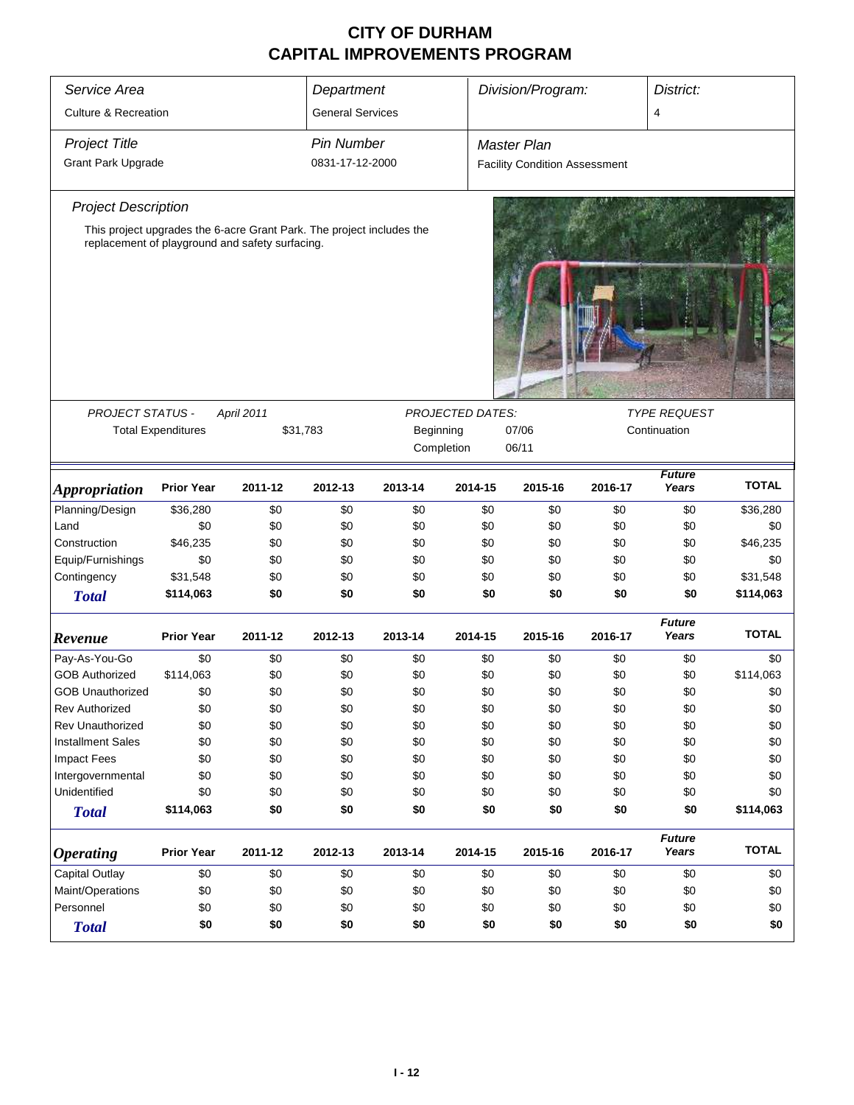| Service Area                                     |                           |                                                                       | Department              | Division/Program: |                         |                                      | District:  |                        |              |
|--------------------------------------------------|---------------------------|-----------------------------------------------------------------------|-------------------------|-------------------|-------------------------|--------------------------------------|------------|------------------------|--------------|
| <b>Culture &amp; Recreation</b>                  |                           |                                                                       | <b>General Services</b> |                   |                         |                                      |            | $\overline{4}$         |              |
| <b>Project Title</b>                             |                           |                                                                       | <b>Pin Number</b>       |                   |                         | <b>Master Plan</b>                   |            |                        |              |
| <b>Grant Park Upgrade</b>                        |                           |                                                                       | 0831-17-12-2000         |                   |                         | <b>Facility Condition Assessment</b> |            |                        |              |
| <b>Project Description</b>                       |                           |                                                                       |                         |                   |                         |                                      |            |                        |              |
|                                                  |                           | This project upgrades the 6-acre Grant Park. The project includes the |                         |                   |                         |                                      |            |                        |              |
|                                                  |                           | replacement of playground and safety surfacing.                       |                         |                   |                         |                                      |            |                        |              |
|                                                  |                           |                                                                       |                         |                   |                         |                                      |            |                        |              |
|                                                  |                           |                                                                       |                         |                   | <b>PROJECTED DATES:</b> |                                      |            | <b>TYPE REQUEST</b>    |              |
| PROJECT STATUS -                                 | <b>Total Expenditures</b> | April 2011<br>\$31,783                                                |                         | Beginning         |                         | 07/06                                |            | Continuation           |              |
|                                                  |                           |                                                                       |                         |                   | Completion              | 06/11                                |            |                        |              |
|                                                  |                           |                                                                       |                         |                   |                         |                                      |            |                        |              |
| <i><b>Appropriation</b></i>                      | <b>Prior Year</b>         | 2011-12                                                               | 2012-13                 | 2013-14           | 2014-15                 | 2015-16                              | 2016-17    | <b>Future</b><br>Years | <b>TOTAL</b> |
| Planning/Design                                  | \$36,280                  | \$0                                                                   | \$0                     | \$0               | \$0                     | \$0                                  | \$0        | \$0                    | \$36,280     |
| Land                                             | \$0                       | \$0                                                                   | \$0                     | \$0               | \$0                     | \$0                                  | \$0        | \$0                    | \$0          |
| Construction                                     | \$46,235                  | \$0                                                                   | \$0                     | \$0               | \$0                     | \$0                                  | \$0        | \$0                    | \$46,235     |
| Equip/Furnishings                                | \$0                       | \$0                                                                   | \$0                     | \$0               | \$0                     | \$0                                  | \$0        | \$0                    | \$0          |
| Contingency                                      | \$31,548                  | \$0                                                                   | \$0                     | \$0               | \$0                     | \$0                                  | \$0        | \$0                    | \$31,548     |
| <b>Total</b>                                     | \$114,063                 | \$0                                                                   | \$0                     | \$0               | \$0                     | \$0                                  | \$0        | \$0                    | \$114,063    |
|                                                  | <b>Prior Year</b>         | 2011-12                                                               | 2012-13                 | 2013-14           | 2014-15                 | 2015-16                              | 2016-17    | <b>Future</b><br>Years | <b>TOTAL</b> |
| Revenue                                          |                           |                                                                       |                         |                   |                         |                                      |            |                        |              |
| Pay-As-You-Go                                    | \$0                       | \$0                                                                   | \$0                     | \$0               | \$0                     | \$0                                  | \$0        | \$0                    | \$0          |
| <b>GOB Authorized</b>                            | \$114,063                 | \$0                                                                   | \$0                     | \$0               | \$0                     | \$0                                  | \$0        | \$0                    | \$114,063    |
| <b>GOB Unauthorized</b>                          | \$0                       | \$0                                                                   | \$0                     | \$0               | \$0                     | \$0                                  | \$0        | \$0                    | \$0          |
| <b>Rev Authorized</b><br><b>Rev Unauthorized</b> | \$0                       | \$0                                                                   | \$0                     | \$0               | \$0                     | \$0                                  | \$0        | \$0                    | \$0          |
|                                                  | \$0                       | \$0                                                                   | \$0                     | \$0               | \$0                     | \$0                                  | \$0        | \$0                    | \$0          |
| <b>Installment Sales</b>                         | \$0<br>\$0                | \$0<br>\$0                                                            | \$0<br>\$0              | \$0<br>\$0        | \$0                     | \$0<br>\$0                           | \$0        | \$0                    | \$0<br>\$0   |
| <b>Impact Fees</b><br>Intergovernmental          | \$0                       | \$0                                                                   | \$0                     | \$0               | \$0<br>\$0              | \$0                                  | \$0<br>\$0 | \$0<br>\$0             | \$0          |
| Unidentified                                     | \$0                       | \$0                                                                   | \$0                     | \$0               | \$0                     | \$0                                  | \$0        | \$0                    | \$0          |
|                                                  | \$114,063                 | \$0                                                                   | \$0                     | \$0               | \$0                     | \$0                                  | \$0        | \$0                    | \$114,063    |
| <b>Total</b>                                     |                           |                                                                       |                         |                   |                         |                                      |            |                        |              |
| <i><b>Operating</b></i>                          | <b>Prior Year</b>         | 2011-12                                                               | 2012-13                 | 2013-14           | 2014-15                 | 2015-16                              | 2016-17    | <b>Future</b><br>Years | <b>TOTAL</b> |
| Capital Outlay                                   | \$0                       | \$0                                                                   | \$0                     | \$0               | \$0                     | \$0                                  | \$0        | \$0                    | \$0          |
| Maint/Operations                                 | \$0                       | \$0                                                                   | \$0                     | \$0               | \$0                     | \$0                                  | \$0        | \$0                    | \$0          |
| Personnel                                        | \$0                       | \$0                                                                   | \$0                     | \$0               | \$0                     | \$0                                  | \$0        | \$0                    | \$0          |
| <b>Total</b>                                     | \$0                       | \$0                                                                   | \$0                     | \$0               | \$0                     | \$0                                  | \$0        | \$0                    | \$0          |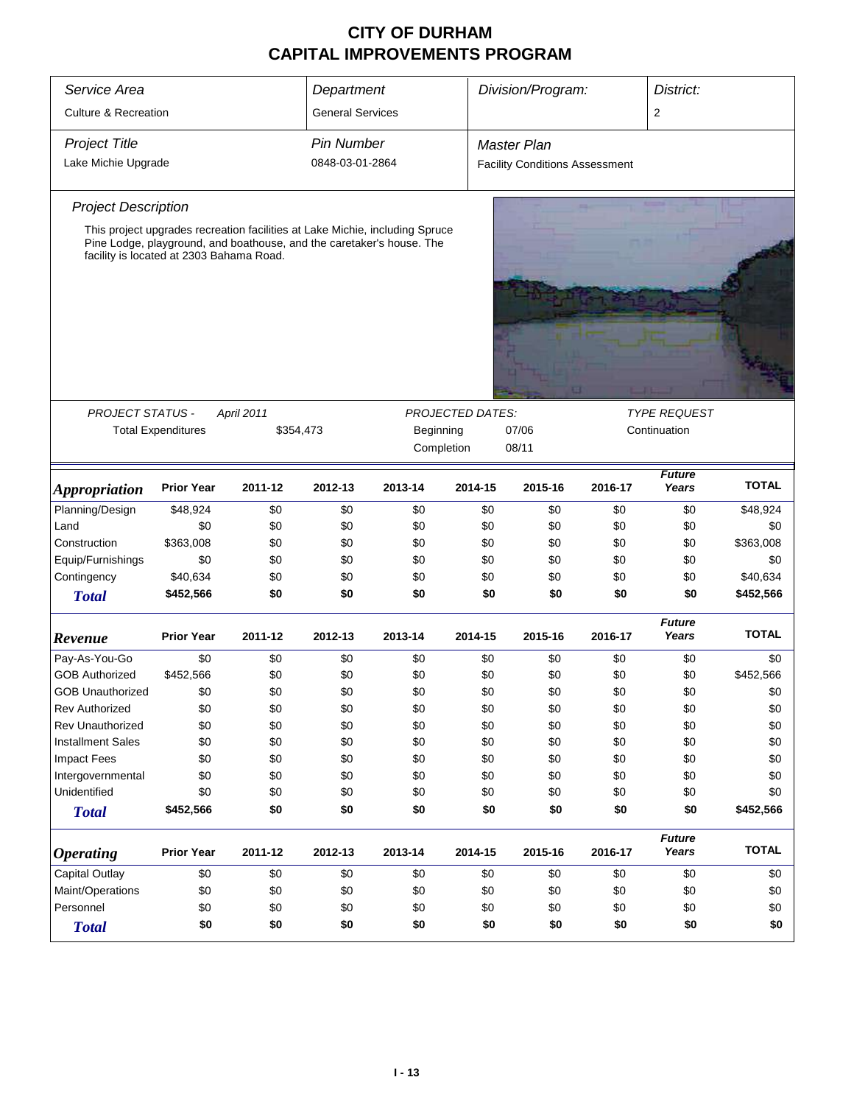| Service Area                             | Department                |                                                                              |                         | Division/Program: |                         | District:                             |            |                        |                  |
|------------------------------------------|---------------------------|------------------------------------------------------------------------------|-------------------------|-------------------|-------------------------|---------------------------------------|------------|------------------------|------------------|
| <b>Culture &amp; Recreation</b>          |                           |                                                                              | <b>General Services</b> |                   |                         |                                       |            | $\overline{2}$         |                  |
| <b>Project Title</b>                     |                           |                                                                              | <b>Pin Number</b>       |                   |                         | <b>Master Plan</b>                    |            |                        |                  |
| Lake Michie Upgrade                      |                           |                                                                              | 0848-03-01-2864         |                   |                         | <b>Facility Conditions Assessment</b> |            |                        |                  |
| <b>Project Description</b>               |                           |                                                                              |                         |                   |                         |                                       |            |                        |                  |
|                                          |                           | This project upgrades recreation facilities at Lake Michie, including Spruce |                         |                   |                         |                                       |            |                        |                  |
| facility is located at 2303 Bahama Road. |                           | Pine Lodge, playground, and boathouse, and the caretaker's house. The        |                         |                   |                         |                                       |            |                        |                  |
|                                          |                           |                                                                              |                         |                   |                         |                                       |            |                        |                  |
|                                          |                           |                                                                              |                         |                   |                         |                                       |            |                        |                  |
|                                          |                           |                                                                              |                         |                   |                         |                                       |            |                        |                  |
|                                          |                           |                                                                              |                         |                   |                         |                                       |            |                        |                  |
|                                          |                           |                                                                              |                         |                   | <b>PROJECTED DATES:</b> |                                       |            |                        |                  |
| PROJECT STATUS -                         |                           | April 2011                                                                   |                         |                   | <b>TYPE REQUEST</b>     |                                       |            |                        |                  |
|                                          | <b>Total Expenditures</b> | Beginning<br>07/06<br>\$354,473<br>Completion<br>08/11                       |                         |                   |                         |                                       |            | Continuation           |                  |
|                                          |                           |                                                                              |                         |                   |                         |                                       |            |                        |                  |
| <i><b>Appropriation</b></i>              | <b>Prior Year</b>         | 2011-12                                                                      | 2012-13                 | 2013-14           | 2014-15                 | 2015-16                               | 2016-17    | <b>Future</b><br>Years | <b>TOTAL</b>     |
| Planning/Design                          | \$48,924                  | \$0                                                                          | \$0                     | \$0               | \$0                     | \$0                                   | \$0        | \$0                    | \$48,924         |
| Land                                     | \$0                       | \$0                                                                          | \$0                     | \$0               | \$0                     | \$0                                   | \$0        | \$0                    | \$0              |
| Construction                             | \$363,008                 | \$0                                                                          | \$0                     | \$0               | \$0                     | \$0                                   | \$0        | \$0                    | \$363,008        |
| Equip/Furnishings                        | \$0                       | \$0                                                                          | \$0                     | \$0               | \$0                     | \$0                                   | \$0        | \$0                    | \$0              |
| Contingency                              | \$40,634                  | \$0                                                                          | \$0                     | \$0               | \$0                     | \$0                                   | \$0        | \$0                    | \$40,634         |
| <b>Total</b>                             | \$452,566                 | \$0                                                                          | \$0                     | \$0               | \$0                     | \$0                                   | \$0        | \$0                    | \$452,566        |
| Revenue                                  | <b>Prior Year</b>         | 2011-12                                                                      | 2012-13                 | 2013-14           | 2014-15                 | 2015-16                               | 2016-17    | <b>Future</b><br>Years | <b>TOTAL</b>     |
|                                          |                           |                                                                              |                         |                   |                         |                                       |            |                        |                  |
| Pay-As-You-Go<br><b>GOB Authorized</b>   | \$0<br>\$452,566          | \$0<br>\$0                                                                   | \$0<br>\$0              | \$0<br>\$0        | \$0<br>\$0              | \$0<br>\$0                            | \$0<br>\$0 | \$0<br>\$0             | \$0<br>\$452,566 |
| <b>GOB Unauthorized</b>                  | \$0                       | \$0                                                                          | \$0                     | \$0               | \$0                     | \$0                                   | \$0        | \$0                    | \$0              |
| Rev Authorized                           | \$0                       | \$0                                                                          | \$0                     | \$0               | \$0                     | \$0                                   | \$0        | \$0                    | \$0              |
| Rev Unauthorized                         | \$0                       | \$0                                                                          | \$0                     | \$0               | \$0                     | \$0                                   | \$0        | \$0                    | \$0              |
| <b>Installment Sales</b>                 | \$0                       | \$0                                                                          | \$0                     | \$0               | \$0                     | \$0                                   | \$0        | \$0                    | \$0              |
| <b>Impact Fees</b>                       | \$0                       | \$0                                                                          | \$0                     | \$0               | \$0                     | \$0                                   | \$0        | \$0                    | \$0              |
| Intergovernmental                        | \$0                       | \$0                                                                          | \$0                     | \$0               | \$0                     | \$0                                   | \$0        | \$0                    | \$0              |
| Unidentified                             | \$0                       | \$0                                                                          | \$0                     | \$0               | \$0                     | \$0                                   | \$0        | \$0                    | \$0              |
| <b>Total</b>                             | \$452,566                 | \$0                                                                          | \$0                     | \$0               | \$0                     | \$0                                   | \$0        | \$0                    | \$452,566        |
| <b>Operating</b>                         | <b>Prior Year</b>         | 2011-12                                                                      | 2012-13                 | 2013-14           | 2014-15                 | 2015-16                               | 2016-17    | <b>Future</b><br>Years | <b>TOTAL</b>     |
| Capital Outlay                           | \$0                       | \$0                                                                          | \$0                     | \$0               | \$0                     | \$0                                   | \$0        | \$0                    | \$0              |
| Maint/Operations                         | \$0                       | \$0                                                                          | \$0                     | \$0               | \$0                     | \$0                                   | \$0        | \$0                    | \$0              |
| Personnel<br>\$0<br>\$0<br>\$0<br>\$0    |                           |                                                                              |                         |                   | \$0                     | \$0                                   | \$0        | \$0                    | \$0              |
| <b>Total</b>                             | \$0                       | \$0                                                                          | \$0                     | \$0               | \$0                     | \$0                                   | \$0        | \$0                    | \$0              |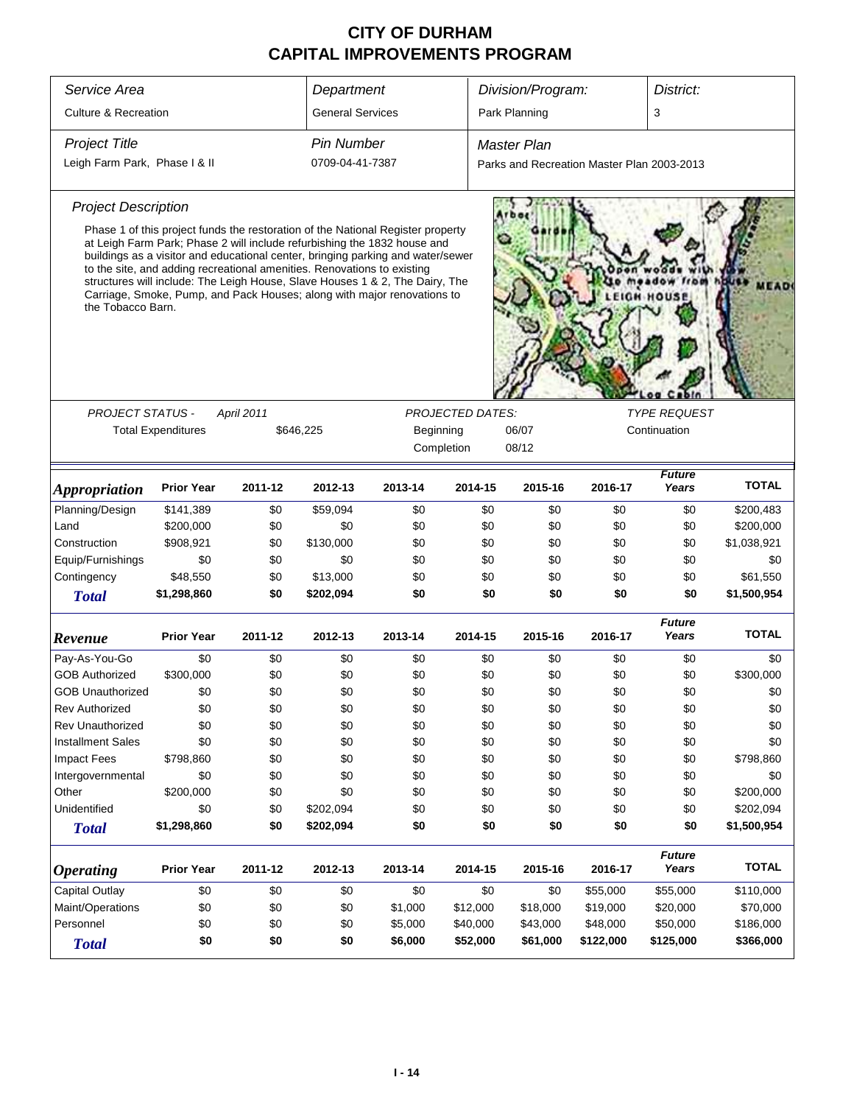| Service Area                  |                                                                                                                                                                                                                                                                                                                                                                                                                                                                                      |            | Department              | Division/Program: |                         |                                            | District: |                        |              |
|-------------------------------|--------------------------------------------------------------------------------------------------------------------------------------------------------------------------------------------------------------------------------------------------------------------------------------------------------------------------------------------------------------------------------------------------------------------------------------------------------------------------------------|------------|-------------------------|-------------------|-------------------------|--------------------------------------------|-----------|------------------------|--------------|
| Culture & Recreation          |                                                                                                                                                                                                                                                                                                                                                                                                                                                                                      |            | <b>General Services</b> |                   |                         | Park Planning                              |           | 3                      |              |
| <b>Project Title</b>          |                                                                                                                                                                                                                                                                                                                                                                                                                                                                                      |            | <b>Pin Number</b>       |                   |                         | <b>Master Plan</b>                         |           |                        |              |
| Leigh Farm Park, Phase I & II |                                                                                                                                                                                                                                                                                                                                                                                                                                                                                      |            | 0709-04-41-7387         |                   |                         | Parks and Recreation Master Plan 2003-2013 |           |                        |              |
|                               |                                                                                                                                                                                                                                                                                                                                                                                                                                                                                      |            |                         |                   |                         |                                            |           |                        |              |
| <b>Project Description</b>    |                                                                                                                                                                                                                                                                                                                                                                                                                                                                                      |            |                         |                   |                         |                                            |           |                        |              |
| the Tobacco Barn.             | Phase 1 of this project funds the restoration of the National Register property<br>at Leigh Farm Park; Phase 2 will include refurbishing the 1832 house and<br>buildings as a visitor and educational center, bringing parking and water/sewer<br>to the site, and adding recreational amenities. Renovations to existing<br>structures will include: The Leigh House, Slave Houses 1 & 2, The Dairy, The<br>Carriage, Smoke, Pump, and Pack Houses; along with major renovations to |            |                         |                   |                         |                                            |           |                        |              |
|                               |                                                                                                                                                                                                                                                                                                                                                                                                                                                                                      |            |                         |                   | <b>TYPE REQUEST</b>     |                                            |           |                        |              |
| <b>PROJECT STATUS -</b>       | <b>Total Expenditures</b>                                                                                                                                                                                                                                                                                                                                                                                                                                                            | April 2011 | \$646,225               | Beginning         | <b>PROJECTED DATES:</b> | 06/07                                      |           | Continuation           |              |
|                               |                                                                                                                                                                                                                                                                                                                                                                                                                                                                                      |            |                         |                   | Completion              | 08/12                                      |           |                        |              |
|                               |                                                                                                                                                                                                                                                                                                                                                                                                                                                                                      |            |                         |                   |                         |                                            |           |                        |              |
| <b>Appropriation</b>          | <b>Prior Year</b>                                                                                                                                                                                                                                                                                                                                                                                                                                                                    | 2011-12    | 2012-13                 | 2013-14           | 2014-15                 | 2015-16                                    | 2016-17   | <b>Future</b><br>Years | <b>TOTAL</b> |
| Planning/Design               | \$141,389                                                                                                                                                                                                                                                                                                                                                                                                                                                                            | \$0        | \$59,094                | \$0               | \$0                     | \$0                                        | \$0       | \$0                    | \$200,483    |
| Land                          | \$200,000                                                                                                                                                                                                                                                                                                                                                                                                                                                                            | \$0        | \$0                     | \$0               | \$0                     | \$0                                        | \$0       | \$0                    | \$200,000    |
| Construction                  | \$908,921                                                                                                                                                                                                                                                                                                                                                                                                                                                                            | \$0        | \$130,000               | \$0               | \$0                     | \$0                                        | \$0       | \$0                    | \$1,038,921  |
| Equip/Furnishings             | \$0                                                                                                                                                                                                                                                                                                                                                                                                                                                                                  | \$0        | \$0                     | \$0               | \$0                     | \$0                                        | \$0       | \$0                    | \$0          |
| Contingency                   | \$48,550                                                                                                                                                                                                                                                                                                                                                                                                                                                                             | \$0        | \$13,000                | \$0               | \$0                     | \$0                                        | \$0       | \$0                    | \$61,550     |
| <b>Total</b>                  | \$1,298,860                                                                                                                                                                                                                                                                                                                                                                                                                                                                          | \$0        | \$202,094               | \$0               | \$0                     | \$0                                        | \$0       | \$0                    | \$1,500,954  |
| Revenue                       | <b>Prior Year</b>                                                                                                                                                                                                                                                                                                                                                                                                                                                                    | 2011-12    | 2012-13                 | 2013-14           | 2014-15                 | 2015-16                                    | 2016-17   | <b>Future</b><br>Years | <b>TOTAL</b> |
| Pay-As-You-Go                 | \$0                                                                                                                                                                                                                                                                                                                                                                                                                                                                                  | \$0        | \$0                     | \$0               | \$0                     | \$0                                        | \$0       | \$0                    | \$0          |
| <b>GOB Authorized</b>         | \$300,000                                                                                                                                                                                                                                                                                                                                                                                                                                                                            | \$0        | \$0                     | \$0               | \$0                     | \$0                                        | \$0       | \$0                    | \$300,000    |
| <b>GOB Unauthorized</b>       | \$0                                                                                                                                                                                                                                                                                                                                                                                                                                                                                  | \$0        | \$0                     | \$0               | \$0                     | \$0                                        | \$0       | \$0                    | \$0          |
| <b>Rev Authorized</b>         | \$0                                                                                                                                                                                                                                                                                                                                                                                                                                                                                  | \$0        | \$0                     | \$0               | \$0                     | \$0                                        | \$0       | \$0                    | \$0          |
| <b>Rev Unauthorized</b>       | \$0                                                                                                                                                                                                                                                                                                                                                                                                                                                                                  | \$0        | \$0                     | \$0               | \$0                     | \$0                                        | \$0       | \$0                    | \$0          |
| <b>Installment Sales</b>      | \$0                                                                                                                                                                                                                                                                                                                                                                                                                                                                                  | \$0        | \$0                     | \$0               | \$0                     | \$0                                        | \$0       | \$0                    | \$0          |
| Impact Fees                   | \$798,860                                                                                                                                                                                                                                                                                                                                                                                                                                                                            | \$0        | \$0                     | \$0               | \$0                     | \$0                                        | \$0       | \$0                    | \$798,860    |
| Intergovernmental             | \$0                                                                                                                                                                                                                                                                                                                                                                                                                                                                                  | \$0        | \$0                     | \$0               | \$0                     | \$0                                        | \$0       | \$0                    | \$0          |
| Other                         | \$200,000                                                                                                                                                                                                                                                                                                                                                                                                                                                                            | \$0        | \$0                     | \$0               | \$0                     | \$0                                        | \$0       | \$0                    | \$200,000    |
| Unidentified                  | \$0                                                                                                                                                                                                                                                                                                                                                                                                                                                                                  | \$0        | \$202,094               | \$0               | \$0                     | \$0                                        | \$0       | \$0                    | \$202,094    |
| <b>Total</b>                  | \$1,298,860                                                                                                                                                                                                                                                                                                                                                                                                                                                                          | \$0        | \$202,094               | \$0               | \$0                     | \$0                                        | \$0       | \$0                    | \$1,500,954  |
| <b>Operating</b>              | <b>Prior Year</b>                                                                                                                                                                                                                                                                                                                                                                                                                                                                    | 2011-12    | 2012-13                 | 2013-14           | 2014-15                 | 2015-16                                    | 2016-17   | <b>Future</b><br>Years | <b>TOTAL</b> |
| Capital Outlay                | \$0                                                                                                                                                                                                                                                                                                                                                                                                                                                                                  | \$0        | \$0                     | \$0               | \$0                     | \$0                                        | \$55,000  | \$55,000               | \$110,000    |
| Maint/Operations              | \$0                                                                                                                                                                                                                                                                                                                                                                                                                                                                                  | \$0        | \$0                     | \$1,000           | \$12,000                | \$18,000                                   | \$19,000  | \$20,000               | \$70,000     |
| Personnel                     | \$0                                                                                                                                                                                                                                                                                                                                                                                                                                                                                  | \$0        | \$0                     | \$5,000           | \$40,000                | \$43,000                                   | \$48,000  | \$50,000               | \$186,000    |
| <b>Total</b>                  | \$0                                                                                                                                                                                                                                                                                                                                                                                                                                                                                  | \$0        | \$0                     | \$6,000           | \$52,000                | \$61,000                                   | \$122,000 | \$125,000              | \$366,000    |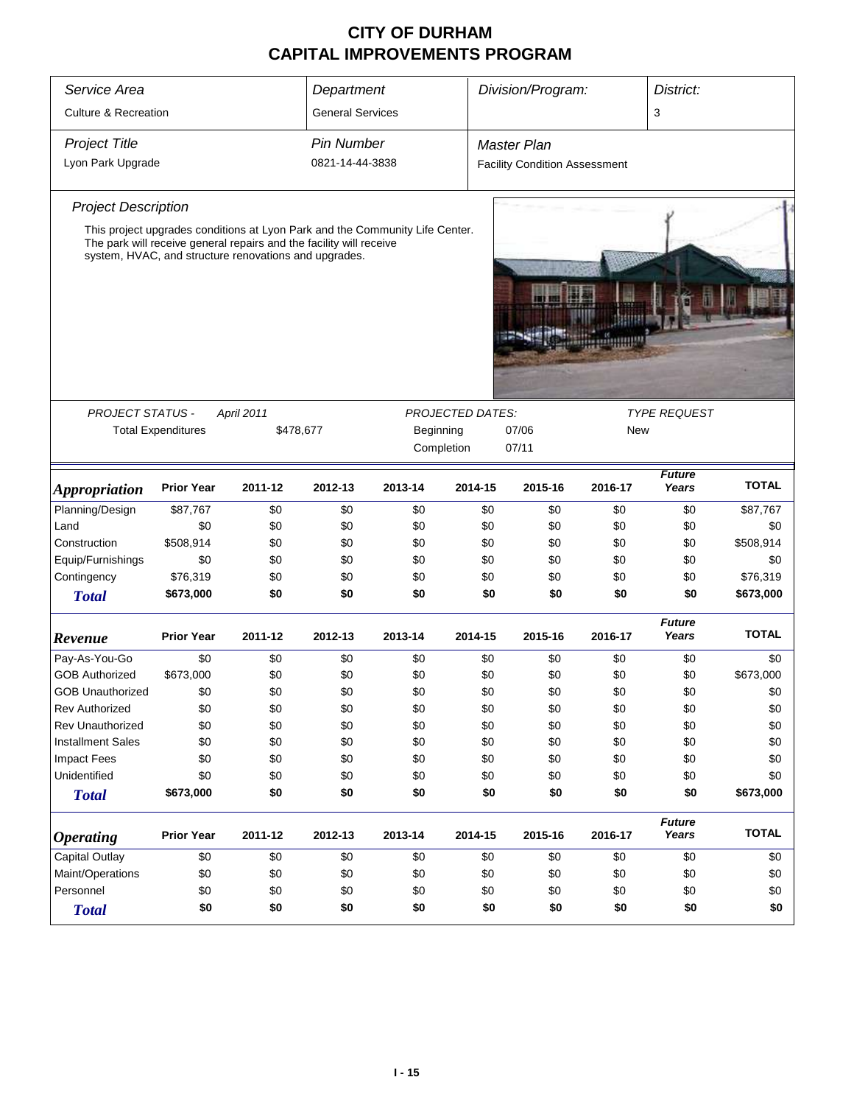| Service Area                                             |                           |                                                                                                                              |                                                                      | Division/Program:<br>District:<br>Department                                 |         |                                      |         |                        |              |  |
|----------------------------------------------------------|---------------------------|------------------------------------------------------------------------------------------------------------------------------|----------------------------------------------------------------------|------------------------------------------------------------------------------|---------|--------------------------------------|---------|------------------------|--------------|--|
| <b>Culture &amp; Recreation</b>                          |                           |                                                                                                                              | <b>General Services</b>                                              |                                                                              |         |                                      |         | 3                      |              |  |
| <b>Project Title</b>                                     |                           |                                                                                                                              | <b>Pin Number</b>                                                    |                                                                              |         | <b>Master Plan</b>                   |         |                        |              |  |
| Lyon Park Upgrade                                        |                           |                                                                                                                              | 0821-14-44-3838                                                      |                                                                              |         | <b>Facility Condition Assessment</b> |         |                        |              |  |
| <b>Project Description</b>                               |                           |                                                                                                                              |                                                                      |                                                                              |         |                                      |         |                        |              |  |
|                                                          |                           | The park will receive general repairs and the facility will receive<br>system, HVAC, and structure renovations and upgrades. |                                                                      | This project upgrades conditions at Lyon Park and the Community Life Center. |         |                                      |         |                        |              |  |
| <b>PROJECT STATUS -</b>                                  |                           | April 2011                                                                                                                   |                                                                      |                                                                              |         |                                      |         | <b>TYPE REQUEST</b>    |              |  |
|                                                          | <b>Total Expenditures</b> | \$478,677                                                                                                                    | <b>PROJECTED DATES:</b><br>Beginning<br>07/06<br>Completion<br>07/11 |                                                                              |         |                                      |         | New                    |              |  |
| <b>Appropriation</b>                                     | <b>Prior Year</b>         | 2011-12                                                                                                                      | 2012-13                                                              | 2013-14                                                                      | 2014-15 | 2015-16                              | 2016-17 | <b>Future</b><br>Years | <b>TOTAL</b> |  |
| Planning/Design                                          | \$87,767                  | \$0                                                                                                                          | \$0                                                                  | \$0                                                                          | \$0     | \$0                                  | \$0     | \$0                    | \$87,767     |  |
| Land                                                     | \$0                       | \$0                                                                                                                          | \$0                                                                  | \$0                                                                          | \$0     | \$0                                  | \$0     | \$0                    | \$0          |  |
| Construction                                             | \$508,914                 | \$0                                                                                                                          | \$0                                                                  | \$0                                                                          | \$0     | \$0                                  | \$0     | \$0                    | \$508,914    |  |
| Equip/Furnishings                                        | \$0                       | \$0                                                                                                                          | \$0                                                                  | \$0                                                                          | \$0     | \$0                                  | \$0     | \$0                    | \$0          |  |
| Contingency                                              | \$76,319                  | \$0                                                                                                                          | \$0                                                                  | \$0                                                                          | \$0     | \$0                                  | \$0     | \$0                    | \$76,319     |  |
| <b>Total</b>                                             | \$673,000                 | \$0                                                                                                                          | \$0                                                                  | \$0                                                                          | \$0     | \$0                                  | \$0     | \$0                    | \$673,000    |  |
| Revenue                                                  | <b>Prior Year</b>         | 2011-12                                                                                                                      | 2012-13                                                              | 2013-14                                                                      | 2014-15 | 2015-16                              | 2016-17 | <b>Future</b><br>Years | <b>TOTAL</b> |  |
| Pay-As-You-Go                                            | \$0                       | \$0                                                                                                                          | \$0                                                                  | \$0                                                                          | \$0     | \$0                                  | \$0     | \$0                    | \$0          |  |
| <b>GOB Authorized</b>                                    | \$673,000                 | \$0                                                                                                                          | \$0                                                                  | \$0                                                                          | \$0     | \$0                                  | \$0     | \$0                    | \$673,000    |  |
| <b>GOB Unauthorized</b>                                  | \$0                       | \$0                                                                                                                          | \$0                                                                  | \$0                                                                          | \$0     | \$0                                  | \$0     | \$0                    | \$0          |  |
| Rev Authorized                                           | \$0                       | \$0                                                                                                                          | \$0                                                                  | \$0                                                                          | \$0     | \$0                                  | \$0     | \$0                    | \$0          |  |
| <b>Rev Unauthorized</b>                                  | \$0                       | \$0                                                                                                                          | \$0                                                                  | \$0                                                                          | \$0     | \$0                                  | \$0     | \$0                    | \$0          |  |
| <b>Installment Sales</b>                                 | \$0                       | \$0                                                                                                                          | \$0                                                                  | \$0                                                                          | \$0     | \$0                                  | \$0     | \$0                    | \$0          |  |
| <b>Impact Fees</b>                                       | \$0                       | \$0                                                                                                                          | \$0                                                                  | \$0                                                                          | \$0     | \$0                                  | \$0     | \$0                    | \$0          |  |
| Unidentified                                             | \$0                       | \$0                                                                                                                          | \$0                                                                  | \$0                                                                          | \$0     | \$0                                  | \$0     | \$0                    | \$0          |  |
| <b>Total</b>                                             | \$673,000                 | \$0                                                                                                                          | \$0                                                                  | \$0                                                                          | \$0     | \$0                                  | \$0     | \$0                    | \$673,000    |  |
| <b>Operating</b>                                         | <b>Prior Year</b>         | 2011-12                                                                                                                      | 2012-13                                                              | 2013-14                                                                      | 2014-15 | 2015-16                              | 2016-17 | <b>Future</b><br>Years | <b>TOTAL</b> |  |
| <b>Capital Outlay</b><br>\$0<br>\$0<br>\$0<br>\$0<br>\$0 |                           |                                                                                                                              |                                                                      |                                                                              | \$0     | \$0                                  | \$0     | \$0                    |              |  |
| Maint/Operations<br>\$0<br>\$0<br>\$0<br>\$0<br>\$0      |                           |                                                                                                                              |                                                                      |                                                                              | \$0     | \$0                                  | \$0     | \$0                    |              |  |
| Personnel<br>\$0<br>\$0<br>\$0<br>\$0<br>\$0             |                           |                                                                                                                              |                                                                      |                                                                              | \$0     | \$0                                  | \$0     | \$0                    |              |  |
| <b>Total</b>                                             | \$0                       | \$0                                                                                                                          | \$0                                                                  | \$0                                                                          | \$0     | \$0                                  | \$0     | \$0                    | \$0          |  |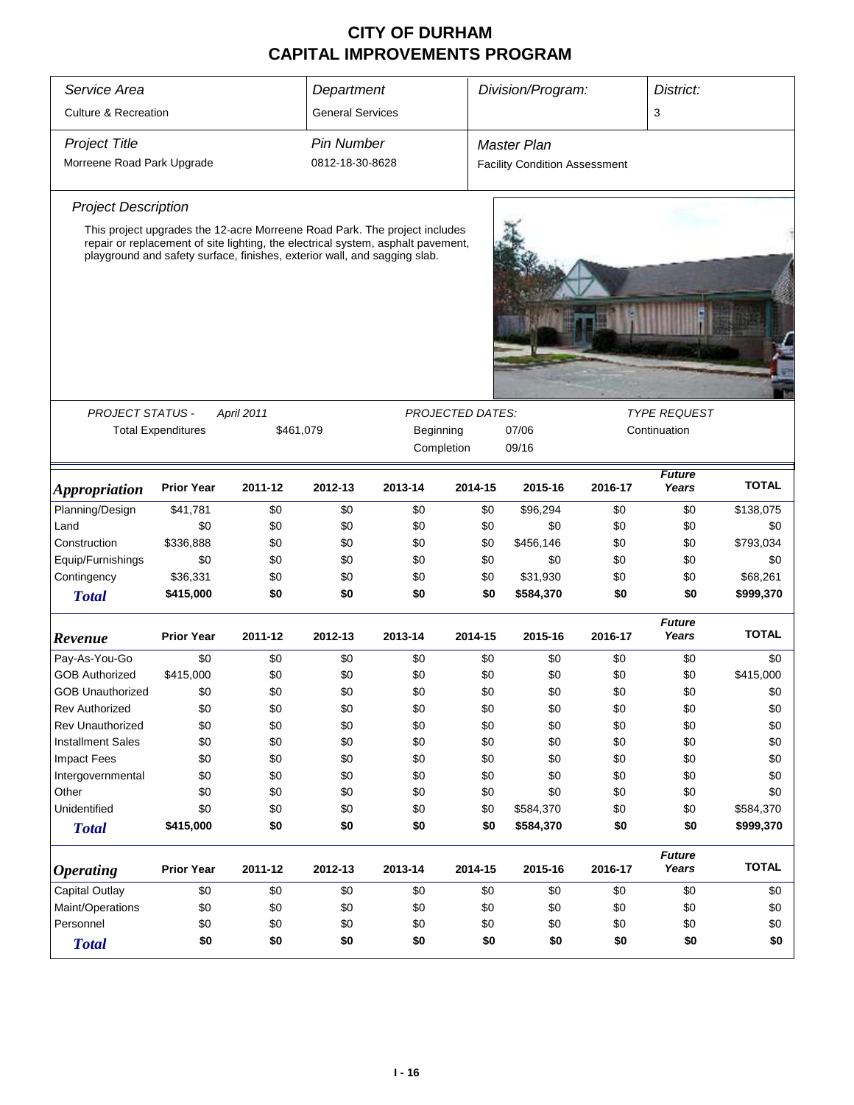| Service Area                                 | Division/Program:<br>District:                                                                                                                                |            |                                                        |                         |         |                                      |                                     |                        |              |
|----------------------------------------------|---------------------------------------------------------------------------------------------------------------------------------------------------------------|------------|--------------------------------------------------------|-------------------------|---------|--------------------------------------|-------------------------------------|------------------------|--------------|
|                                              |                                                                                                                                                               |            | Department                                             |                         |         |                                      |                                     |                        |              |
| <b>Culture &amp; Recreation</b>              |                                                                                                                                                               |            | <b>General Services</b>                                |                         |         |                                      |                                     | 3                      |              |
| <b>Project Title</b>                         |                                                                                                                                                               |            | <b>Pin Number</b>                                      |                         |         | <b>Master Plan</b>                   |                                     |                        |              |
| Morreene Road Park Upgrade                   |                                                                                                                                                               |            | 0812-18-30-8628                                        |                         |         | <b>Facility Condition Assessment</b> |                                     |                        |              |
| <b>Project Description</b>                   |                                                                                                                                                               |            |                                                        |                         |         |                                      |                                     |                        |              |
|                                              | This project upgrades the 12-acre Morreene Road Park. The project includes                                                                                    |            |                                                        |                         |         |                                      |                                     |                        |              |
|                                              | repair or replacement of site lighting, the electrical system, asphalt pavement,<br>playground and safety surface, finishes, exterior wall, and sagging slab. |            |                                                        |                         |         |                                      |                                     |                        |              |
|                                              |                                                                                                                                                               |            |                                                        |                         |         |                                      |                                     |                        |              |
|                                              |                                                                                                                                                               |            |                                                        |                         |         |                                      |                                     |                        |              |
| <b>PROJECT STATUS -</b>                      | <b>Total Expenditures</b>                                                                                                                                     | April 2011 |                                                        | <b>PROJECTED DATES:</b> |         |                                      | <b>TYPE REQUEST</b><br>Continuation |                        |              |
|                                              |                                                                                                                                                               |            | \$461,079<br>Beginning<br>07/06<br>Completion<br>09/16 |                         |         |                                      |                                     |                        |              |
|                                              |                                                                                                                                                               |            |                                                        |                         |         |                                      |                                     |                        |              |
| <i><b>Appropriation</b></i>                  | <b>Prior Year</b>                                                                                                                                             | 2011-12    | 2012-13                                                | 2013-14                 | 2014-15 | 2015-16                              | 2016-17                             | <b>Future</b><br>Years | <b>TOTAL</b> |
| Planning/Design                              | \$41,781                                                                                                                                                      | \$0        | \$0                                                    | \$0                     | \$0     | \$96,294                             | \$0                                 | \$0                    | \$138,075    |
| Land                                         | \$0                                                                                                                                                           | \$0        | \$0                                                    | \$0                     | \$0     | \$0                                  | \$0                                 | \$0                    | \$0          |
| Construction                                 | \$336,888                                                                                                                                                     | \$0        | \$0                                                    | \$0                     | \$0     | \$456,146                            | \$0                                 | \$0                    | \$793,034    |
| Equip/Furnishings                            | \$0                                                                                                                                                           | \$0        | \$0                                                    | \$0                     | \$0     | \$0                                  | \$0                                 | \$0                    | \$0          |
| Contingency                                  | \$36,331                                                                                                                                                      | \$0        | \$0                                                    | \$0                     | \$0     | \$31,930                             | \$0                                 | \$0                    | \$68,261     |
| <b>Total</b>                                 | \$415,000                                                                                                                                                     | \$0        | \$0                                                    | \$0                     | \$0     | \$584,370                            | \$0                                 | \$0                    | \$999,370    |
| Revenue                                      | <b>Prior Year</b>                                                                                                                                             | 2011-12    | 2012-13                                                | 2013-14                 | 2014-15 | 2015-16                              | 2016-17                             | <b>Future</b><br>Years | <b>TOTAL</b> |
| Pay-As-You-Go                                | \$0                                                                                                                                                           | \$0        | \$0                                                    | \$0                     | \$0     | \$0                                  | \$0                                 | \$0                    | \$0          |
| <b>GOB Authorized</b>                        | \$415,000                                                                                                                                                     | \$0        | \$0                                                    | \$0                     | \$0     | \$0                                  | \$0                                 | \$0                    | \$415,000    |
| <b>GOB Unauthorized</b>                      | \$0                                                                                                                                                           | \$0        | \$0                                                    | \$0                     | \$0     | \$0                                  | \$0                                 | \$0                    | \$0          |
| <b>Rev Authorized</b>                        | \$0                                                                                                                                                           | \$0        | \$0                                                    | \$0                     | \$0     | \$0                                  | \$0                                 | \$0                    | \$0          |
| <b>Rev Unauthorized</b>                      | \$0                                                                                                                                                           | \$0        | \$0                                                    | \$0                     | \$0     | \$0                                  | \$0                                 | \$0                    | \$0          |
| <b>Installment Sales</b>                     | \$0                                                                                                                                                           | \$0        | \$0                                                    | \$0                     | \$0     | \$0                                  | \$0                                 | \$0                    | \$0          |
| <b>Impact Fees</b>                           | \$0                                                                                                                                                           | \$0        | \$0                                                    | \$0                     | \$0     | \$0                                  | \$0                                 | \$0                    | \$0          |
| Intergovernmental                            | \$0                                                                                                                                                           | \$0        | \$0                                                    | \$0                     | \$0     | \$0                                  | \$0                                 | \$0                    | \$0          |
| Other                                        | \$0                                                                                                                                                           | \$0        | \$0                                                    | \$0                     | \$0     | \$0                                  | \$0                                 | \$0                    | \$0          |
| Unidentified                                 | \$0                                                                                                                                                           | \$0        | \$0                                                    | \$0                     | \$0     | \$584,370                            | \$0                                 | \$0                    | \$584,370    |
| <b>Total</b>                                 | \$415,000                                                                                                                                                     | \$0        | \$0                                                    | \$0                     | \$0     | \$584,370                            | \$0                                 | \$0                    | \$999,370    |
| <i><b>Operating</b></i>                      | <b>Prior Year</b>                                                                                                                                             | 2011-12    | 2012-13                                                | 2013-14                 | 2014-15 | 2015-16                              | 2016-17                             | <b>Future</b><br>Years | <b>TOTAL</b> |
| Capital Outlay                               | \$0                                                                                                                                                           | \$0        | \$0                                                    | \$0                     | \$0     | \$0                                  | \$0                                 | \$0                    | \$0          |
| Maint/Operations<br>\$0<br>\$0<br>\$0<br>\$0 |                                                                                                                                                               |            |                                                        |                         | \$0     | \$0                                  | \$0                                 | \$0                    | \$0          |
| Personnel<br>\$0<br>\$0<br>\$0<br>\$0        |                                                                                                                                                               |            |                                                        |                         | \$0     | \$0                                  | \$0                                 | \$0                    | \$0          |
| <b>Total</b>                                 | \$0                                                                                                                                                           | \$0        | \$0                                                    | \$0                     | \$0     | \$0                                  | \$0                                 | \$0                    | \$0          |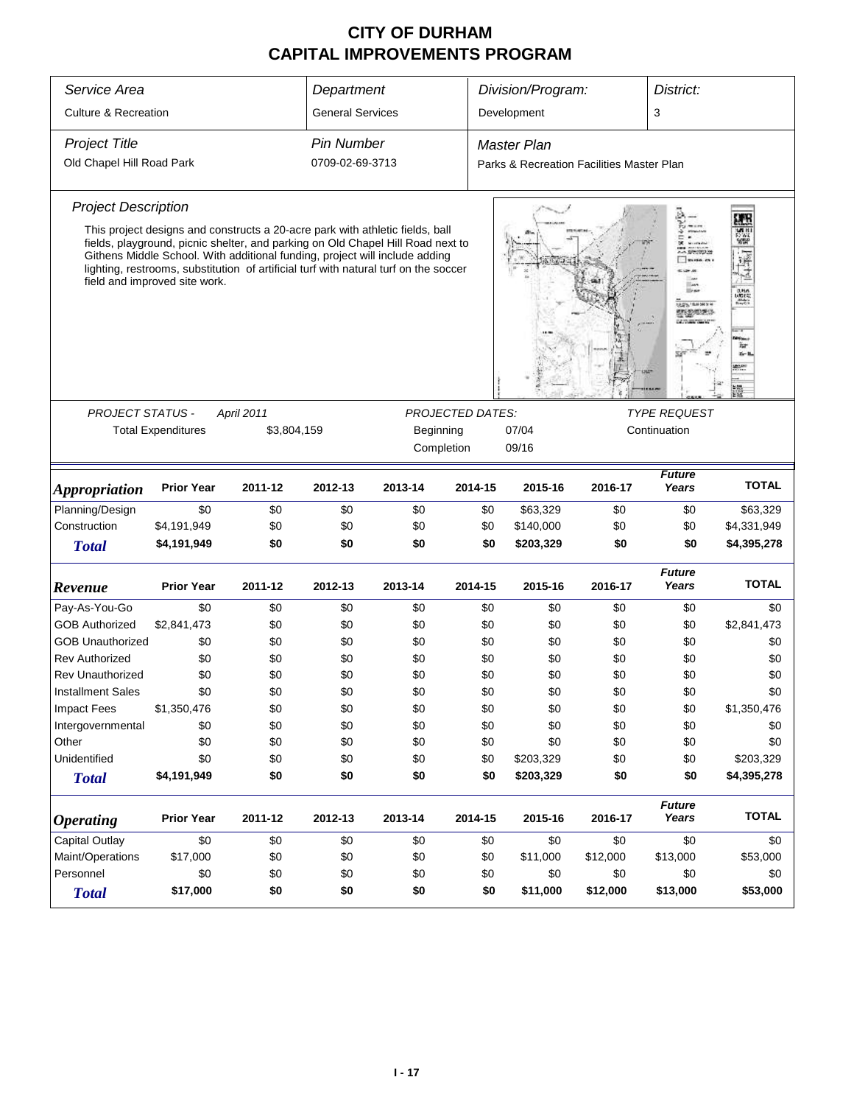| Service Area<br>Department<br>Division/Program:<br>District:                                 |                                                                                                                                                                                                                                                                                                                                                                          |                           |                                                |         |                                    |                                           |                                   |                        |                              |  |  |
|----------------------------------------------------------------------------------------------|--------------------------------------------------------------------------------------------------------------------------------------------------------------------------------------------------------------------------------------------------------------------------------------------------------------------------------------------------------------------------|---------------------------|------------------------------------------------|---------|------------------------------------|-------------------------------------------|-----------------------------------|------------------------|------------------------------|--|--|
| <b>Culture &amp; Recreation</b>                                                              |                                                                                                                                                                                                                                                                                                                                                                          |                           | <b>General Services</b>                        |         |                                    | Development                               |                                   | 3                      |                              |  |  |
| <b>Project Title</b>                                                                         |                                                                                                                                                                                                                                                                                                                                                                          |                           | <b>Pin Number</b>                              |         |                                    | <b>Master Plan</b>                        |                                   |                        |                              |  |  |
| Old Chapel Hill Road Park                                                                    |                                                                                                                                                                                                                                                                                                                                                                          |                           | 0709-02-69-3713                                |         |                                    | Parks & Recreation Facilities Master Plan |                                   |                        |                              |  |  |
| <b>Project Description</b>                                                                   |                                                                                                                                                                                                                                                                                                                                                                          |                           |                                                |         |                                    |                                           |                                   |                        | E.                           |  |  |
|                                                                                              | This project designs and constructs a 20-acre park with athletic fields, ball<br>fields, playground, picnic shelter, and parking on Old Chapel Hill Road next to<br>Githens Middle School. With additional funding, project will include adding<br>lighting, restrooms, substitution of artificial turf with natural turf on the soccer<br>field and improved site work. |                           |                                                |         |                                    |                                           |                                   | <b>STEP LEWARD H</b>   | 鹽<br>$rac{1}{\sqrt{2}}$<br>₩ |  |  |
| <b>PROJECT STATUS -</b>                                                                      |                                                                                                                                                                                                                                                                                                                                                                          |                           | <b>TYPE REQUEST</b><br><b>PROJECTED DATES:</b> |         |                                    |                                           |                                   |                        |                              |  |  |
|                                                                                              | <b>Total Expenditures</b>                                                                                                                                                                                                                                                                                                                                                | April 2011<br>\$3,804,159 |                                                |         | Beginning<br>07/04<br>Continuation |                                           |                                   |                        |                              |  |  |
|                                                                                              |                                                                                                                                                                                                                                                                                                                                                                          |                           |                                                |         | Completion                         | 09/16                                     |                                   |                        |                              |  |  |
| <i><b>Appropriation</b></i>                                                                  | <b>Prior Year</b>                                                                                                                                                                                                                                                                                                                                                        | 2011-12                   | 2012-13                                        | 2013-14 | 2014-15                            | 2015-16                                   | <b>Future</b><br>Years<br>2016-17 |                        |                              |  |  |
| Planning/Design                                                                              | \$0                                                                                                                                                                                                                                                                                                                                                                      | \$0                       | \$0                                            | \$0     | \$0                                | \$63,329                                  | \$0                               | \$0                    | \$63,329                     |  |  |
| Construction                                                                                 | \$4,191,949                                                                                                                                                                                                                                                                                                                                                              | \$0                       | \$0                                            | \$0     | \$0                                | \$140,000                                 | \$0                               | \$0                    | \$4,331,949                  |  |  |
| <b>Total</b>                                                                                 | \$4,191,949                                                                                                                                                                                                                                                                                                                                                              | \$0                       | \$0                                            | \$0     | \$0                                | \$203,329                                 | \$0                               | \$0                    | \$4,395,278                  |  |  |
| Revenue                                                                                      | <b>Prior Year</b>                                                                                                                                                                                                                                                                                                                                                        | 2011-12                   | 2012-13                                        | 2013-14 | 2014-15                            | 2015-16                                   | 2016-17                           | <b>Future</b><br>Years | <b>TOTAL</b>                 |  |  |
| Pay-As-You-Go                                                                                | \$0                                                                                                                                                                                                                                                                                                                                                                      | \$0                       | \$0                                            | \$0     | \$0                                | \$0                                       | \$0                               | \$0                    | \$0                          |  |  |
| <b>GOB Authorized</b>                                                                        | \$2,841,473                                                                                                                                                                                                                                                                                                                                                              | \$0                       | \$0                                            | \$0     | \$0                                | \$0                                       | \$0                               | \$0                    | \$2,841,473                  |  |  |
| <b>GOB Unauthorized</b>                                                                      | \$0                                                                                                                                                                                                                                                                                                                                                                      | \$0                       | \$0                                            | \$0     | \$0                                | \$0                                       | \$0                               | \$0                    | \$0                          |  |  |
| <b>Rev Authorized</b>                                                                        | \$0                                                                                                                                                                                                                                                                                                                                                                      | \$0                       | \$0                                            | \$0     | \$0                                | \$0                                       | \$0                               | \$0                    | \$0                          |  |  |
| <b>Rev Unauthorized</b>                                                                      | \$0                                                                                                                                                                                                                                                                                                                                                                      | \$0                       | \$0                                            | \$0     | \$0                                | \$0                                       | \$0                               | \$0                    | \$0                          |  |  |
| <b>Installment Sales</b>                                                                     | \$0                                                                                                                                                                                                                                                                                                                                                                      | \$0                       | \$0                                            | \$0     | \$0                                | \$0                                       | \$0                               | \$0                    | \$0                          |  |  |
| <b>Impact Fees</b>                                                                           | \$1,350,476                                                                                                                                                                                                                                                                                                                                                              | \$0                       | \$0                                            | \$0     | \$0                                | \$0                                       | \$0                               | \$0                    | \$1,350,476                  |  |  |
| Intergovernmental                                                                            | \$0                                                                                                                                                                                                                                                                                                                                                                      | \$0                       | \$0                                            | \$0     | \$0                                | \$0                                       | \$0                               | \$0                    | \$0                          |  |  |
| Other                                                                                        | \$0                                                                                                                                                                                                                                                                                                                                                                      | \$0                       | \$0                                            | \$0     | \$0                                | \$0                                       | \$0                               | \$0                    | \$0                          |  |  |
| Unidentified                                                                                 | \$0                                                                                                                                                                                                                                                                                                                                                                      | \$0                       | \$0                                            | \$0     | \$0                                | \$203,329                                 | \$0                               | \$0                    | \$203,329                    |  |  |
| <b>Total</b>                                                                                 | \$4,191,949                                                                                                                                                                                                                                                                                                                                                              | \$0                       | \$0                                            | \$0     | \$0                                | \$203,329                                 | \$0                               | \$0                    | \$4,395,278                  |  |  |
| <i><b>Operating</b></i>                                                                      | <b>Prior Year</b>                                                                                                                                                                                                                                                                                                                                                        | 2011-12                   | 2012-13                                        | 2013-14 | 2014-15                            | 2015-16                                   | 2016-17                           | <b>Future</b><br>Years | <b>TOTAL</b>                 |  |  |
| Capital Outlay<br>\$0<br>\$0<br>\$0<br>\$0<br>\$0<br>\$0<br>\$0<br>\$0                       |                                                                                                                                                                                                                                                                                                                                                                          |                           |                                                |         |                                    | \$0                                       |                                   |                        |                              |  |  |
| Maint/Operations<br>\$0<br>\$17,000<br>\$0<br>\$0<br>\$0<br>\$11,000<br>\$12,000<br>\$13,000 |                                                                                                                                                                                                                                                                                                                                                                          |                           |                                                |         |                                    | \$53,000                                  |                                   |                        |                              |  |  |
| Personnel<br>\$0<br>\$0<br>\$0<br>\$0<br>\$0<br>\$0<br>\$0<br>\$0                            |                                                                                                                                                                                                                                                                                                                                                                          |                           |                                                |         |                                    | \$0                                       |                                   |                        |                              |  |  |
| <b>Total</b>                                                                                 | \$0<br>\$0<br>\$17,000<br>\$0<br>\$0<br>\$11,000<br>\$12,000<br>\$13,000                                                                                                                                                                                                                                                                                                 |                           |                                                |         |                                    |                                           |                                   |                        | \$53,000                     |  |  |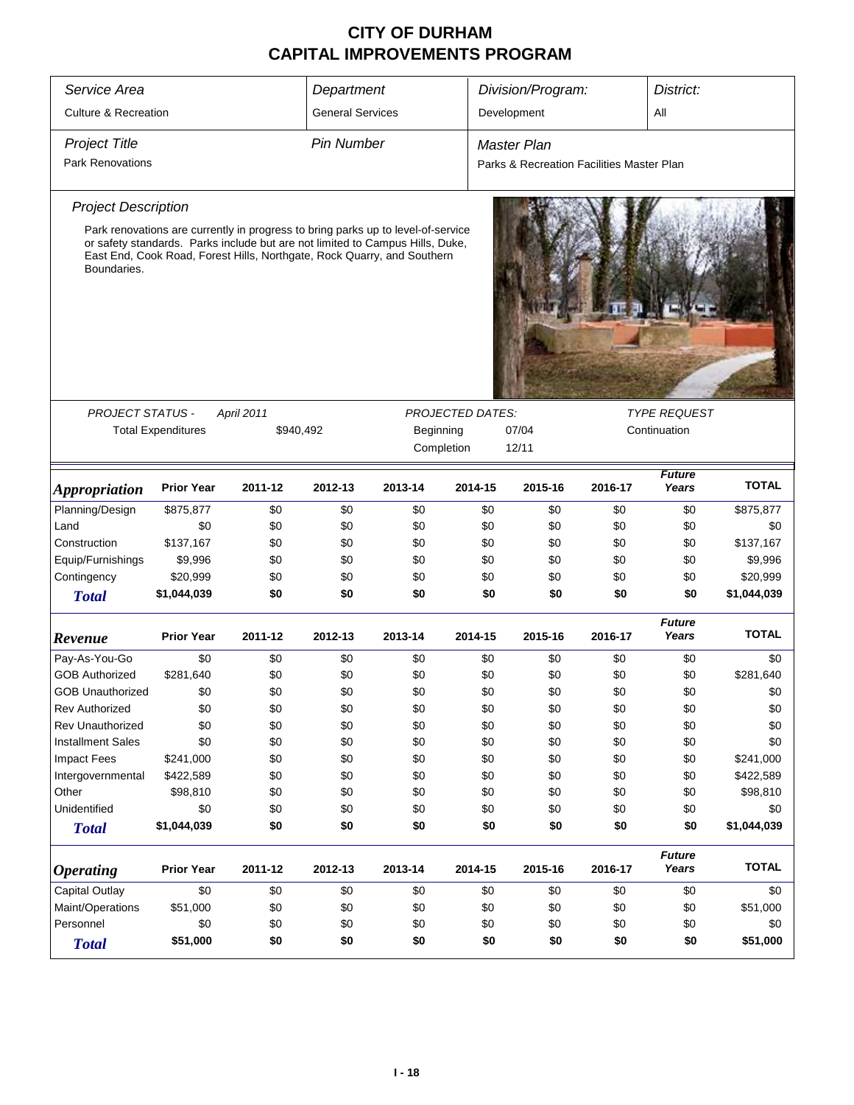| Service Area                          |                           |            | Department              |                                                                                                                                                                                                                                              |         | Division/Program:                         |         |                        | District:    |  |
|---------------------------------------|---------------------------|------------|-------------------------|----------------------------------------------------------------------------------------------------------------------------------------------------------------------------------------------------------------------------------------------|---------|-------------------------------------------|---------|------------------------|--------------|--|
| <b>Culture &amp; Recreation</b>       |                           |            | <b>General Services</b> |                                                                                                                                                                                                                                              |         | Development                               |         | All                    |              |  |
| <b>Project Title</b>                  |                           |            | <b>Pin Number</b>       |                                                                                                                                                                                                                                              |         | <b>Master Plan</b>                        |         |                        |              |  |
| <b>Park Renovations</b>               |                           |            |                         |                                                                                                                                                                                                                                              |         | Parks & Recreation Facilities Master Plan |         |                        |              |  |
| <b>Project Description</b>            |                           |            |                         |                                                                                                                                                                                                                                              |         |                                           |         |                        |              |  |
| Boundaries.                           |                           |            |                         | Park renovations are currently in progress to bring parks up to level-of-service<br>or safety standards. Parks include but are not limited to Campus Hills, Duke,<br>East End, Cook Road, Forest Hills, Northgate, Rock Quarry, and Southern |         |                                           |         |                        |              |  |
|                                       |                           |            |                         |                                                                                                                                                                                                                                              |         |                                           |         |                        |              |  |
| PROJECT STATUS -                      |                           | April 2011 | <b>TYPE REQUEST</b>     |                                                                                                                                                                                                                                              |         |                                           |         |                        |              |  |
|                                       | <b>Total Expenditures</b> |            | \$940,492               | Beginning                                                                                                                                                                                                                                    |         | 07/04                                     |         | Continuation           |              |  |
|                                       |                           |            | Completion<br>12/11     |                                                                                                                                                                                                                                              |         |                                           |         |                        |              |  |
| <i><b>Appropriation</b></i>           | <b>Prior Year</b>         | 2011-12    | 2012-13                 | 2013-14                                                                                                                                                                                                                                      | 2014-15 | 2015-16                                   | 2016-17 | <b>Future</b><br>Years | <b>TOTAL</b> |  |
| Planning/Design                       | \$875,877                 | \$0        | \$0                     | \$0                                                                                                                                                                                                                                          | \$0     | \$0                                       | \$0     | \$0                    | \$875,877    |  |
| Land                                  | \$0                       | \$0        | \$0                     | \$0                                                                                                                                                                                                                                          | \$0     | \$0                                       | \$0     | \$0                    | \$0          |  |
| Construction                          | \$137,167                 | \$0        | \$0                     | \$0                                                                                                                                                                                                                                          | \$0     | \$0                                       | \$0     | \$0                    | \$137,167    |  |
| Equip/Furnishings                     | \$9,996                   | \$0        | \$0                     | \$0                                                                                                                                                                                                                                          | \$0     | \$0                                       | \$0     | \$0                    | \$9,996      |  |
| Contingency                           | \$20,999                  | \$0        | \$0                     | \$0                                                                                                                                                                                                                                          | \$0     | \$0                                       | \$0     | \$0                    | \$20,999     |  |
| <b>Total</b>                          | \$1,044,039               | \$0        | \$0                     | \$0                                                                                                                                                                                                                                          | \$0     | \$0                                       | \$0     | \$0                    | \$1,044,039  |  |
| Revenue                               | <b>Prior Year</b>         | 2011-12    | 2012-13                 | 2013-14                                                                                                                                                                                                                                      | 2014-15 | 2015-16                                   | 2016-17 | <b>Future</b><br>Years | <b>TOTAL</b> |  |
| Pay-As-You-Go                         | \$0                       | \$0        | \$0                     | \$0                                                                                                                                                                                                                                          | \$0     | \$0                                       | \$0     | \$0                    | \$0          |  |
| <b>GOB Authorized</b>                 | \$281,640                 | \$0        | \$0                     | \$0                                                                                                                                                                                                                                          | \$0     | \$0                                       | \$0     | \$0                    | \$281,640    |  |
| <b>GOB Unauthorized</b>               | \$0                       | \$0        | \$0                     | \$0                                                                                                                                                                                                                                          | \$0     | \$0                                       | \$0     | \$0                    | \$0          |  |
| <b>Rev Authorized</b>                 | \$0                       | \$0        | \$0                     | \$0                                                                                                                                                                                                                                          | \$0     | \$0                                       | \$0     | \$0                    | \$0          |  |
| Rev Unauthorized                      | \$0                       | \$0        | \$0                     | \$0                                                                                                                                                                                                                                          | \$0     | \$0                                       | \$0     | \$0                    | \$0          |  |
| <b>Installment Sales</b>              | \$0                       | \$0        | \$0                     | \$0                                                                                                                                                                                                                                          | \$0     | \$0                                       | \$0     | \$0                    | \$0          |  |
| <b>Impact Fees</b>                    | \$241,000                 | \$0        | \$0                     | \$0                                                                                                                                                                                                                                          | \$0     | \$0                                       | \$0     | \$0                    | \$241,000    |  |
| Intergovernmental                     | \$422,589                 | \$0        | \$0                     | \$0                                                                                                                                                                                                                                          | \$0     | \$0                                       | \$0     | \$0                    | \$422,589    |  |
| Other                                 | \$98,810                  | \$0        | \$0                     | \$0                                                                                                                                                                                                                                          | \$0     | \$0                                       | \$0     | \$0                    | \$98,810     |  |
| Unidentified                          | \$0                       | \$0        | \$0                     | \$0                                                                                                                                                                                                                                          | \$0     | \$0                                       | \$0     | \$0                    | \$0          |  |
| <b>Total</b>                          | \$1,044,039               | \$0        | \$0                     | \$0                                                                                                                                                                                                                                          | \$0     | \$0                                       | \$0     | \$0                    | \$1,044,039  |  |
| <b>Operating</b>                      | <b>Prior Year</b>         | 2011-12    | 2012-13                 | 2013-14                                                                                                                                                                                                                                      | 2014-15 | 2015-16                                   | 2016-17 | <b>Future</b><br>Years | <b>TOTAL</b> |  |
| <b>Capital Outlay</b>                 | \$0                       | \$0        | \$0                     | \$0                                                                                                                                                                                                                                          | \$0     | \$0                                       | \$0     | \$0                    | \$0          |  |
| Maint/Operations                      | \$51,000                  | \$0        | \$0                     | \$0                                                                                                                                                                                                                                          | \$0     | \$0                                       | \$0     | \$0                    | \$51,000     |  |
| \$0<br>Personnel<br>\$0<br>\$0<br>\$0 |                           |            |                         |                                                                                                                                                                                                                                              | \$0     | \$0                                       | \$0     | \$0                    | \$0          |  |
| <b>Total</b>                          | \$51,000                  | \$0        | \$0                     | \$0                                                                                                                                                                                                                                          | \$0     | \$0                                       | \$0     | \$0                    | \$51,000     |  |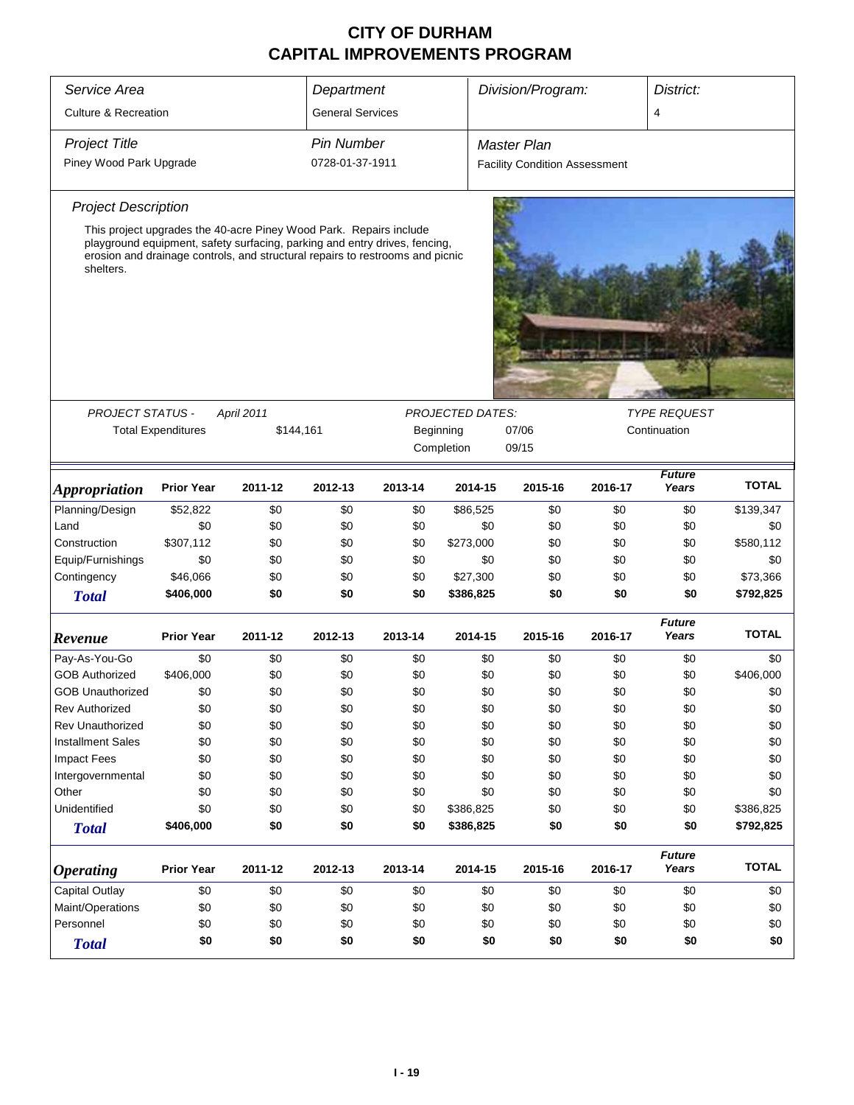| Service Area                    | Department                                                                                                                                                                                                                        |                         |                         | Division/Program: |                                                    | District:                                             |         |                        |              |  |
|---------------------------------|-----------------------------------------------------------------------------------------------------------------------------------------------------------------------------------------------------------------------------------|-------------------------|-------------------------|-------------------|----------------------------------------------------|-------------------------------------------------------|---------|------------------------|--------------|--|
| <b>Culture &amp; Recreation</b> |                                                                                                                                                                                                                                   |                         | <b>General Services</b> |                   |                                                    |                                                       |         | 4                      |              |  |
| <b>Project Title</b>            |                                                                                                                                                                                                                                   |                         | <b>Pin Number</b>       |                   |                                                    | <b>Master Plan</b>                                    |         |                        |              |  |
| Piney Wood Park Upgrade         |                                                                                                                                                                                                                                   |                         | 0728-01-37-1911         |                   |                                                    | <b>Facility Condition Assessment</b>                  |         |                        |              |  |
| <b>Project Description</b>      |                                                                                                                                                                                                                                   |                         |                         |                   |                                                    |                                                       |         |                        |              |  |
| shelters.                       | This project upgrades the 40-acre Piney Wood Park. Repairs include<br>playground equipment, safety surfacing, parking and entry drives, fencing,<br>erosion and drainage controls, and structural repairs to restrooms and picnic |                         |                         |                   |                                                    |                                                       |         |                        |              |  |
|                                 |                                                                                                                                                                                                                                   |                         |                         |                   |                                                    |                                                       |         |                        |              |  |
| <b>PROJECT STATUS -</b>         | <b>Total Expenditures</b>                                                                                                                                                                                                         | April 2011<br>\$144,161 |                         |                   | <b>PROJECTED DATES:</b><br>Beginning<br>Completion | <b>TYPE REQUEST</b><br>07/06<br>Continuation<br>09/15 |         |                        |              |  |
| <i><b>Appropriation</b></i>     | <b>Prior Year</b>                                                                                                                                                                                                                 | 2011-12                 | 2012-13                 | 2013-14           | 2014-15                                            | 2015-16                                               | 2016-17 | <b>Future</b><br>Years | <b>TOTAL</b> |  |
| Planning/Design                 | \$52,822                                                                                                                                                                                                                          | \$0                     | \$0                     | \$0               | \$86,525                                           | \$0                                                   | \$0     | \$0                    | \$139,347    |  |
| Land                            | \$0                                                                                                                                                                                                                               | \$0                     | \$0                     | \$0               | \$0                                                | \$0                                                   | \$0     | \$0                    | \$0          |  |
| Construction                    | \$307,112                                                                                                                                                                                                                         | \$0                     | \$0                     | \$0               | \$273,000                                          | \$0                                                   | \$0     | \$0                    | \$580,112    |  |
| Equip/Furnishings               | \$0                                                                                                                                                                                                                               | \$0                     | \$0                     | \$0               | \$0                                                | \$0                                                   | \$0     | \$0                    | \$0          |  |
| Contingency                     | \$46,066                                                                                                                                                                                                                          | \$0                     | \$0                     | \$0               | \$27,300                                           | \$0                                                   | \$0     | \$0                    | \$73,366     |  |
| <b>Total</b>                    | \$406,000                                                                                                                                                                                                                         | \$0                     | \$0                     | \$0               | \$386,825                                          | \$0                                                   | \$0     | \$0                    | \$792,825    |  |
| Revenue                         | <b>Prior Year</b>                                                                                                                                                                                                                 | 2011-12                 | 2012-13                 | 2013-14           | 2014-15                                            | 2015-16                                               | 2016-17 | <b>Future</b><br>Years | <b>TOTAL</b> |  |
| Pay-As-You-Go                   | \$0                                                                                                                                                                                                                               | \$0                     | \$0                     | \$0               | \$0                                                | \$0                                                   | \$0     | \$0                    | \$0          |  |
| <b>GOB Authorized</b>           | \$406,000                                                                                                                                                                                                                         | \$0                     | \$0                     | \$0               | \$0                                                | \$0                                                   | \$0     | \$0                    | \$406,000    |  |
| <b>GOB Unauthorized</b>         | \$0                                                                                                                                                                                                                               | \$0                     | \$0                     | \$0               | \$0                                                | \$0                                                   | \$0     | \$0                    | \$0          |  |
| <b>Rev Authorized</b>           | \$0                                                                                                                                                                                                                               | \$0                     | \$0                     | \$0               | \$0                                                | \$0                                                   | \$0     | \$0                    | \$0          |  |
| <b>Rev Unauthorized</b>         | \$0                                                                                                                                                                                                                               | \$0                     | \$0                     | \$0               | \$0                                                | \$0                                                   | \$0     | \$0                    | \$0          |  |
| <b>Installment Sales</b>        | \$0                                                                                                                                                                                                                               | \$0                     | \$0                     | \$0               | \$0                                                | \$0                                                   | \$0     | \$0                    | \$0          |  |
| <b>Impact Fees</b>              | \$0                                                                                                                                                                                                                               | \$0                     | \$0                     | \$0               | \$0                                                | \$0                                                   | \$0     | \$0                    | \$0          |  |
| Intergovernmental               | \$0                                                                                                                                                                                                                               | \$0                     | \$0                     | \$0               | \$0                                                | \$0                                                   | \$0     | \$0                    | \$0          |  |
| Other                           | \$0                                                                                                                                                                                                                               | \$0                     | \$0                     | \$0               | \$0                                                | \$0                                                   | \$0     | \$0                    | \$0          |  |
| Unidentified                    | \$0                                                                                                                                                                                                                               | \$0                     | \$0                     | \$0               | \$386,825                                          | \$0                                                   | \$0     | \$0                    | \$386,825    |  |
| <b>Total</b>                    | \$406,000                                                                                                                                                                                                                         | \$0                     | \$0                     | \$0               | \$386,825                                          | \$0                                                   | \$0     | \$0                    | \$792,825    |  |
| <i><b>Operating</b></i>         | <b>Prior Year</b>                                                                                                                                                                                                                 | 2011-12                 | 2012-13                 | 2013-14           | 2014-15                                            | 2015-16                                               | 2016-17 | <b>Future</b><br>Years | <b>TOTAL</b> |  |
| Capital Outlay                  | \$0                                                                                                                                                                                                                               | \$0                     | \$0                     | \$0               | \$0                                                | \$0                                                   | \$0     | \$0                    | \$0          |  |
| Maint/Operations                | \$0                                                                                                                                                                                                                               | \$0                     | \$0                     | \$0               | \$0                                                | \$0                                                   | \$0     | \$0                    | \$0          |  |
| Personnel                       | \$0                                                                                                                                                                                                                               | \$0                     | \$0                     | \$0               | \$0                                                | \$0                                                   | \$0     | \$0                    | \$0          |  |
| <b>Total</b>                    | \$0                                                                                                                                                                                                                               | \$0                     | \$0                     | \$0               | \$0                                                | \$0                                                   | \$0     | \$0                    | \$0          |  |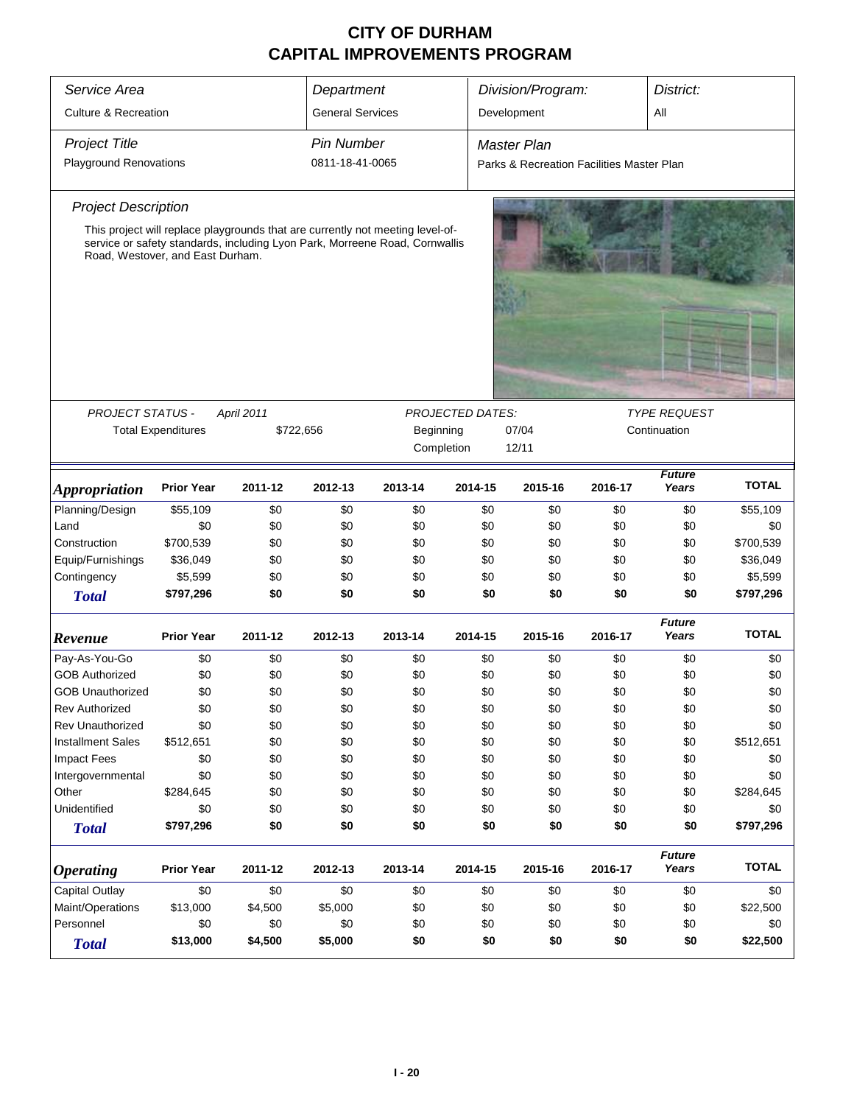| Service Area                          |                                       |            | Department              |                                                                                |                         | Division/Program:                         |         | District:              |              |  |  |
|---------------------------------------|---------------------------------------|------------|-------------------------|--------------------------------------------------------------------------------|-------------------------|-------------------------------------------|---------|------------------------|--------------|--|--|
| <b>Culture &amp; Recreation</b>       |                                       |            | <b>General Services</b> |                                                                                |                         | Development                               |         | All                    |              |  |  |
| <b>Project Title</b>                  |                                       |            | <b>Pin Number</b>       |                                                                                |                         | <b>Master Plan</b>                        |         |                        |              |  |  |
| <b>Playground Renovations</b>         |                                       |            | 0811-18-41-0065         |                                                                                |                         | Parks & Recreation Facilities Master Plan |         |                        |              |  |  |
| <b>Project Description</b>            |                                       |            |                         |                                                                                |                         |                                           |         |                        |              |  |  |
|                                       |                                       |            |                         | This project will replace playgrounds that are currently not meeting level-of- |                         |                                           |         |                        |              |  |  |
|                                       | Road, Westover, and East Durham.      |            |                         | service or safety standards, including Lyon Park, Morreene Road, Cornwallis    |                         |                                           |         |                        |              |  |  |
|                                       |                                       |            |                         |                                                                                |                         |                                           |         |                        |              |  |  |
| PROJECT STATUS -                      |                                       | April 2011 |                         |                                                                                | <b>PROJECTED DATES:</b> | <b>TYPE REQUEST</b><br>Continuation       |         |                        |              |  |  |
|                                       | <b>Total Expenditures</b>             |            | \$722,656               | Beginning                                                                      |                         | 07/04                                     |         |                        |              |  |  |
|                                       |                                       |            | Completion<br>12/11     |                                                                                |                         |                                           |         |                        |              |  |  |
| <i><b>Appropriation</b></i>           | <b>Prior Year</b>                     | 2011-12    | 2012-13                 | 2013-14                                                                        | 2014-15                 | 2015-16                                   | 2016-17 | <b>Future</b><br>Years | <b>TOTAL</b> |  |  |
| Planning/Design                       | \$55,109                              | \$0        | \$0                     | \$0                                                                            | \$0                     | \$0                                       | \$0     | \$0                    | \$55,109     |  |  |
| Land                                  | \$0                                   | \$0        | \$0                     | \$0                                                                            | \$0                     | \$0                                       | \$0     | \$0                    | \$0          |  |  |
| Construction                          | \$700,539                             | \$0        | \$0                     | \$0                                                                            | \$0                     | \$0                                       | \$0     | \$0                    | \$700,539    |  |  |
| Equip/Furnishings                     | \$36,049                              | \$0        | \$0                     | \$0                                                                            | \$0                     | \$0                                       | \$0     | \$0                    | \$36,049     |  |  |
| Contingency                           | \$5,599                               | \$0        | \$0                     | \$0                                                                            | \$0                     | \$0                                       | \$0     | \$0                    | \$5,599      |  |  |
| <b>Total</b>                          | \$797,296                             | \$0        | \$0                     | \$0                                                                            | \$0                     | \$0                                       | \$0     | \$0                    | \$797,296    |  |  |
| Revenue                               | <b>Prior Year</b>                     | 2011-12    | 2012-13                 | 2013-14                                                                        | 2014-15                 | 2015-16                                   | 2016-17 | <b>Future</b><br>Years | <b>TOTAL</b> |  |  |
| Pay-As-You-Go                         | \$0                                   | \$0        | \$0                     | \$0                                                                            | \$0                     | \$0                                       | \$0     | \$0                    | \$0          |  |  |
| <b>GOB Authorized</b>                 | \$0                                   | \$0        | \$0                     | \$0                                                                            | \$0                     | \$0                                       | \$0     | \$0                    | \$0          |  |  |
| <b>GOB Unauthorized</b>               | \$0                                   | \$0        | \$0                     | \$0                                                                            | \$0                     | \$0                                       | \$0     | \$0                    | \$0          |  |  |
| <b>Rev Authorized</b>                 | \$0                                   | \$0        | \$0                     | \$0                                                                            | \$0                     | \$0                                       | \$0     | \$0                    | \$0          |  |  |
| Rev Unauthorized                      | \$0                                   | \$0        | \$0                     | \$0                                                                            | \$0                     | \$0                                       | \$0     | \$0                    | \$0          |  |  |
| <b>Installment Sales</b>              | \$512,651                             | \$0        | \$0                     | \$0                                                                            | \$0                     | \$0                                       | \$0     | \$0                    | \$512,651    |  |  |
| <b>Impact Fees</b>                    | \$0                                   | \$0        | \$0                     | \$0                                                                            | \$0                     | \$0                                       | \$0     | \$0                    | \$0          |  |  |
| Intergovernmental                     | \$0                                   | \$0        | \$0                     | \$0                                                                            | \$0                     | \$0                                       | \$0     | \$0                    | \$0          |  |  |
| Other                                 | \$284,645                             | \$0        | \$0                     | \$0                                                                            | \$0                     | \$0                                       | \$0     | \$0                    | \$284,645    |  |  |
| Unidentified                          | \$0                                   | \$0        | \$0                     | \$0                                                                            | \$0                     | \$0                                       | \$0     | \$0                    | \$0          |  |  |
| <b>Total</b>                          | \$797,296                             | \$0        | \$0                     | \$0                                                                            | \$0                     | \$0                                       | \$0     | \$0                    | \$797,296    |  |  |
| <b>Operating</b>                      | <b>Prior Year</b>                     | 2011-12    | 2012-13                 | 2013-14                                                                        | 2014-15                 | 2015-16                                   | 2016-17 | <b>Future</b><br>Years | <b>TOTAL</b> |  |  |
| Capital Outlay                        | \$0                                   | \$0        | \$0                     | \$0                                                                            | \$0                     | \$0                                       | \$0     | \$0                    | \$0          |  |  |
| Maint/Operations                      | \$13,000                              | \$4,500    | \$5,000                 | \$0                                                                            | \$0                     | \$0                                       | \$0     | \$0                    | \$22,500     |  |  |
| Personnel<br>\$0<br>\$0<br>\$0<br>\$0 |                                       |            |                         | \$0                                                                            | \$0                     | \$0                                       | \$0     | \$0                    |              |  |  |
| <b>Total</b>                          | \$13,000<br>\$4,500<br>\$5,000<br>\$0 |            |                         |                                                                                |                         | \$0                                       | \$0     | \$0                    | \$22,500     |  |  |
|                                       |                                       |            |                         |                                                                                | \$0                     |                                           |         |                        |              |  |  |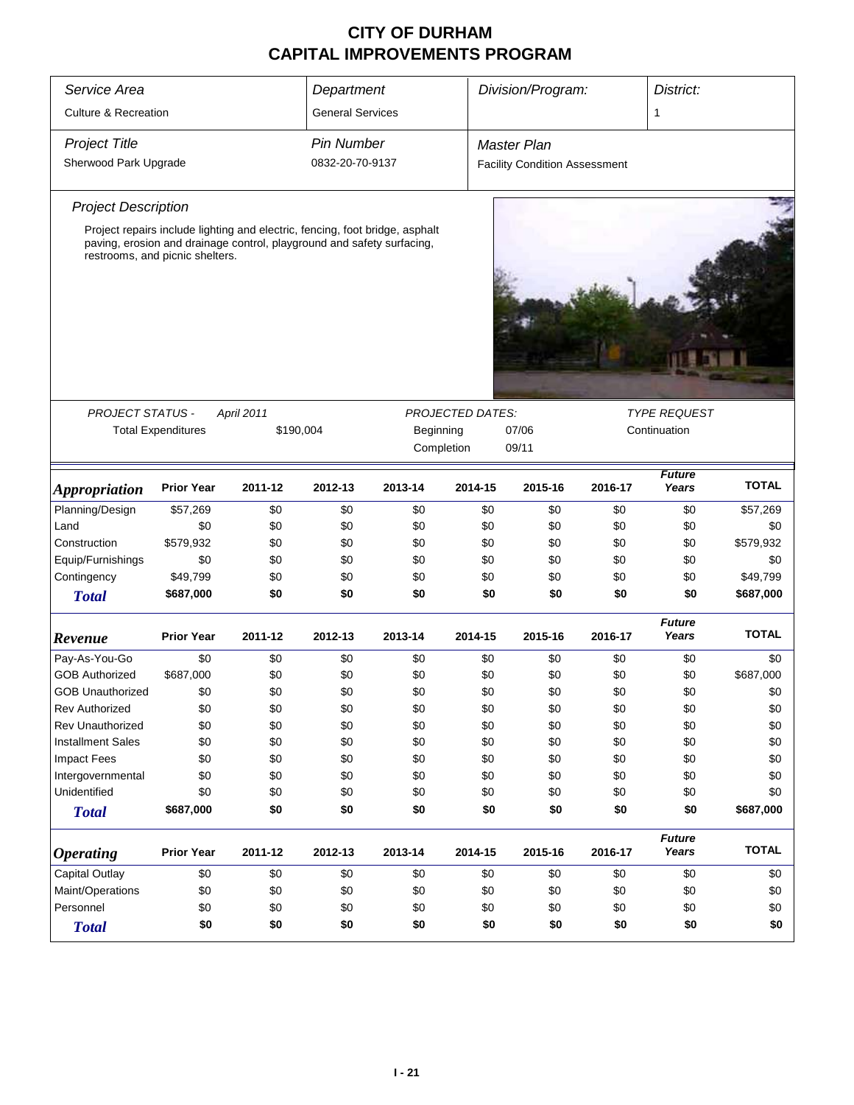| Service Area                    |                           |                                                                                                                                                        | Department              |           |                         | Division/Program:                    |         | District:              |              |
|---------------------------------|---------------------------|--------------------------------------------------------------------------------------------------------------------------------------------------------|-------------------------|-----------|-------------------------|--------------------------------------|---------|------------------------|--------------|
| <b>Culture &amp; Recreation</b> |                           |                                                                                                                                                        | <b>General Services</b> |           |                         |                                      |         | 1                      |              |
| <b>Project Title</b>            |                           |                                                                                                                                                        | Pin Number              |           |                         |                                      |         |                        |              |
|                                 |                           |                                                                                                                                                        |                         |           |                         | Master Plan                          |         |                        |              |
| Sherwood Park Upgrade           |                           |                                                                                                                                                        | 0832-20-70-9137         |           |                         | <b>Facility Condition Assessment</b> |         |                        |              |
| <b>Project Description</b>      |                           |                                                                                                                                                        |                         |           |                         |                                      |         |                        |              |
| restrooms, and picnic shelters. |                           | Project repairs include lighting and electric, fencing, foot bridge, asphalt<br>paving, erosion and drainage control, playground and safety surfacing, |                         |           |                         |                                      |         |                        |              |
|                                 |                           |                                                                                                                                                        |                         |           |                         |                                      |         |                        |              |
|                                 |                           |                                                                                                                                                        |                         |           |                         |                                      |         |                        |              |
|                                 |                           |                                                                                                                                                        |                         |           |                         |                                      |         |                        |              |
| PROJECT STATUS -                |                           | April 2011                                                                                                                                             |                         |           | <b>PROJECTED DATES:</b> |                                      |         | <b>TYPE REQUEST</b>    |              |
|                                 | <b>Total Expenditures</b> | \$190,004                                                                                                                                              |                         | Beginning |                         | 07/06                                |         | Continuation           |              |
|                                 |                           |                                                                                                                                                        |                         |           | Completion              | 09/11                                |         |                        |              |
| <i><b>Appropriation</b></i>     | <b>Prior Year</b>         | 2011-12                                                                                                                                                | 2012-13                 | 2013-14   | 2014-15                 | 2015-16                              | 2016-17 | <b>Future</b><br>Years | <b>TOTAL</b> |
| Planning/Design                 | \$57,269                  | \$0                                                                                                                                                    | \$0                     | \$0       | \$0                     | \$0                                  | \$0     | \$0                    | \$57,269     |
| Land                            | \$0                       | \$0                                                                                                                                                    | \$0                     | \$0       | \$0                     | \$0                                  | \$0     | \$0                    | \$0          |
| Construction                    | \$579,932                 | \$0                                                                                                                                                    | \$0                     | \$0       | \$0                     | \$0                                  | \$0     | \$0                    | \$579,932    |
| Equip/Furnishings               | \$0                       | \$0                                                                                                                                                    | \$0                     | \$0       | \$0                     | \$0                                  | \$0     | \$0                    | \$0          |
| Contingency                     | \$49,799                  | \$0                                                                                                                                                    | \$0                     | \$0       | \$0                     | \$0                                  | \$0     | \$0                    | \$49,799     |
| <b>Total</b>                    | \$687,000                 | \$0                                                                                                                                                    | \$0                     | \$0       | \$0                     | \$0                                  | \$0     | \$0                    | \$687,000    |
| Revenue                         | <b>Prior Year</b>         | 2011-12                                                                                                                                                | 2012-13                 | 2013-14   | 2014-15                 | 2015-16                              | 2016-17 | <b>Future</b><br>Years | <b>TOTAL</b> |
| Pay-As-You-Go                   | \$0                       | \$0                                                                                                                                                    | \$0                     | \$0       | \$0                     | \$0                                  | \$0     | \$0                    | \$0          |
| <b>GOB Authorized</b>           | \$687,000                 | \$0                                                                                                                                                    | \$0                     | \$0       | \$0                     | \$0                                  | \$0     | \$0                    | \$687,000    |
| <b>GOB Unauthorized</b>         | \$0                       | \$0                                                                                                                                                    | \$0                     | \$0       | \$0                     | \$0                                  | \$0     | \$0                    | \$0          |
| <b>Rev Authorized</b>           | \$0                       | \$0                                                                                                                                                    | \$0                     | \$0       | \$0                     | \$0                                  | \$0     | \$0                    | \$0          |
| Rev Unauthorized                | \$0                       | \$0                                                                                                                                                    | \$0                     | \$0       | \$0                     | \$0                                  | \$0     | \$0                    | \$0          |
| <b>Installment Sales</b>        | \$0                       | \$0                                                                                                                                                    | \$0                     | \$0       | \$0                     | \$0                                  | \$0     | \$0                    | \$0          |
| <b>Impact Fees</b>              | \$0                       | \$0                                                                                                                                                    | \$0                     | \$0       | \$0                     | \$0                                  | \$0     | \$0                    | \$0          |
| Intergovernmental               | \$0                       | \$0                                                                                                                                                    | \$0                     | \$0       | \$0                     | \$0                                  | \$0     | \$0                    | \$0          |
| Unidentified                    | \$0                       | \$0                                                                                                                                                    | \$0                     | \$0       | \$0                     | \$0                                  | \$0     | \$0                    | \$0          |
| <b>Total</b>                    | \$687,000                 | \$0                                                                                                                                                    | \$0                     | \$0       | \$0                     | \$0                                  | \$0     | \$0                    | \$687,000    |
| <i><b>Operating</b></i>         | <b>Prior Year</b>         | 2011-12                                                                                                                                                | 2012-13                 | 2013-14   | 2014-15                 | 2015-16                              | 2016-17 | <b>Future</b><br>Years | <b>TOTAL</b> |
| <b>Capital Outlay</b>           | \$0                       | \$0                                                                                                                                                    | \$0                     | \$0       | \$0                     | \$0                                  | \$0     | \$0                    | \$0          |
| Maint/Operations                | \$0                       | \$0                                                                                                                                                    | \$0                     | \$0       | \$0                     | \$0                                  | \$0     | \$0                    | \$0          |
| Personnel                       | \$0                       | \$0                                                                                                                                                    | \$0                     | \$0       | \$0                     | \$0                                  | \$0     | \$0                    | \$0          |
| <b>Total</b>                    | \$0                       | \$0                                                                                                                                                    | \$0                     | \$0       | \$0                     | \$0                                  | \$0     | \$0                    | \$0          |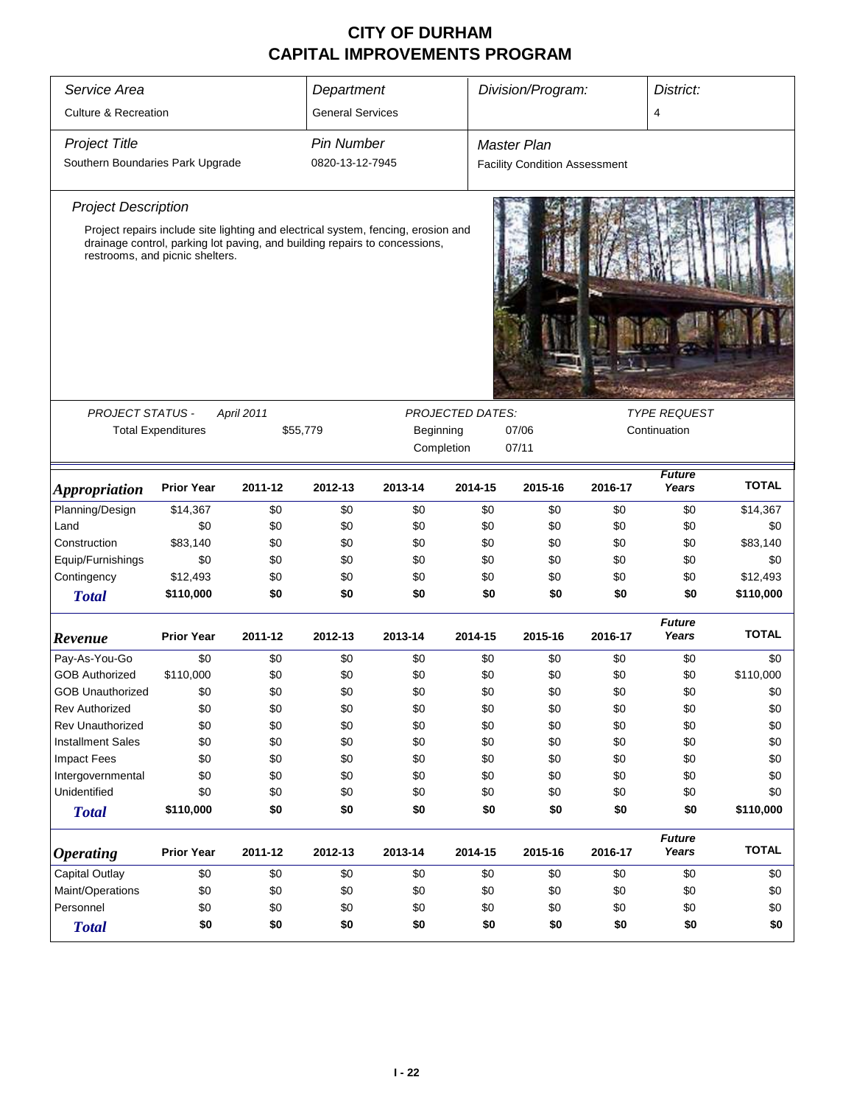| Service Area                     | Department                      |                   |                         |                                                                                                                                                                 |         |                                      | Division/Program:<br>District: |                        |              |  |
|----------------------------------|---------------------------------|-------------------|-------------------------|-----------------------------------------------------------------------------------------------------------------------------------------------------------------|---------|--------------------------------------|--------------------------------|------------------------|--------------|--|
| <b>Culture &amp; Recreation</b>  |                                 |                   | <b>General Services</b> |                                                                                                                                                                 |         |                                      |                                | 4                      |              |  |
| <b>Project Title</b>             |                                 |                   | <b>Pin Number</b>       |                                                                                                                                                                 |         | <b>Master Plan</b>                   |                                |                        |              |  |
| Southern Boundaries Park Upgrade |                                 |                   | 0820-13-12-7945         |                                                                                                                                                                 |         | <b>Facility Condition Assessment</b> |                                |                        |              |  |
| <b>Project Description</b>       |                                 |                   |                         |                                                                                                                                                                 |         |                                      |                                |                        |              |  |
|                                  | restrooms, and picnic shelters. |                   |                         | Project repairs include site lighting and electrical system, fencing, erosion and<br>drainage control, parking lot paving, and building repairs to concessions, |         |                                      |                                |                        |              |  |
|                                  |                                 |                   |                         |                                                                                                                                                                 |         |                                      |                                |                        |              |  |
| <b>PROJECT STATUS -</b>          |                                 | <b>April 2011</b> |                         | <b>TYPE REQUEST</b>                                                                                                                                             |         |                                      |                                |                        |              |  |
|                                  | <b>Total Expenditures</b>       | \$55,779          |                         | Beginning                                                                                                                                                       |         | Continuation                         |                                |                        |              |  |
|                                  |                                 |                   |                         | Completion                                                                                                                                                      |         | 07/11                                |                                |                        |              |  |
| <b>Appropriation</b>             | <b>Prior Year</b>               | 2011-12           | 2012-13                 | 2013-14                                                                                                                                                         | 2014-15 | 2015-16                              | 2016-17                        | Future<br>Years        | <b>TOTAL</b> |  |
| Planning/Design                  | \$14,367                        | \$0               | \$0                     | \$0                                                                                                                                                             | \$0     | \$0                                  | \$0                            | \$0                    | \$14,367     |  |
| Land                             | \$0                             | \$0               | \$0                     | \$0                                                                                                                                                             | \$0     | \$0                                  | \$0                            | \$0                    | \$0          |  |
| Construction                     | \$83,140                        | \$0               | \$0                     | \$0                                                                                                                                                             | \$0     | \$0                                  | \$0                            | \$0                    | \$83,140     |  |
| Equip/Furnishings                | \$0                             | \$0               | \$0                     | \$0                                                                                                                                                             | \$0     | \$0                                  | \$0                            | \$0                    | \$0          |  |
| Contingency                      | \$12,493                        | \$0               | \$0                     | \$0                                                                                                                                                             | \$0     | \$0                                  | \$0                            | \$0                    | \$12,493     |  |
| <b>Total</b>                     | \$110,000                       | \$0               | \$0                     | \$0                                                                                                                                                             | \$0     | \$0                                  | \$0                            | \$0                    | \$110,000    |  |
| Revenue                          | <b>Prior Year</b>               | 2011-12           | 2012-13                 | 2013-14                                                                                                                                                         | 2014-15 | 2015-16                              | 2016-17                        | <b>Future</b><br>Years | <b>TOTAL</b> |  |
| Pay-As-You-Go                    | \$0                             | \$0               | \$0                     | \$0                                                                                                                                                             | \$0     | \$0                                  | \$0                            | \$0                    | \$0          |  |
| <b>GOB Authorized</b>            | \$110,000                       | \$0               | \$0                     | \$0                                                                                                                                                             | \$0     | \$0                                  | \$0                            | \$0                    | \$110,000    |  |
| <b>GOB Unauthorized</b>          | \$0                             | \$0               | \$0                     | \$0                                                                                                                                                             | \$0     | \$0                                  | \$0                            | \$0                    | \$0          |  |
| <b>Rev Authorized</b>            | \$0                             | \$0               | \$0                     | \$0                                                                                                                                                             | \$0     | \$0                                  | \$0                            | \$0                    | \$0          |  |
| Rev Unauthorized                 | \$0                             | \$0               | \$0                     | \$0                                                                                                                                                             | \$0     | \$0                                  | \$0                            | \$0                    | \$0          |  |
| <b>Installment Sales</b>         | \$0                             | \$0               | \$0                     | \$0                                                                                                                                                             | \$0     | \$0                                  | \$0                            | \$0                    | \$0          |  |
| <b>Impact Fees</b>               | \$0                             | \$0               | \$0                     | \$0                                                                                                                                                             | \$0     | \$0                                  | \$0                            | \$0                    | \$0          |  |
| Intergovernmental                | \$0                             | \$0               | \$0                     | \$0                                                                                                                                                             | \$0     | \$0                                  | \$0                            | \$0                    | \$0          |  |
| Unidentified                     | \$0                             | \$0               | \$0                     | \$0                                                                                                                                                             | \$0     | \$0                                  | \$0                            | \$0                    | \$0          |  |
| <b>Total</b>                     | \$110,000                       | \$0               | \$0                     | \$0                                                                                                                                                             | \$0     | \$0                                  | \$0                            | \$0                    | \$110,000    |  |
| <b>Operating</b>                 | <b>Prior Year</b>               | 2011-12           | 2012-13                 | 2013-14                                                                                                                                                         | 2014-15 | 2015-16                              | 2016-17                        | <b>Future</b><br>Years | <b>TOTAL</b> |  |
| Capital Outlay                   | \$0                             | \$0               | \$0                     | \$0                                                                                                                                                             | \$0     | \$0                                  | \$0                            | \$0                    | \$0          |  |
| Maint/Operations                 | \$0                             | \$0               | \$0                     | \$0                                                                                                                                                             | \$0     | \$0                                  | \$0                            | \$0                    | \$0          |  |
| Personnel                        | \$0                             | \$0               | \$0                     | \$0                                                                                                                                                             | \$0     | \$0                                  | \$0                            | \$0                    | \$0          |  |
| <b>Total</b>                     | \$0                             | \$0               | \$0                     |                                                                                                                                                                 |         |                                      |                                |                        |              |  |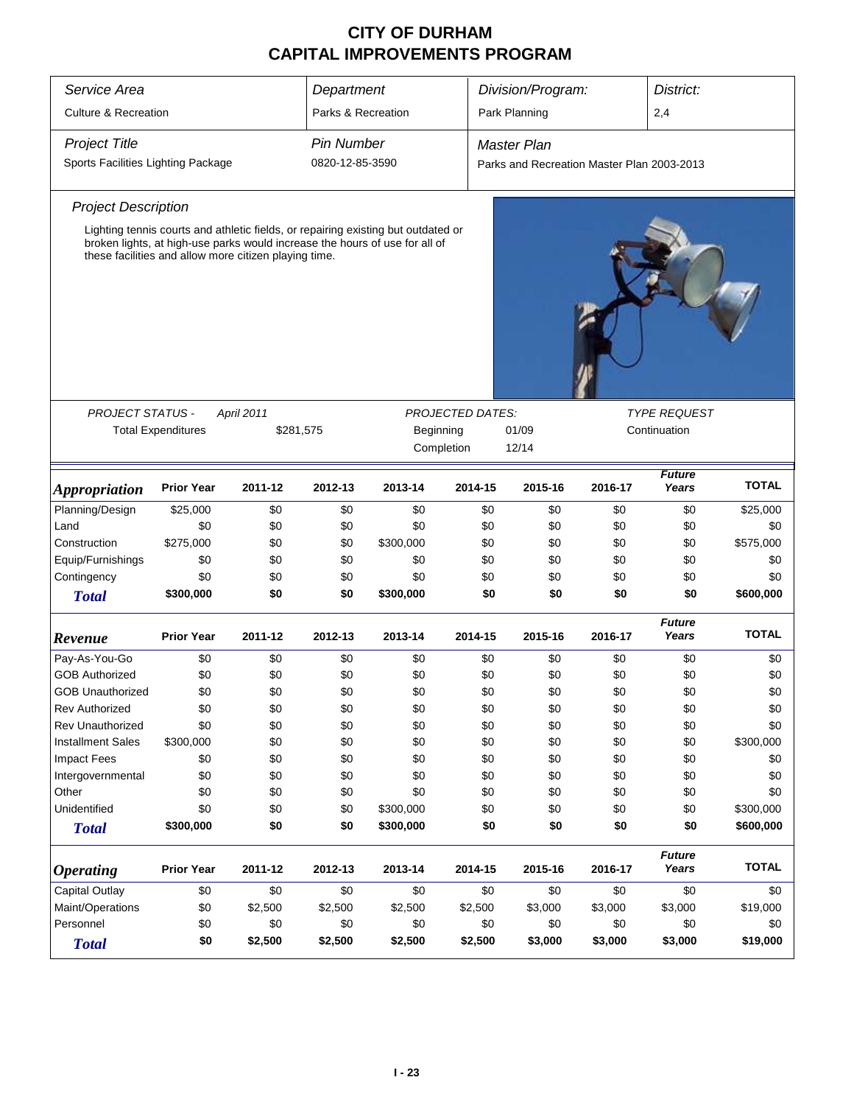| Service Area                                                           | Department                                                            |            |                     | Division/Program:<br>District:                                                                                                                                   |         |                                                                |         |                        |              |  |  |
|------------------------------------------------------------------------|-----------------------------------------------------------------------|------------|---------------------|------------------------------------------------------------------------------------------------------------------------------------------------------------------|---------|----------------------------------------------------------------|---------|------------------------|--------------|--|--|
| <b>Culture &amp; Recreation</b>                                        |                                                                       |            | Parks & Recreation  |                                                                                                                                                                  |         | Park Planning                                                  |         | 2,4                    |              |  |  |
| <b>Project Title</b>                                                   |                                                                       |            | <b>Pin Number</b>   |                                                                                                                                                                  |         | <b>Master Plan</b>                                             |         |                        |              |  |  |
| Sports Facilities Lighting Package                                     |                                                                       |            | 0820-12-85-3590     |                                                                                                                                                                  |         | Parks and Recreation Master Plan 2003-2013                     |         |                        |              |  |  |
|                                                                        |                                                                       |            |                     |                                                                                                                                                                  |         |                                                                |         |                        |              |  |  |
| <b>Project Description</b>                                             |                                                                       |            |                     |                                                                                                                                                                  |         |                                                                |         |                        |              |  |  |
|                                                                        | these facilities and allow more citizen playing time.                 |            |                     | Lighting tennis courts and athletic fields, or repairing existing but outdated or<br>broken lights, at high-use parks would increase the hours of use for all of |         |                                                                |         |                        |              |  |  |
|                                                                        |                                                                       |            |                     |                                                                                                                                                                  |         |                                                                |         |                        |              |  |  |
| PROJECT STATUS -                                                       |                                                                       | April 2011 |                     |                                                                                                                                                                  |         | <b>TYPE REQUEST</b><br><b>PROJECTED DATES:</b><br>Continuation |         |                        |              |  |  |
|                                                                        | <b>Total Expenditures</b>                                             |            | \$281,575           | Beginning                                                                                                                                                        |         | 01/09                                                          |         |                        |              |  |  |
|                                                                        |                                                                       |            | Completion<br>12/14 |                                                                                                                                                                  |         |                                                                |         |                        |              |  |  |
| <i><b>Appropriation</b></i>                                            | <b>Prior Year</b>                                                     | 2011-12    | 2012-13             | 2013-14                                                                                                                                                          | 2014-15 | 2015-16                                                        | 2016-17 | <b>Future</b><br>Years | <b>TOTAL</b> |  |  |
| Planning/Design                                                        | \$25,000                                                              | \$0        | \$0                 | \$0                                                                                                                                                              | \$0     | \$0                                                            | \$0     | \$0                    | \$25,000     |  |  |
| Land                                                                   | \$0                                                                   | \$0        | \$0                 | \$0                                                                                                                                                              | \$0     | \$0                                                            | \$0     | \$0                    | \$0          |  |  |
| Construction                                                           | \$275,000                                                             | \$0        | \$0                 | \$300,000                                                                                                                                                        | \$0     | \$0                                                            | \$0     | \$0                    | \$575,000    |  |  |
| Equip/Furnishings                                                      | \$0                                                                   | \$0        | \$0                 | \$0                                                                                                                                                              | \$0     | \$0                                                            | \$0     | \$0                    | \$0          |  |  |
| Contingency                                                            | \$0                                                                   | \$0        | \$0                 | \$0                                                                                                                                                              | \$0     | \$0                                                            | \$0     | \$0                    | \$0          |  |  |
| <b>Total</b>                                                           | \$300,000                                                             | \$0        | \$0                 | \$300,000                                                                                                                                                        | \$0     | \$0                                                            | \$0     | \$0                    | \$600,000    |  |  |
| Revenue                                                                | <b>Prior Year</b>                                                     | 2011-12    | 2012-13             | 2013-14                                                                                                                                                          | 2014-15 | 2015-16                                                        | 2016-17 | <b>Future</b><br>Years | <b>TOTAL</b> |  |  |
| Pay-As-You-Go                                                          | \$0                                                                   | \$0        | \$0                 | \$0                                                                                                                                                              | \$0     | \$0                                                            | \$0     | \$0                    | \$0          |  |  |
| <b>GOB Authorized</b>                                                  | \$0                                                                   | \$0        | \$0                 | \$0                                                                                                                                                              | \$0     | \$0                                                            | \$0     | \$0                    | \$0          |  |  |
| <b>GOB Unauthorized</b>                                                | \$0                                                                   | \$0        | \$0                 | \$0                                                                                                                                                              | \$0     | \$0                                                            | \$0     | \$0                    | \$0          |  |  |
| <b>Rev Authorized</b>                                                  | \$0                                                                   | \$0        | \$0                 | \$0                                                                                                                                                              | \$0     | \$0                                                            | \$0     | \$0                    | \$0          |  |  |
| Rev Unauthorized                                                       | \$0                                                                   | \$0        | \$0                 | \$0                                                                                                                                                              | \$0     | \$0                                                            | \$0     | \$0                    | \$0          |  |  |
| <b>Installment Sales</b>                                               | \$300,000                                                             | \$0        | \$0                 | \$0                                                                                                                                                              | \$0     | \$0                                                            | \$0     | \$0                    | \$300,000    |  |  |
| <b>Impact Fees</b>                                                     | \$0                                                                   | \$0        | \$0                 | \$0                                                                                                                                                              | \$0     | \$0                                                            | \$0     | \$0                    | \$0          |  |  |
| Intergovernmental                                                      | \$0                                                                   | \$0        | \$0                 | \$0                                                                                                                                                              | \$0     | \$0                                                            | \$0     | \$0                    | \$0          |  |  |
| Other                                                                  | \$0                                                                   | \$0        | \$0                 | \$0                                                                                                                                                              | \$0     | \$0                                                            | \$0     | \$0                    | \$0          |  |  |
| Unidentified                                                           | \$0                                                                   | \$0        | \$0                 | \$300,000                                                                                                                                                        | \$0     | \$0                                                            | \$0     | \$0                    | \$300,000    |  |  |
| <b>Total</b>                                                           | \$300,000                                                             | \$0        | \$0                 | \$300,000                                                                                                                                                        | \$0     | \$0                                                            | \$0     | \$0                    | \$600,000    |  |  |
| <b>Operating</b>                                                       | <b>Prior Year</b>                                                     | 2011-12    | 2012-13             | 2013-14                                                                                                                                                          | 2014-15 | 2015-16                                                        | 2016-17 | <b>Future</b><br>Years | <b>TOTAL</b> |  |  |
| <b>Capital Outlay</b><br>\$0<br>\$0<br>\$0<br>\$0<br>\$0<br>\$0<br>\$0 |                                                                       |            |                     |                                                                                                                                                                  |         | \$0                                                            | \$0     |                        |              |  |  |
| Maint/Operations<br>\$0<br>\$2,500<br>\$2,500<br>\$2,500<br>\$2,500    |                                                                       |            |                     |                                                                                                                                                                  | \$3,000 | \$3,000                                                        | \$3,000 | \$19,000               |              |  |  |
| Personnel                                                              | \$0<br>\$0<br>\$0<br>\$0<br>\$0                                       |            |                     |                                                                                                                                                                  |         | \$0                                                            | \$0     | \$0                    | \$0          |  |  |
| <b>Total</b>                                                           | \$2,500<br>\$0<br>\$2,500<br>\$2,500<br>\$2,500<br>\$3,000<br>\$3,000 |            |                     |                                                                                                                                                                  |         |                                                                |         |                        | \$19,000     |  |  |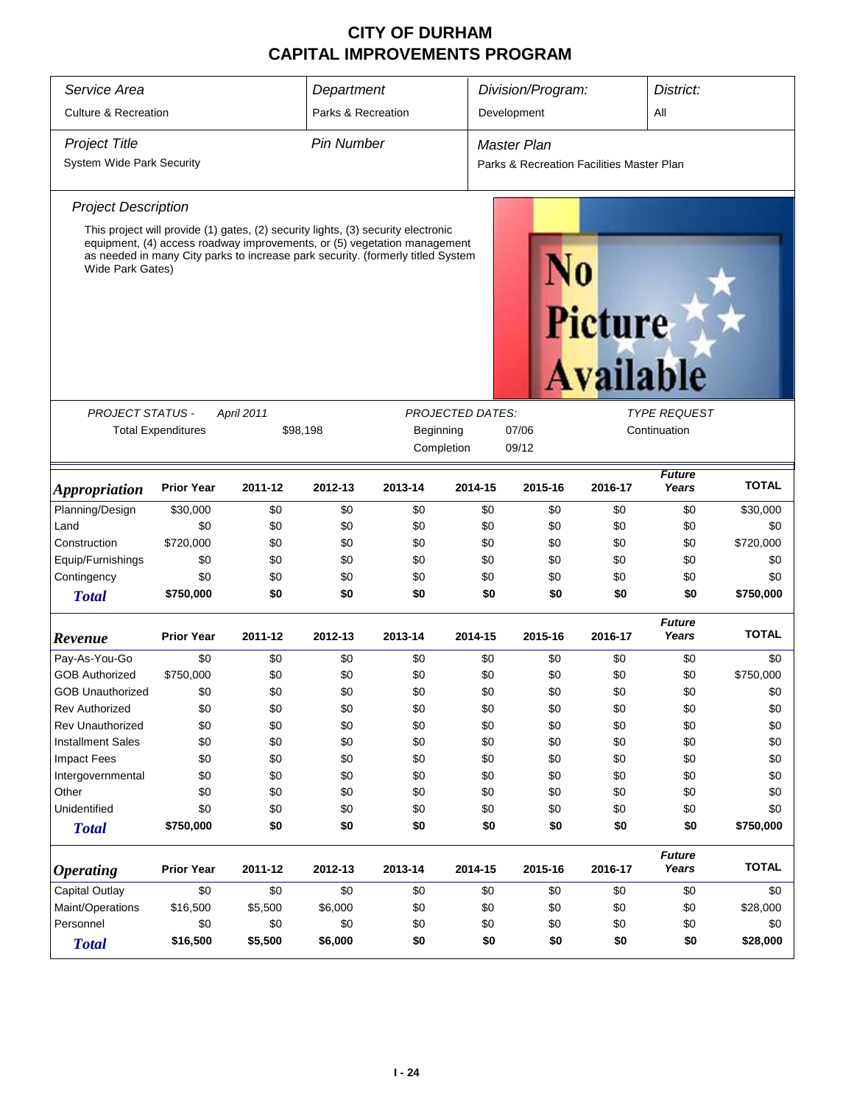| Service Area                          |                                                    |            | Department         |                                                                                                                                                             |                         | Division/Program:                         |                                    | District:              |              |
|---------------------------------------|----------------------------------------------------|------------|--------------------|-------------------------------------------------------------------------------------------------------------------------------------------------------------|-------------------------|-------------------------------------------|------------------------------------|------------------------|--------------|
| <b>Culture &amp; Recreation</b>       |                                                    |            | Parks & Recreation |                                                                                                                                                             |                         | Development                               |                                    | All                    |              |
| <b>Project Title</b>                  |                                                    |            | <b>Pin Number</b>  |                                                                                                                                                             |                         | <b>Master Plan</b>                        |                                    |                        |              |
| System Wide Park Security             |                                                    |            |                    |                                                                                                                                                             |                         | Parks & Recreation Facilities Master Plan |                                    |                        |              |
| <b>Project Description</b>            |                                                    |            |                    |                                                                                                                                                             |                         |                                           |                                    |                        |              |
|                                       |                                                    |            |                    | This project will provide (1) gates, (2) security lights, (3) security electronic                                                                           |                         |                                           |                                    |                        |              |
| Wide Park Gates)                      |                                                    |            |                    | equipment, (4) access roadway improvements, or (5) vegetation management<br>as needed in many City parks to increase park security. (formerly titled System |                         |                                           | <b>Picture</b><br><b>Available</b> |                        |              |
| <b>PROJECT STATUS -</b>               |                                                    | April 2011 |                    |                                                                                                                                                             | <b>PROJECTED DATES:</b> |                                           |                                    | <b>TYPE REQUEST</b>    |              |
|                                       | <b>Total Expenditures</b>                          |            | \$98,198           | Beginning                                                                                                                                                   |                         | 07/06                                     |                                    | Continuation           |              |
|                                       |                                                    |            |                    | Completion                                                                                                                                                  |                         | 09/12                                     |                                    |                        |              |
|                                       |                                                    |            |                    |                                                                                                                                                             |                         |                                           |                                    |                        |              |
| <i><b>Appropriation</b></i>           | <b>Prior Year</b>                                  | 2011-12    | 2012-13            | 2013-14                                                                                                                                                     | 2014-15                 | 2015-16                                   | 2016-17                            | <b>Future</b><br>Years | <b>TOTAL</b> |
| Planning/Design                       | \$30,000                                           | \$0        | \$0                | \$0                                                                                                                                                         | \$0                     | \$0                                       | \$0                                | \$0                    | \$30,000     |
| Land                                  | \$0                                                | \$0        | \$0                | \$0                                                                                                                                                         | \$0                     | \$0                                       | \$0                                | \$0                    | \$0          |
| Construction                          | \$720,000                                          | \$0        | \$0                | \$0                                                                                                                                                         | \$0                     | \$0                                       | \$0                                | \$0                    | \$720,000    |
| Equip/Furnishings                     | \$0                                                | \$0        | \$0                | \$0                                                                                                                                                         | \$0                     | \$0                                       | \$0                                | \$0                    | \$0          |
| Contingency                           | \$0                                                | \$0        | \$0                | \$0                                                                                                                                                         | \$0                     | \$0                                       | \$0                                | \$0                    | \$0          |
| <b>Total</b>                          | \$750,000                                          | \$0        | \$0                | \$0                                                                                                                                                         | \$0                     | \$0                                       | \$0                                | \$0                    | \$750,000    |
| Revenue                               | <b>Prior Year</b>                                  | 2011-12    | 2012-13            | 2013-14                                                                                                                                                     | 2014-15                 | 2015-16                                   | 2016-17                            | <b>Future</b><br>Years | <b>TOTAL</b> |
| Pay-As-You-Go                         | \$0                                                | \$0        | \$0                | \$0                                                                                                                                                         | \$0                     | \$0                                       | \$0                                | \$0                    | \$0          |
| <b>GOB Authorized</b>                 | \$750,000                                          | \$0        | \$0                | \$0                                                                                                                                                         | \$0                     | \$0                                       | \$0                                | \$0                    | \$750,000    |
| <b>GOB Unauthorized</b>               | \$0                                                | \$0        | \$0                | \$0                                                                                                                                                         | \$0                     | \$0                                       | \$0                                | \$0                    | \$0          |
| <b>Rev Authorized</b>                 | \$0                                                | \$0        | \$0                | \$0                                                                                                                                                         | \$0                     | \$0                                       | \$0                                | \$0                    | \$0          |
| <b>Rev Unauthorized</b>               | \$0                                                | \$0        | \$0                | \$0                                                                                                                                                         | \$0                     | \$0                                       | \$0                                | \$0                    | \$0          |
| <b>Installment Sales</b>              | \$0                                                | \$0        | \$0                | \$0                                                                                                                                                         | \$0                     | \$0                                       | \$0                                | \$0                    | \$0          |
| <b>Impact Fees</b>                    | \$0                                                | \$0        | \$0                | \$0                                                                                                                                                         | \$0                     | \$0                                       | \$0                                | \$0                    | \$0          |
| Intergovernmental                     | \$0                                                | \$0        | \$0                | \$0                                                                                                                                                         | \$0                     | \$0                                       | \$0                                | \$0                    | \$0          |
| Other                                 | \$0                                                | \$0        | \$0                | \$0                                                                                                                                                         | \$0                     | \$0                                       | \$0                                | \$0                    | \$0          |
| Unidentified                          | \$0                                                | \$0        | \$0                | \$0                                                                                                                                                         | \$0                     | \$0                                       | \$0                                | \$0                    | \$0          |
| <b>Total</b>                          | \$750,000                                          | \$0        | \$0                | \$0                                                                                                                                                         | \$0                     | \$0                                       | \$0                                | \$0                    | \$750,000    |
| <b>Operating</b>                      | <b>Prior Year</b><br>2011-12<br>2012-13<br>2013-14 |            |                    |                                                                                                                                                             |                         | 2015-16                                   | 2016-17                            | <b>Future</b><br>Years | <b>TOTAL</b> |
| Capital Outlay                        | 2014-15<br>\$0<br>\$0<br>\$0<br>\$0                |            |                    |                                                                                                                                                             |                         | \$0                                       | \$0                                | \$0                    | \$0          |
| Maint/Operations                      | \$16,500<br>\$5,500<br>\$6,000<br>\$0              |            |                    |                                                                                                                                                             |                         | \$0                                       | \$0                                | \$0                    | \$28,000     |
| Personnel<br>\$0<br>\$0<br>\$0<br>\$0 |                                                    |            |                    |                                                                                                                                                             | \$0<br>\$0              | \$0                                       | \$0                                | \$0                    | \$0          |
| <b>Total</b>                          | \$16,500<br>\$5,500<br>\$6,000<br>\$0              |            |                    |                                                                                                                                                             |                         | \$0                                       | \$0                                | \$0                    | \$28,000     |
|                                       |                                                    |            |                    |                                                                                                                                                             |                         |                                           |                                    |                        |              |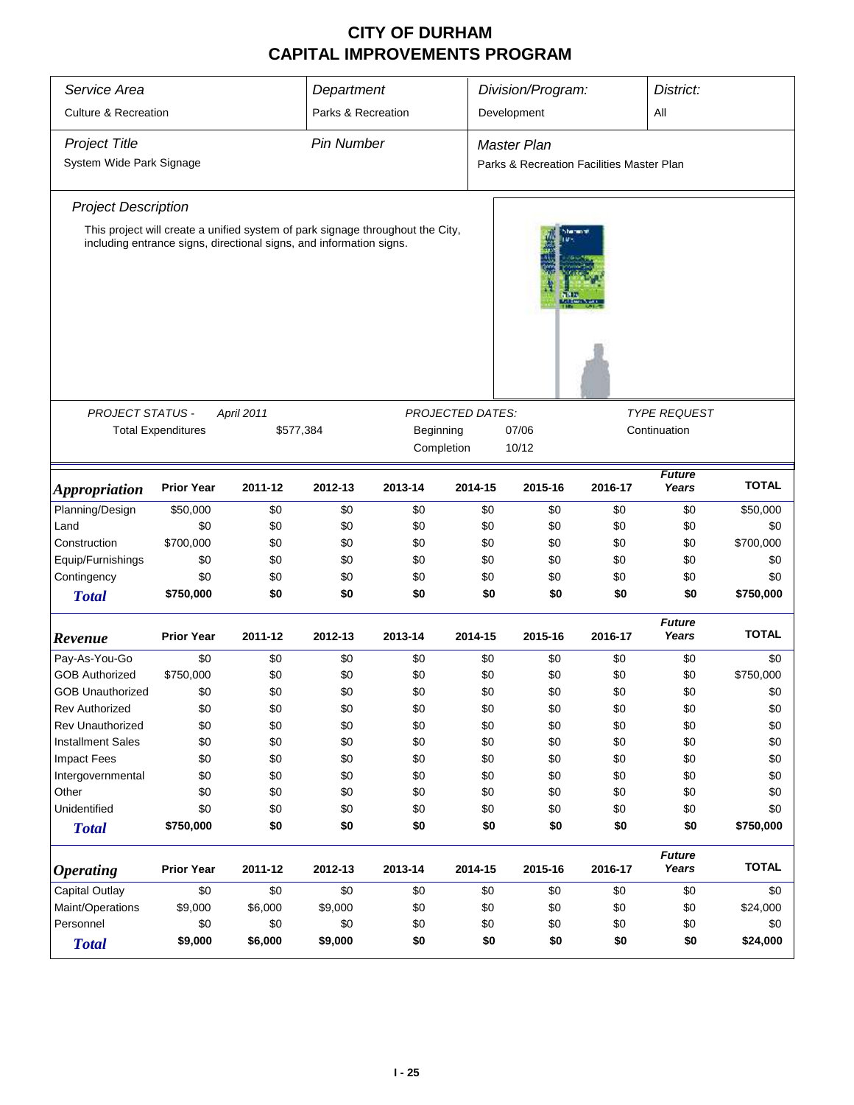| Service Area                              | Department                |                                                                     |                    | Division/Program:                                                              |                         | District:          |                |                        |              |  |
|-------------------------------------------|---------------------------|---------------------------------------------------------------------|--------------------|--------------------------------------------------------------------------------|-------------------------|--------------------|----------------|------------------------|--------------|--|
| <b>Culture &amp; Recreation</b>           |                           |                                                                     | Parks & Recreation |                                                                                |                         | All<br>Development |                |                        |              |  |
| <b>Project Title</b><br><b>Pin Number</b> |                           |                                                                     |                    |                                                                                |                         | <b>Master Plan</b> |                |                        |              |  |
| System Wide Park Signage                  |                           |                                                                     |                    | Parks & Recreation Facilities Master Plan                                      |                         |                    |                |                        |              |  |
| <b>Project Description</b>                |                           |                                                                     |                    |                                                                                |                         |                    |                |                        |              |  |
|                                           |                           | including entrance signs, directional signs, and information signs. |                    | This project will create a unified system of park signage throughout the City, |                         |                    | <b>Sherman</b> |                        |              |  |
|                                           |                           |                                                                     |                    |                                                                                |                         |                    |                |                        |              |  |
| <b>PROJECT STATUS -</b>                   |                           | April 2011                                                          |                    |                                                                                | <b>PROJECTED DATES:</b> |                    |                | <i>TYPE REQUEST</i>    |              |  |
|                                           | <b>Total Expenditures</b> | \$577,384                                                           |                    | Beginning                                                                      |                         | 07/06              |                | Continuation           |              |  |
|                                           |                           |                                                                     |                    |                                                                                | Completion              | 10/12              |                |                        |              |  |
| <i><b>Appropriation</b></i>               | <b>Prior Year</b>         | 2011-12                                                             | 2012-13            | 2013-14                                                                        | 2014-15                 | 2015-16            | 2016-17        | <b>Future</b><br>Years | <b>TOTAL</b> |  |
| Planning/Design                           | \$50,000                  | \$0                                                                 | \$0                | \$0                                                                            | \$0                     | \$0                | \$0            | \$0                    | \$50,000     |  |
| Land                                      | \$0                       | \$0                                                                 | \$0                | \$0                                                                            | \$0                     | \$0                | \$0            | \$0                    | \$0          |  |
| Construction                              | \$700,000                 | \$0                                                                 | \$0                | \$0                                                                            | \$0                     | \$0                | \$0            | \$0                    | \$700,000    |  |
| Equip/Furnishings                         | \$0                       | \$0                                                                 | \$0                | \$0                                                                            | \$0                     | \$0                | \$0            | \$0                    | \$0          |  |
| Contingency                               | \$0                       | \$0                                                                 | \$0                | \$0                                                                            | \$0                     | \$0                | \$0            | \$0                    | \$0          |  |
| <b>Total</b>                              | \$750,000                 | \$0                                                                 | \$0                | \$0                                                                            | \$0                     | \$0                | \$0            | \$0                    | \$750,000    |  |
| Revenue                                   | <b>Prior Year</b>         | 2011-12                                                             | 2012-13            | 2013-14                                                                        | 2014-15                 | 2015-16            | 2016-17        | <b>Future</b><br>Years | <b>TOTAL</b> |  |
| Pay-As-You-Go                             | \$0                       | \$0                                                                 | \$0                | \$0                                                                            | \$0                     | \$0                | \$0            | \$0                    | \$0          |  |
| <b>GOB Authorized</b>                     | \$750,000                 | \$0                                                                 | \$0                | \$0                                                                            | \$0                     | \$0                | \$0            | \$0                    | \$750,000    |  |
| <b>GOB Unauthorized</b>                   | \$0                       | \$0                                                                 | \$0                | \$0                                                                            | \$0                     | \$0                | \$0            | \$0                    | \$0          |  |
| <b>Rev Authorized</b>                     | \$0                       | \$0                                                                 | \$0                | \$0                                                                            | \$0                     | \$0                | \$0            | \$0                    | \$0          |  |
| <b>Rev Unauthorized</b>                   | \$0                       | \$0                                                                 | \$0                | \$0                                                                            | \$0                     | \$0                | \$0            | \$0                    | \$0          |  |
| <b>Installment Sales</b>                  | \$0                       | \$0                                                                 | \$0                | \$0                                                                            | \$0                     | \$0                | \$0            | \$0                    | \$0          |  |
| <b>Impact Fees</b>                        | \$0                       | \$0                                                                 | \$0                | \$0                                                                            | \$0                     | \$0                | \$0            | \$0                    | \$0          |  |
| Intergovernmental                         | \$0                       | \$0                                                                 | \$0                | \$0                                                                            | \$0                     | \$0                | \$0            | \$0                    | \$0          |  |
| Other                                     | \$0                       | \$0                                                                 | \$0                | \$0                                                                            | \$0                     | \$0                | \$0            | \$0                    | \$0          |  |
| Unidentified                              | \$0                       | \$0                                                                 | \$0                | \$0                                                                            | \$0                     | \$0                | \$0            | \$0                    | \$0          |  |
| <b>Total</b>                              | \$750,000                 | \$0                                                                 | \$0                | \$0                                                                            | \$0                     | \$0                | \$0            | \$0                    | \$750,000    |  |
| <b>Operating</b>                          | <b>Prior Year</b>         | 2011-12                                                             | 2012-13            | 2013-14                                                                        | 2014-15                 | 2015-16            | 2016-17        | <b>Future</b><br>Years | <b>TOTAL</b> |  |
| <b>Capital Outlay</b>                     | \$0                       | \$0                                                                 | \$0                | \$0                                                                            | \$0                     | \$0                | \$0            | \$0                    | \$0          |  |
| Maint/Operations                          | \$9,000                   | \$6,000                                                             | \$9,000            | \$0                                                                            | \$0                     | \$0                | \$0            | \$0                    | \$24,000     |  |
| Personnel                                 | \$0                       | \$0                                                                 | \$0                | \$0                                                                            | \$0                     | \$0                | \$0            | \$0                    | \$0          |  |
| <b>Total</b>                              | \$9,000                   | \$6,000                                                             | \$9,000            | \$0                                                                            | \$0                     | \$0                | \$0            | \$0                    | \$24,000     |  |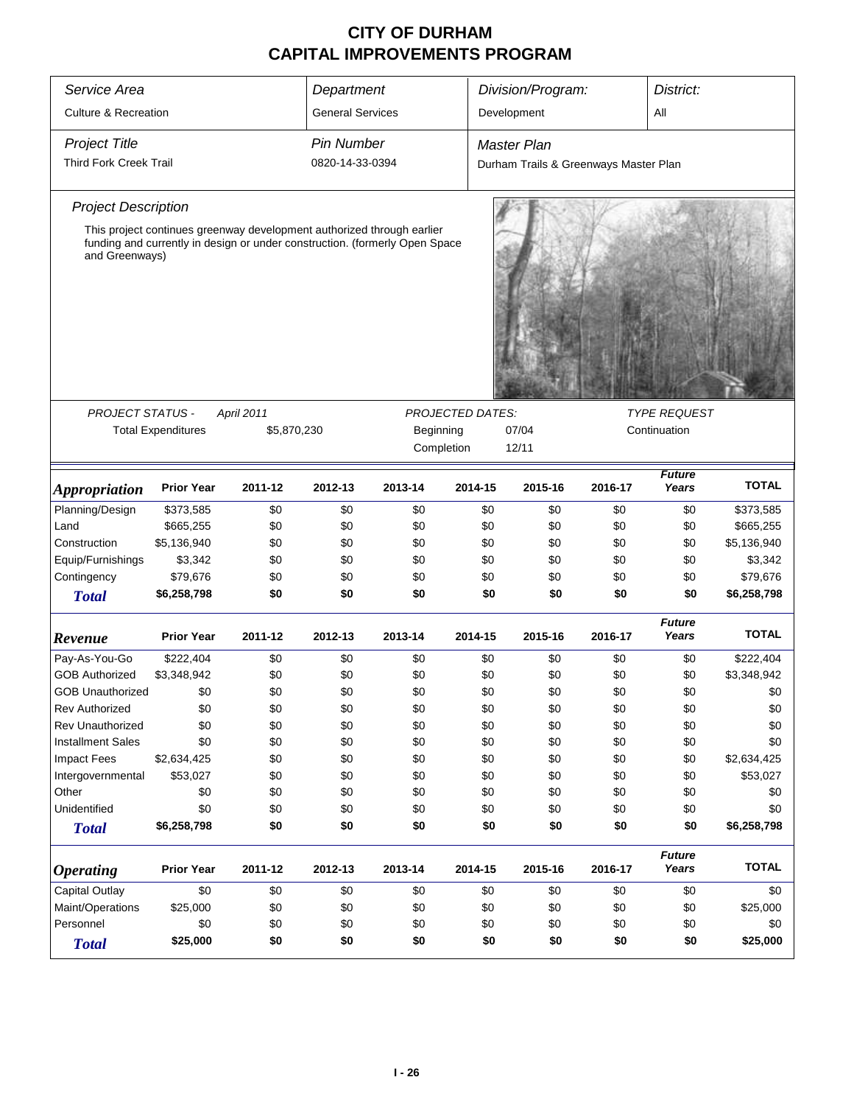| Service Area                    | Department                                                                  |             |                   | Division/Program: |                         |                                       | District: |                        |              |  |
|---------------------------------|-----------------------------------------------------------------------------|-------------|-------------------|-------------------|-------------------------|---------------------------------------|-----------|------------------------|--------------|--|
| <b>Culture &amp; Recreation</b> | <b>General Services</b>                                                     |             |                   | Development       |                         | All                                   |           |                        |              |  |
|                                 |                                                                             |             |                   |                   |                         |                                       |           |                        |              |  |
| <b>Project Title</b>            |                                                                             |             | <b>Pin Number</b> |                   |                         | <b>Master Plan</b>                    |           |                        |              |  |
| Third Fork Creek Trail          |                                                                             |             | 0820-14-33-0394   |                   |                         | Durham Trails & Greenways Master Plan |           |                        |              |  |
| <b>Project Description</b>      |                                                                             |             |                   |                   |                         |                                       |           |                        |              |  |
|                                 | This project continues greenway development authorized through earlier      |             |                   |                   |                         |                                       |           |                        |              |  |
| and Greenways)                  | funding and currently in design or under construction. (formerly Open Space |             |                   |                   |                         |                                       |           |                        |              |  |
| <b>PROJECT STATUS -</b>         |                                                                             | April 2011  |                   |                   | <b>PROJECTED DATES:</b> |                                       |           | <b>TYPE REQUEST</b>    |              |  |
|                                 | <b>Total Expenditures</b>                                                   | \$5,870,230 |                   | Beginning         |                         | 07/04                                 |           | Continuation           |              |  |
|                                 |                                                                             |             |                   |                   | Completion              | 12/11                                 |           |                        |              |  |
|                                 |                                                                             |             |                   |                   |                         |                                       |           |                        |              |  |
| <i><b>Appropriation</b></i>     | <b>Prior Year</b>                                                           | 2011-12     | 2012-13           | 2013-14           | 2014-15                 | 2015-16                               | 2016-17   | <b>Future</b><br>Years | <b>TOTAL</b> |  |
| Planning/Design                 | \$373,585                                                                   | \$0         | \$0               | \$0               | \$0                     | \$0                                   | \$0       | \$0                    | \$373,585    |  |
| Land                            | \$665,255                                                                   | \$0         | \$0               | \$0               | \$0                     | \$0                                   | \$0       | \$0                    | \$665,255    |  |
| Construction                    | \$5,136,940                                                                 | \$0         | \$0               | \$0               | \$0                     | \$0                                   | \$0       | \$0                    | \$5,136,940  |  |
| Equip/Furnishings               | \$3,342                                                                     | \$0         | \$0               | \$0               | \$0                     | \$0                                   | \$0       | \$0                    | \$3,342      |  |
| Contingency                     | \$79,676                                                                    | \$0         | \$0               | \$0               | \$0                     | \$0                                   | \$0       | \$0                    | \$79,676     |  |
| <b>Total</b>                    | \$6,258,798                                                                 | \$0         | \$0               | \$0               | \$0                     | \$0                                   | \$0       | \$0                    | \$6,258,798  |  |
| Revenue                         | <b>Prior Year</b>                                                           | 2011-12     | 2012-13           | 2013-14           | 2014-15                 | 2015-16                               | 2016-17   | <b>Future</b><br>Years | <b>TOTAL</b> |  |
| Pay-As-You-Go                   | \$222,404                                                                   | \$0         | \$0               | \$0               | \$0                     | \$0                                   | \$0       | \$0                    | \$222,404    |  |
| <b>GOB Authorized</b>           | \$3,348,942                                                                 | \$0         | \$0               | \$0               | \$0                     | \$0                                   | \$0       | \$0                    | \$3,348,942  |  |
| <b>GOB Unauthorized</b>         | \$0                                                                         | \$0         | \$0               | \$0               | \$0                     | \$0                                   | \$0       | \$0                    | \$0          |  |
| <b>Rev Authorized</b>           | \$0                                                                         | \$0         | \$0               | \$0               | \$0                     | \$0                                   | \$0       | \$0                    | \$0          |  |
| <b>Rev Unauthorized</b>         | \$0                                                                         | \$0         | \$0               | \$0               | \$0                     | \$0                                   | \$0       | \$0                    | \$0          |  |
| <b>Installment Sales</b>        | \$0                                                                         | \$0         | \$0               | \$0               | \$0                     | \$0                                   | \$0       | \$0                    | \$0          |  |
| <b>Impact Fees</b>              | \$2,634,425                                                                 | \$0         | \$0               | \$0               | \$0                     | \$0                                   | \$0       | \$0                    | \$2,634,425  |  |
| Intergovernmental               | \$53,027                                                                    | \$0         | \$0               | \$0               | \$0                     | \$0                                   | \$0       | \$0                    | \$53,027     |  |
| Other                           | \$0                                                                         | \$0         | \$0               | \$0               | \$0                     | \$0                                   | \$0       | \$0                    | \$0          |  |
| Unidentified                    | \$0                                                                         | \$0         | \$0               | \$0               | \$0                     | \$0                                   | \$0       | \$0                    | \$0          |  |
| <b>Total</b>                    | \$6,258,798                                                                 | \$0         | \$0               | \$0               | \$0                     | \$0                                   | \$0       | \$0                    | \$6,258,798  |  |
| <i><b>Operating</b></i>         | <b>Prior Year</b>                                                           | 2011-12     | 2012-13           | 2013-14           | 2014-15                 | 2015-16                               | 2016-17   | <b>Future</b><br>Years | <b>TOTAL</b> |  |
| Capital Outlay                  | \$0                                                                         | \$0         | \$0               | \$0               | \$0                     | \$0                                   | \$0       | \$0                    | \$0          |  |
| Maint/Operations                | \$25,000                                                                    | \$0         | \$0               | \$0               | \$0                     | \$0                                   | \$0       | \$0                    | \$25,000     |  |
| Personnel                       | \$0                                                                         | \$0         | \$0               | \$0               | \$0                     | \$0                                   | \$0       | \$0                    | \$0          |  |
| <b>Total</b>                    | \$25,000                                                                    | \$0         | \$0               | \$0               | \$0                     | \$0                                   | \$0       | \$0                    | \$25,000     |  |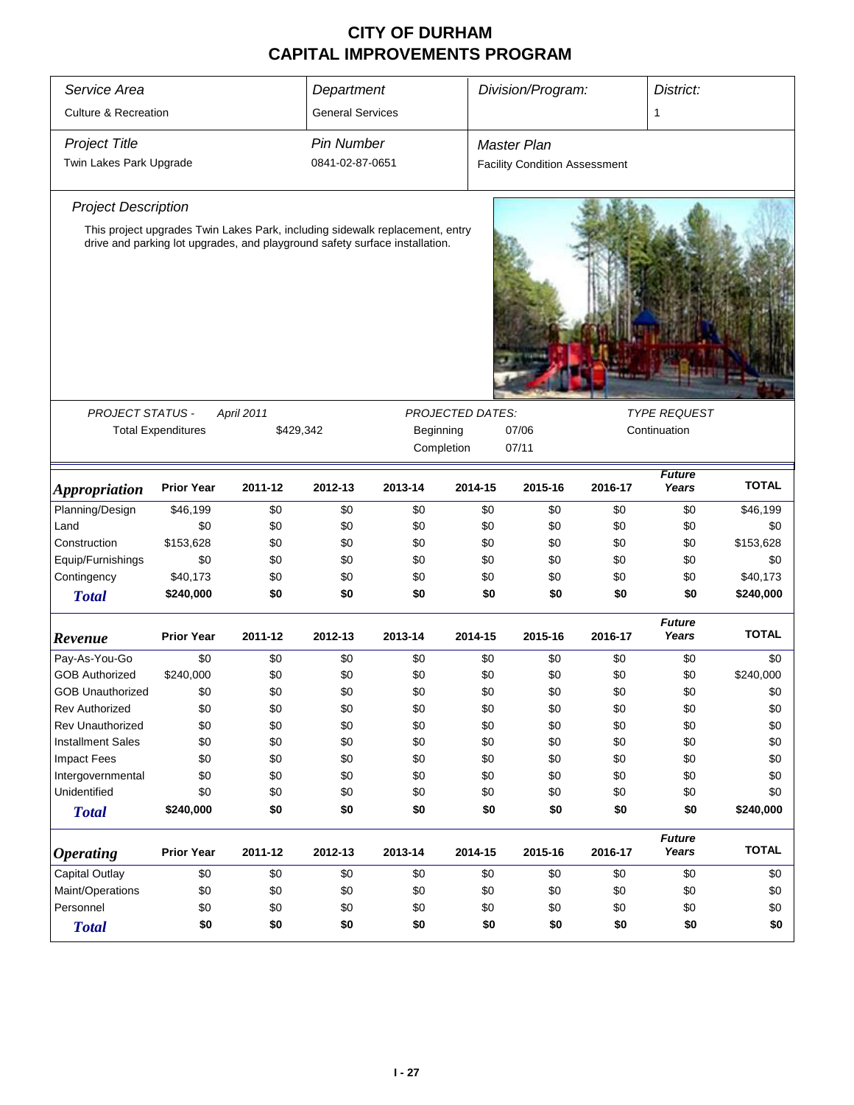| Service Area                    | Department                |                                                                              |                 | Division/Program:  |                         | District:                            |         |                        |              |
|---------------------------------|---------------------------|------------------------------------------------------------------------------|-----------------|--------------------|-------------------------|--------------------------------------|---------|------------------------|--------------|
| <b>Culture &amp; Recreation</b> | <b>General Services</b>   |                                                                              |                 |                    |                         | 1                                    |         |                        |              |
| <b>Project Title</b>            | <b>Pin Number</b>         |                                                                              |                 | <b>Master Plan</b> |                         |                                      |         |                        |              |
| Twin Lakes Park Upgrade         |                           |                                                                              | 0841-02-87-0651 |                    |                         | <b>Facility Condition Assessment</b> |         |                        |              |
| <b>Project Description</b>      |                           |                                                                              |                 |                    |                         |                                      |         |                        |              |
|                                 |                           | This project upgrades Twin Lakes Park, including sidewalk replacement, entry |                 |                    |                         |                                      |         |                        |              |
|                                 |                           | drive and parking lot upgrades, and playground safety surface installation.  |                 |                    |                         |                                      |         |                        |              |
| PROJECT STATUS -                |                           | April 2011                                                                   |                 |                    | <b>PROJECTED DATES:</b> |                                      |         | <b>TYPE REQUEST</b>    |              |
|                                 | <b>Total Expenditures</b> | \$429,342                                                                    |                 | Beginning          |                         | 07/06                                |         | Continuation           |              |
|                                 |                           |                                                                              |                 | Completion         |                         | 07/11                                |         |                        |              |
| Appropriation                   | <b>Prior Year</b>         | 2011-12                                                                      | 2012-13         | 2013-14            | 2014-15                 | 2015-16                              | 2016-17 | Future<br>Years        | <b>TOTAL</b> |
| Planning/Design                 | \$46,199                  | \$0                                                                          | \$0             | \$0                | \$0                     | \$0                                  | \$0     | \$0                    | \$46,199     |
| Land                            | \$0                       | \$0                                                                          | \$0             | \$0                | \$0                     | \$0                                  | \$0     | \$0                    | \$0          |
| Construction                    | \$153,628                 | \$0                                                                          | \$0             | \$0                | \$0                     | \$0                                  | \$0     | \$0                    | \$153,628    |
| Equip/Furnishings               | \$0                       | \$0                                                                          | \$0             | \$0                | \$0                     | \$0                                  | \$0     | \$0                    | \$0          |
| Contingency                     | \$40,173                  | \$0                                                                          | \$0             | \$0                | \$0                     | \$0                                  | \$0     | \$0                    | \$40,173     |
| <b>Total</b>                    | \$240,000                 | \$0                                                                          | \$0             | \$0                | \$0                     | \$0                                  | \$0     | \$0                    | \$240,000    |
| Revenue                         | <b>Prior Year</b>         | 2011-12                                                                      | 2012-13         | 2013-14            | 2014-15                 | 2015-16                              | 2016-17 | <b>Future</b><br>Years | <b>TOTAL</b> |
| Pay-As-You-Go                   | \$0                       | \$0                                                                          | \$0             | \$0                | \$0                     | \$0                                  | \$0     | \$0                    | \$0          |
| <b>GOB Authorized</b>           | \$240,000                 | \$0                                                                          | \$0             | \$0                | \$0                     | \$0                                  | \$0     | \$0                    | \$240,000    |
| <b>GOB Unauthorized</b>         | \$0                       | \$0                                                                          | \$0             | \$0                | \$0                     | \$0                                  | \$0     | \$0                    | \$0          |
| <b>Rev Authorized</b>           | \$0                       | \$0                                                                          | \$0             | \$0                | \$0                     | \$0                                  | \$0     | \$0                    | \$0          |
| Rev Unauthorized                | \$0                       | \$0                                                                          | \$0             | \$0                | \$0                     | \$0                                  | \$0     | \$0                    | \$0          |
| <b>Installment Sales</b>        | \$0                       | \$0                                                                          | \$0             | \$0                | \$0                     | \$0                                  | \$0     | \$0                    | \$0          |
| <b>Impact Fees</b>              | \$0                       | \$0                                                                          | \$0             | \$0                | \$0                     | \$0                                  | \$0     | \$0                    | \$0          |
| Intergovernmental               | \$0                       | \$0                                                                          | \$0             | \$0                | \$0                     | \$0                                  | \$0     | \$0                    | \$0          |
| Unidentified                    | \$0                       | \$0                                                                          | \$0             | \$0                | \$0                     | \$0                                  | \$0     | \$0                    | \$0          |
| <b>Total</b>                    | \$240,000                 | \$0                                                                          | \$0             | \$0                | \$0                     | \$0                                  | \$0     | \$0                    | \$240,000    |
| <b>Operating</b>                | <b>Prior Year</b>         | 2011-12                                                                      | 2012-13         | 2013-14            | 2014-15                 | 2015-16                              | 2016-17 | <b>Future</b><br>Years | <b>TOTAL</b> |
| Capital Outlay                  | \$0                       | \$0                                                                          | \$0             | \$0                | \$0                     | \$0                                  | \$0     | \$0                    | \$0          |
| Maint/Operations                | \$0                       | \$0                                                                          | \$0             | \$0                | \$0                     | \$0                                  | \$0     | \$0                    | \$0          |
| Personnel                       | \$0                       | \$0                                                                          | \$0             | \$0                | \$0                     | \$0                                  | \$0     | \$0                    | \$0          |
| <b>Total</b>                    | \$0                       | \$0                                                                          | \$0             | \$0                | \$0                     | \$0                                  | \$0     | \$0                    | \$0          |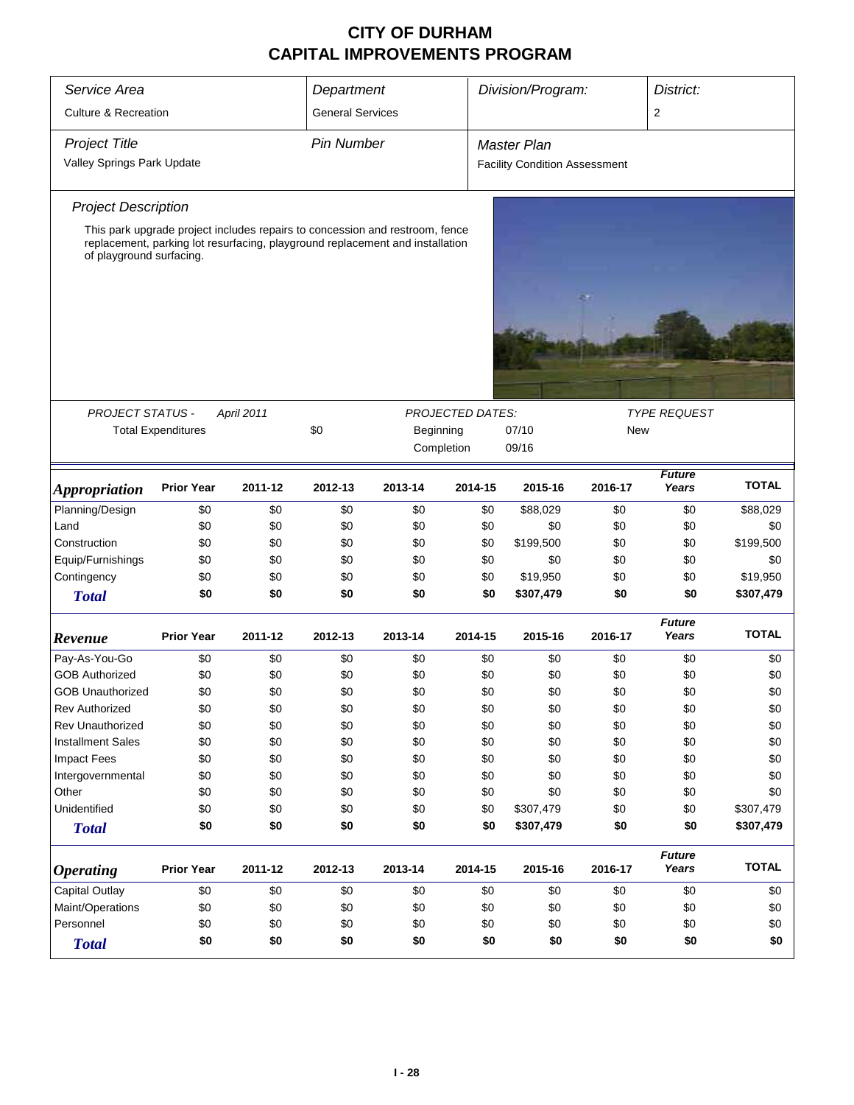| Service Area                    | Department                |            |                   | Division/Program:                                                             |                         | District:                            |         |                        |              |
|---------------------------------|---------------------------|------------|-------------------|-------------------------------------------------------------------------------|-------------------------|--------------------------------------|---------|------------------------|--------------|
| <b>Culture &amp; Recreation</b> | <b>General Services</b>   |            |                   |                                                                               |                         | $\overline{2}$                       |         |                        |              |
| <b>Project Title</b>            |                           |            | <b>Pin Number</b> |                                                                               |                         | <b>Master Plan</b>                   |         |                        |              |
|                                 |                           |            |                   |                                                                               |                         |                                      |         |                        |              |
| Valley Springs Park Update      |                           |            |                   |                                                                               |                         | <b>Facility Condition Assessment</b> |         |                        |              |
| <b>Project Description</b>      |                           |            |                   |                                                                               |                         |                                      |         |                        |              |
|                                 |                           |            |                   | This park upgrade project includes repairs to concession and restroom, fence  |                         |                                      |         |                        |              |
| of playground surfacing.        |                           |            |                   | replacement, parking lot resurfacing, playground replacement and installation |                         |                                      |         |                        |              |
|                                 |                           |            |                   |                                                                               |                         |                                      |         |                        |              |
|                                 |                           |            |                   |                                                                               |                         |                                      |         |                        |              |
|                                 |                           |            |                   |                                                                               |                         |                                      |         |                        |              |
|                                 |                           |            |                   |                                                                               |                         |                                      |         |                        |              |
|                                 |                           |            |                   |                                                                               |                         |                                      |         |                        |              |
|                                 |                           |            |                   |                                                                               |                         |                                      |         |                        |              |
| <b>PROJECT STATUS -</b>         |                           | April 2011 |                   |                                                                               | <b>PROJECTED DATES:</b> |                                      |         | <b>TYPE REQUEST</b>    |              |
|                                 | <b>Total Expenditures</b> |            |                   | \$0<br>Beginning                                                              |                         | 07/10<br>New                         |         |                        |              |
|                                 |                           |            |                   | Completion                                                                    |                         | 09/16                                |         |                        |              |
| <b>Appropriation</b>            | <b>Prior Year</b>         | 2011-12    | 2012-13           | 2013-14                                                                       | 2014-15                 | 2015-16                              | 2016-17 | <b>Future</b><br>Years | <b>TOTAL</b> |
| Planning/Design                 | \$0                       | \$0        | \$0               | \$0                                                                           | \$0                     | \$88,029                             | \$0     | \$0                    | \$88,029     |
| Land                            | \$0                       | \$0        | \$0               | \$0                                                                           | \$0                     | \$0                                  | \$0     | \$0                    | \$0          |
| Construction                    | \$0                       | \$0        | \$0               | \$0                                                                           | \$0                     | \$199,500                            | \$0     | \$0                    | \$199,500    |
| Equip/Furnishings               | \$0                       | \$0        | \$0               | \$0                                                                           | \$0                     | \$0                                  | \$0     | \$0                    | \$0          |
| Contingency                     | \$0                       | \$0        | \$0               | \$0                                                                           | \$0                     | \$19,950                             | \$0     | \$0                    | \$19,950     |
| <b>Total</b>                    | \$0                       | \$0        | \$0               | \$0                                                                           | \$0                     | \$307,479                            | \$0     | \$0                    | \$307,479    |
|                                 |                           |            |                   |                                                                               |                         |                                      |         | <b>Future</b>          |              |
| Revenue                         | <b>Prior Year</b>         | 2011-12    | 2012-13           | 2013-14                                                                       | 2014-15                 | 2015-16                              | 2016-17 | Years                  | <b>TOTAL</b> |
| Pay-As-You-Go                   | \$0                       | \$0        | \$0               | \$0                                                                           | \$0                     | \$0                                  | \$0     | \$0                    | \$0          |
| <b>GOB Authorized</b>           | \$0                       | \$0        | \$0               | \$0                                                                           | \$0                     | \$0                                  | \$0     | \$0                    | \$0          |
| <b>GOB Unauthorized</b>         | \$0                       | \$0        | \$0               | \$0                                                                           | \$0                     | \$0                                  | \$0     | \$0                    | \$0          |
| <b>Rev Authorized</b>           | \$0                       | \$0        | \$0               | \$0                                                                           | \$0                     | \$0                                  | \$0     | \$0                    | \$0          |
| Rev Unauthorized                | \$0                       | \$0        | \$0               | \$0                                                                           | \$0                     | \$0                                  | \$0     | \$0                    | \$0          |
| <b>Installment Sales</b>        | \$0                       | \$0        | \$0               | \$0                                                                           | \$0                     | \$0                                  | \$0     | \$0                    | \$0          |
| <b>Impact Fees</b>              | \$0                       | \$0        | \$0               | \$0                                                                           | \$0                     | \$0                                  | \$0     | \$0                    | \$0          |
| Intergovernmental               | \$0                       | \$0        | \$0               | \$0                                                                           | \$0                     | \$0                                  | \$0     | \$0                    | \$0          |
| Other                           | \$0                       | \$0        | \$0               | \$0                                                                           | \$0                     | \$0                                  | \$0     | \$0                    | \$0          |
| Unidentified                    | \$0                       | \$0        | \$0               | \$0                                                                           | \$0                     | \$307,479                            | \$0     | \$0                    | \$307,479    |
| <b>Total</b>                    | \$0                       | \$0        | \$0               | \$0                                                                           | \$0                     | \$307,479                            | \$0     | \$0                    | \$307,479    |
| <b>Operating</b>                | <b>Prior Year</b>         | 2011-12    | 2012-13           | 2013-14                                                                       | 2014-15                 | 2015-16                              | 2016-17 | <b>Future</b><br>Years | <b>TOTAL</b> |
| Capital Outlay                  | \$0                       | \$0        | \$0               | \$0                                                                           | \$0                     | \$0                                  | \$0     | \$0                    | \$0          |
| Maint/Operations                | \$0                       | \$0        | \$0               | \$0                                                                           | \$0                     | \$0                                  | \$0     | \$0                    | \$0          |
| Personnel                       | \$0                       | \$0        | \$0               | \$0                                                                           | \$0                     | \$0                                  | \$0     | \$0                    | \$0          |
| <b>Total</b>                    | \$0                       | \$0        | \$0               | \$0                                                                           | \$0                     | \$0                                  | \$0     | \$0                    | \$0          |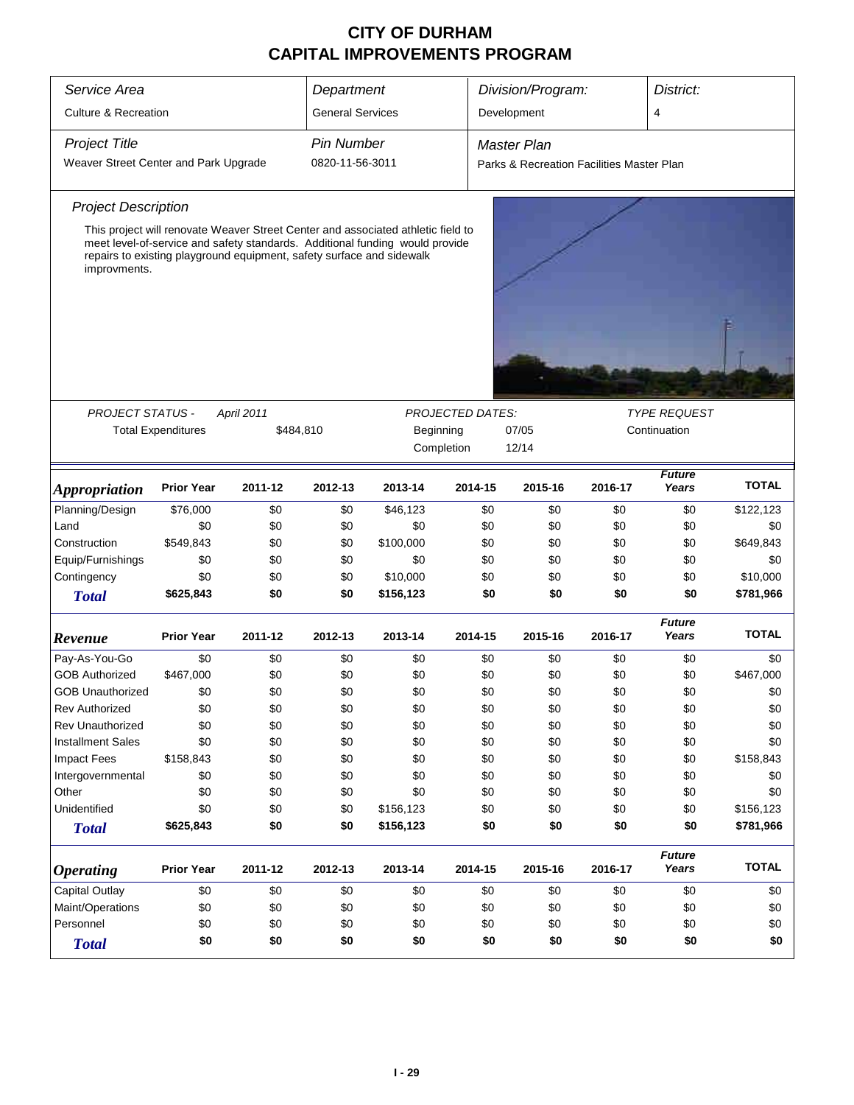| Service Area                                   | Department                                                                                                                                                                                                                                |            |                   | Division/Program: |                         | District:                                 |         |                        |              |  |
|------------------------------------------------|-------------------------------------------------------------------------------------------------------------------------------------------------------------------------------------------------------------------------------------------|------------|-------------------|-------------------|-------------------------|-------------------------------------------|---------|------------------------|--------------|--|
| <b>Culture &amp; Recreation</b>                | <b>General Services</b>                                                                                                                                                                                                                   |            |                   | Development       |                         | 4                                         |         |                        |              |  |
| <b>Project Title</b>                           |                                                                                                                                                                                                                                           |            | <b>Pin Number</b> |                   |                         | <b>Master Plan</b>                        |         |                        |              |  |
| Weaver Street Center and Park Upgrade          |                                                                                                                                                                                                                                           |            | 0820-11-56-3011   |                   |                         | Parks & Recreation Facilities Master Plan |         |                        |              |  |
| <b>Project Description</b>                     |                                                                                                                                                                                                                                           |            |                   |                   |                         |                                           |         |                        |              |  |
| improvments.                                   | This project will renovate Weaver Street Center and associated athletic field to<br>meet level-of-service and safety standards. Additional funding would provide<br>repairs to existing playground equipment, safety surface and sidewalk |            |                   |                   |                         |                                           |         |                        |              |  |
|                                                |                                                                                                                                                                                                                                           |            |                   |                   |                         |                                           |         |                        |              |  |
| <b>PROJECT STATUS -</b>                        |                                                                                                                                                                                                                                           | April 2011 |                   |                   | <b>PROJECTED DATES:</b> |                                           |         | <b>TYPE REQUEST</b>    |              |  |
|                                                | <b>Total Expenditures</b>                                                                                                                                                                                                                 |            | \$484,810         | Beginning         |                         | 07/05                                     |         | Continuation           |              |  |
|                                                |                                                                                                                                                                                                                                           |            |                   |                   | Completion              | 12/14                                     |         |                        |              |  |
|                                                | <b>Prior Year</b>                                                                                                                                                                                                                         | 2011-12    | 2012-13           | 2013-14           | 2014-15                 | 2015-16                                   | 2016-17 | <b>Future</b><br>Years | <b>TOTAL</b> |  |
| <i><b>Appropriation</b></i><br>Planning/Design | \$76,000                                                                                                                                                                                                                                  | \$0        | \$0               | \$46,123          | \$0                     | \$0                                       | \$0     | \$0                    | \$122,123    |  |
|                                                |                                                                                                                                                                                                                                           |            |                   |                   |                         |                                           |         |                        |              |  |
| Land                                           | \$0                                                                                                                                                                                                                                       | \$0        | \$0               | \$0               | \$0                     | \$0                                       | \$0     | \$0                    | \$0          |  |
| Construction                                   | \$549,843                                                                                                                                                                                                                                 | \$0        | \$0               | \$100,000         | \$0                     | \$0                                       | \$0     | \$0                    | \$649,843    |  |
| Equip/Furnishings                              | \$0                                                                                                                                                                                                                                       | \$0        | \$0               | \$0               | \$0                     | \$0                                       | \$0     | \$0                    | \$0          |  |
| Contingency                                    | \$0                                                                                                                                                                                                                                       | \$0        | \$0               | \$10,000          | \$0                     | \$0                                       | \$0     | \$0                    | \$10,000     |  |
| <b>Total</b>                                   | \$625,843                                                                                                                                                                                                                                 | \$0        | \$0               | \$156,123         | \$0                     | \$0                                       | \$0     | \$0                    | \$781,966    |  |
| Revenue                                        | <b>Prior Year</b>                                                                                                                                                                                                                         | 2011-12    | 2012-13           | 2013-14           | 2014-15                 | 2015-16                                   | 2016-17 | <b>Future</b><br>Years | <b>TOTAL</b> |  |
| Pay-As-You-Go                                  | \$0                                                                                                                                                                                                                                       | \$0        | \$0               | \$0               | \$0                     | \$0                                       | \$0     | \$0                    | \$0          |  |
| <b>GOB Authorized</b>                          | \$467,000                                                                                                                                                                                                                                 | \$0        | \$0               | \$0               | \$0                     | \$0                                       | \$0     | \$0                    | \$467,000    |  |
| <b>GOB Unauthorized</b>                        | \$0                                                                                                                                                                                                                                       | \$0        | \$0               | \$0               | \$0                     | \$0                                       | \$0     | \$0                    | \$0          |  |
| <b>Rev Authorized</b>                          | \$0                                                                                                                                                                                                                                       | \$0        | \$0               | \$0               | \$0                     | \$0                                       | \$0     | \$0                    | \$0          |  |
| <b>Rev Unauthorized</b>                        | \$0                                                                                                                                                                                                                                       | \$0        | \$0               | \$0               | \$0                     | \$0                                       | \$0     | \$0                    | \$0          |  |
| <b>Installment Sales</b>                       | \$0                                                                                                                                                                                                                                       | \$0        | \$0               | \$0               | \$0                     | \$0                                       | \$0     | \$0                    | \$0          |  |
| <b>Impact Fees</b>                             | \$158,843                                                                                                                                                                                                                                 | \$0        | \$0               | \$0               | \$0                     | \$0                                       | \$0     | \$0                    | \$158,843    |  |
| Intergovernmental                              | \$0                                                                                                                                                                                                                                       | \$0        | \$0               | \$0               | \$0                     | \$0                                       | \$0     | \$0                    | \$0          |  |
| Other                                          | \$0                                                                                                                                                                                                                                       | \$0        | \$0               | \$0               | \$0                     | \$0                                       | \$0     | \$0                    | \$0          |  |
| Unidentified                                   | \$0                                                                                                                                                                                                                                       | \$0        | \$0               | \$156,123         | \$0                     | \$0                                       | \$0     | \$0                    | \$156,123    |  |
| <b>Total</b>                                   | \$625,843                                                                                                                                                                                                                                 | \$0        | \$0               | \$156,123         | \$0                     | \$0                                       | \$0     | \$0                    | \$781,966    |  |
| <b>Operating</b>                               | <b>Prior Year</b>                                                                                                                                                                                                                         | 2011-12    | 2012-13           | 2013-14           | 2014-15                 | 2015-16                                   | 2016-17 | <b>Future</b><br>Years | <b>TOTAL</b> |  |
| Capital Outlay                                 | \$0                                                                                                                                                                                                                                       | \$0        | \$0               | \$0               | \$0                     | \$0                                       | \$0     | \$0                    | \$0          |  |
| Maint/Operations                               | \$0                                                                                                                                                                                                                                       | \$0        | \$0               | \$0               | \$0                     | \$0                                       | \$0     | \$0                    | \$0          |  |
| Personnel                                      | \$0                                                                                                                                                                                                                                       | \$0        | \$0               | \$0               | \$0                     | \$0                                       | \$0     | \$0                    | \$0          |  |
| <b>Total</b>                                   | \$0                                                                                                                                                                                                                                       | \$0        | \$0               | \$0               | \$0                     | \$0                                       | \$0     | \$0                    | \$0          |  |
|                                                |                                                                                                                                                                                                                                           |            |                   |                   |                         |                                           |         |                        |              |  |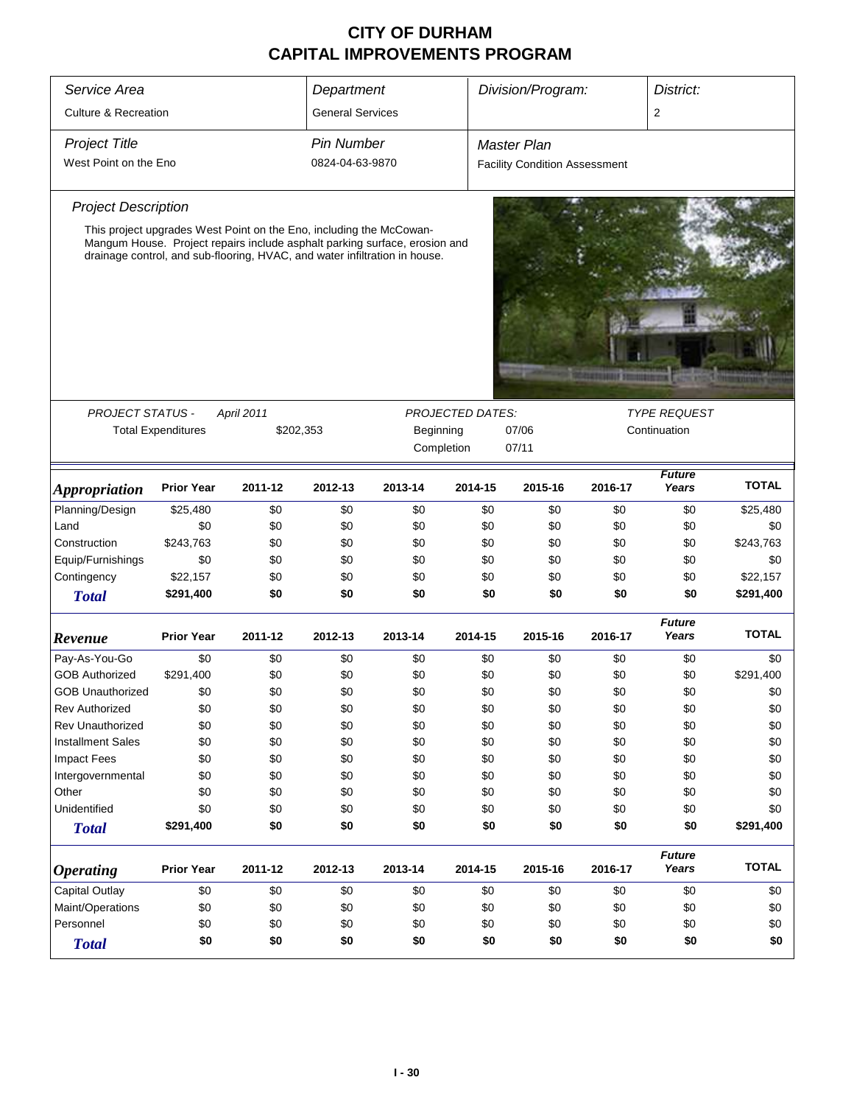| Service Area                    | Department                                                          |                   |                   | Division/Program:                                                                                                                                        |                         |                                      | District:         |                        |              |  |
|---------------------------------|---------------------------------------------------------------------|-------------------|-------------------|----------------------------------------------------------------------------------------------------------------------------------------------------------|-------------------------|--------------------------------------|-------------------|------------------------|--------------|--|
| <b>Culture &amp; Recreation</b> | <b>General Services</b>                                             |                   |                   |                                                                                                                                                          |                         | $\overline{2}$                       |                   |                        |              |  |
| <b>Project Title</b>            |                                                                     |                   | <b>Pin Number</b> |                                                                                                                                                          |                         | <b>Master Plan</b>                   |                   |                        |              |  |
| West Point on the Eno           |                                                                     |                   | 0824-04-63-9870   |                                                                                                                                                          |                         | <b>Facility Condition Assessment</b> |                   |                        |              |  |
| <b>Project Description</b>      |                                                                     |                   |                   |                                                                                                                                                          |                         |                                      |                   |                        |              |  |
|                                 | This project upgrades West Point on the Eno, including the McCowan- |                   |                   |                                                                                                                                                          |                         |                                      |                   |                        |              |  |
|                                 |                                                                     |                   |                   | Mangum House. Project repairs include asphalt parking surface, erosion and<br>drainage control, and sub-flooring, HVAC, and water infiltration in house. |                         |                                      |                   |                        |              |  |
|                                 |                                                                     |                   |                   |                                                                                                                                                          |                         |                                      |                   |                        |              |  |
|                                 |                                                                     |                   |                   |                                                                                                                                                          |                         |                                      |                   |                        |              |  |
|                                 |                                                                     |                   |                   |                                                                                                                                                          |                         |                                      |                   |                        |              |  |
|                                 |                                                                     |                   |                   |                                                                                                                                                          |                         |                                      | <b>STATISTICS</b> |                        |              |  |
|                                 |                                                                     |                   |                   |                                                                                                                                                          |                         |                                      |                   |                        |              |  |
| <b>PROJECT STATUS -</b>         |                                                                     | <b>April 2011</b> |                   |                                                                                                                                                          | <b>PROJECTED DATES:</b> |                                      |                   | <b>TYPE REQUEST</b>    |              |  |
|                                 | <b>Total Expenditures</b>                                           |                   | \$202,353         | Beginning                                                                                                                                                |                         | 07/06                                |                   | Continuation           |              |  |
|                                 |                                                                     |                   |                   | Completion                                                                                                                                               |                         | 07/11                                |                   |                        |              |  |
| <b>Appropriation</b>            | <b>Prior Year</b>                                                   | 2011-12           | 2012-13           | 2013-14                                                                                                                                                  | 2014-15                 | 2015-16                              | 2016-17           | <b>Future</b><br>Years | <b>TOTAL</b> |  |
| Planning/Design                 | \$25,480                                                            | \$0               | \$0               | \$0                                                                                                                                                      | \$0                     | \$0                                  | \$0               | \$0                    | \$25,480     |  |
| Land                            | \$0                                                                 | \$0               | \$0               | \$0                                                                                                                                                      | \$0                     | \$0                                  | \$0               | \$0                    | \$0          |  |
| Construction                    | \$243,763                                                           | \$0               | \$0               | \$0                                                                                                                                                      | \$0                     | \$0                                  | \$0               | \$0                    | \$243,763    |  |
| Equip/Furnishings               | \$0                                                                 | \$0               | \$0               | \$0                                                                                                                                                      | \$0                     | \$0                                  | \$0               | \$0                    | \$0          |  |
| Contingency                     | \$22,157                                                            | \$0               | \$0               | \$0                                                                                                                                                      | \$0                     | \$0                                  | \$0               | \$0                    | \$22,157     |  |
| <b>Total</b>                    | \$291,400                                                           | \$0               | \$0               | \$0                                                                                                                                                      | \$0                     | \$0                                  | \$0               | \$0                    | \$291,400    |  |
| Revenue                         | <b>Prior Year</b>                                                   | 2011-12           | 2012-13           | 2013-14                                                                                                                                                  | 2014-15                 | 2015-16                              | 2016-17           | <b>Future</b><br>Years | <b>TOTAL</b> |  |
| Pay-As-You-Go                   | \$0                                                                 | \$0               | \$0               | \$0                                                                                                                                                      | \$0                     | \$0                                  | \$0               | \$0                    | \$0          |  |
| <b>GOB Authorized</b>           | \$291,400                                                           | \$0               | \$0               | \$0                                                                                                                                                      | \$0                     | \$0                                  | \$0               | \$0                    | \$291,400    |  |
| <b>GOB Unauthorized</b>         | \$0                                                                 | \$0               | \$0               | \$0                                                                                                                                                      | \$0                     | \$0                                  | \$0               | \$0                    | \$0          |  |
| <b>Rev Authorized</b>           | \$0                                                                 | \$0               | \$0               | \$0                                                                                                                                                      | \$0                     | \$0                                  | \$0               | \$0                    | \$0          |  |
| <b>Rev Unauthorized</b>         | \$0                                                                 | \$0               | \$0               | \$0                                                                                                                                                      | \$0                     | \$0                                  | \$0               | \$0                    | \$0          |  |
| <b>Installment Sales</b>        | \$0                                                                 | \$0               | \$0               | \$0                                                                                                                                                      | \$0                     | \$0                                  | \$0               | \$0                    | \$0          |  |
| <b>Impact Fees</b>              | \$0                                                                 | \$0               | \$0               | \$0                                                                                                                                                      | \$0                     | \$0                                  | \$0               | \$0                    | \$0          |  |
| Intergovernmental               | \$0                                                                 | \$0               | \$0               | \$0                                                                                                                                                      | \$0                     | \$0                                  | \$0               | \$0                    | \$0          |  |
| Other                           | \$0                                                                 | \$0               | \$0               | \$0                                                                                                                                                      | \$0                     | \$0                                  | \$0               | \$0                    | \$0          |  |
| Unidentified                    | \$0                                                                 | \$0               | \$0               | \$0                                                                                                                                                      | \$0                     | \$0                                  | \$0               | \$0                    | \$0          |  |
| <b>Total</b>                    | \$291,400                                                           | \$0               | \$0               | \$0                                                                                                                                                      | \$0                     | \$0                                  | \$0               | \$0                    | \$291,400    |  |
| <b>Operating</b>                | <b>Prior Year</b>                                                   | 2011-12           | 2012-13           | 2013-14                                                                                                                                                  | 2014-15                 | 2015-16                              | 2016-17           | <b>Future</b><br>Years | <b>TOTAL</b> |  |
| Capital Outlay                  | \$0                                                                 | \$0               | \$0               | \$0                                                                                                                                                      | \$0                     | \$0                                  | \$0               | \$0                    | \$0          |  |
| Maint/Operations                | \$0                                                                 | \$0               | \$0               | \$0                                                                                                                                                      | \$0                     | \$0                                  | \$0               | \$0                    | \$0          |  |
| Personnel                       | \$0                                                                 | \$0               | \$0               | \$0                                                                                                                                                      | \$0                     | \$0                                  | \$0               | \$0                    | \$0          |  |
| <b>Total</b>                    | \$0                                                                 | \$0               | \$0               | \$0                                                                                                                                                      | \$0                     | \$0                                  | \$0               | \$0                    | \$0          |  |